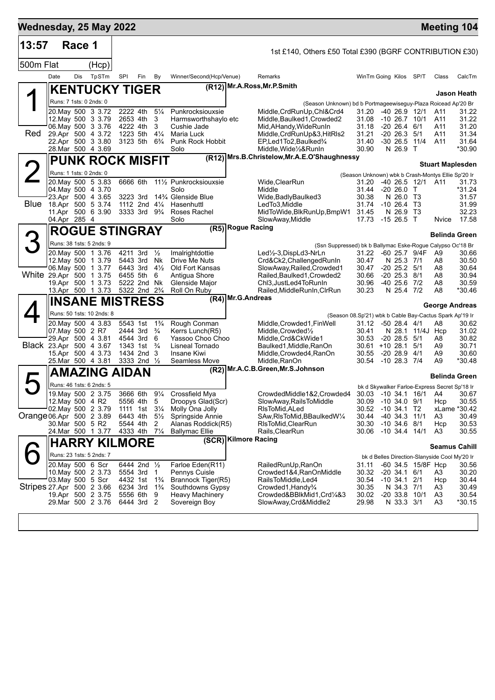| Wednesday, 25 May 2022    |                         |        |                                                |                      |                                        |                                  |                                         |                                                                    |                                                             |                                         |                    |                                               | Meeting 104             |
|---------------------------|-------------------------|--------|------------------------------------------------|----------------------|----------------------------------------|----------------------------------|-----------------------------------------|--------------------------------------------------------------------|-------------------------------------------------------------|-----------------------------------------|--------------------|-----------------------------------------------|-------------------------|
| 13:57                     |                         | Race 1 |                                                |                      |                                        |                                  |                                         | 1st £140, Others £50 Total £390 (BGRF CONTRIBUTION £30)            |                                                             |                                         |                    |                                               |                         |
| 500m Flat                 |                         |        | (Hcp)                                          |                      |                                        |                                  |                                         |                                                                    |                                                             |                                         |                    |                                               |                         |
|                           | Date                    | Dis    | TpSTm                                          | SPI                  | Fin                                    | By                               | Winner/Second(Hcp/Venue)                | Remarks                                                            | WinTm Going Kilos SP/T                                      |                                         |                    | Class                                         | CalcTm                  |
|                           |                         |        | <b>KENTUCKY TIGER</b>                          |                      |                                        |                                  |                                         | (R12) Mr.A.Ross, Mr.P.Smith                                        |                                                             |                                         |                    |                                               | Jason Heath             |
|                           |                         |        | Runs: 7 1sts: 0 2nds: 0                        |                      |                                        |                                  |                                         | (Season Unknown) bd b Portmageewiseguy-Plaza Roicead Ap'20 Br      |                                                             |                                         |                    |                                               |                         |
|                           |                         |        | 20. May 500 3 3.72                             | 2222 4th             |                                        | $5\frac{1}{4}$                   | Punkrocksiouxsie                        | Middle, CrdRunUp, Chl&Crd4                                         | 31.20                                                       | $-4026.912/1$                           |                    | A11                                           | 31.22                   |
|                           |                         |        | 12. May 500 3 3.79<br>06. May 500 3 3.76       | 2653 4th<br>4222 4th |                                        | 3<br>3                           | Harmsworthshaylo etc<br>Cushie Jade     | Middle, Baulked 1, Crowded 2<br>Mid, AHandy, WideRunIn             | 31.08<br>31.18                                              | $-10$ 26.7 $10/1$<br>$-20$ 26.4 6/1     |                    | A11<br>A11                                    | 31.22<br>31.20          |
| Red                       |                         |        | 29.Apr 500 4 3.72                              | 1223 5th             |                                        | $4\frac{1}{4}$                   | Maria Luck                              | Middle, CrdRunUp&3, HitRIs2                                        | 31.21                                                       | $-20$ 26.3 $5/1$                        |                    | A11                                           | 31.34                   |
|                           |                         |        | 22.Apr 500 3 3.80<br>28.Mar 500 4 3.69         |                      | 3123 5th                               | $6\frac{3}{4}$                   | Punk Rock Hobbit<br>Solo                | EP, Led 1 To 2, Baulked 3/4<br>Middle, Wide 1/2& RunIn             | 31.40<br>30.90                                              | $-30\,26.5$<br>N 26.9 T                 | 11/4               | A11                                           | 31.64<br>*30.90         |
|                           |                         |        | <b>PUNK ROCK MISFIT</b>                        |                      |                                        |                                  |                                         | (R12) Mrs.B.Christelow, Mr.A.E.O'Shaughnessy                       |                                                             |                                         |                    |                                               |                         |
|                           | Runs: 1 1sts: 0 2nds: 0 |        |                                                |                      |                                        |                                  |                                         |                                                                    |                                                             |                                         |                    |                                               | <b>Stuart Maplesden</b> |
|                           |                         |        | 20. May 500 5 3.83                             | 6666 6th             |                                        |                                  | 111/2 Punkrocksiouxsie                  | Wide, ClearRun                                                     | (Season Unknown) wbk b Crash-Montys Ellie Sp'20 Ir<br>31.20 |                                         | -40 26.5 12/1 A11  |                                               | 31.73                   |
|                           |                         |        | 04 May 500 4 3.70                              |                      |                                        |                                  | Solo                                    | Middle                                                             | 31.44                                                       | $-20, 26.0$ T                           |                    |                                               | *31.24                  |
| <b>Blue</b>               |                         |        | 23.Apr 500 4 3.65<br>18.Apr 500 5 3.74         |                      | 3223 3rd<br>1112 2nd 41/4              |                                  | 14% Glenside Blue<br>Hasenhuttl         | Wide, Badly Baulked 3<br>LedTo3.Middle                             | 30.38<br>31.74                                              | N 26.0 T3<br>$-10, 26.4$ T <sub>3</sub> |                    |                                               | 31.57<br>31.99          |
|                           |                         |        | 11.Apr 500 6 3.90                              |                      | $3333$ 3rd $9\frac{1}{4}$              |                                  | Roses Rachel                            | MidToWide, BlkRunUp, BmpW1                                         | 31.45                                                       | N 26.9 T3                               |                    |                                               | 32.23                   |
|                           | 04.Apr 285 4            |        |                                                |                      |                                        |                                  | Solo                                    | SlowAway, Middle<br>(R5) Rogue Racing                              | 17.73 -15 26.5 T                                            |                                         |                    | Nvice                                         | 17.58                   |
|                           |                         |        | <b>ROGUE STINGRAY</b>                          |                      |                                        |                                  |                                         |                                                                    |                                                             |                                         |                    |                                               | <b>Belinda Green</b>    |
| 3                         |                         |        | Runs: 38 1sts: 5 2nds: 9                       |                      |                                        |                                  |                                         | (Ssn Suppressed) bk b Ballymac Eske-Rogue Calypso Oc'18 Br         |                                                             |                                         |                    |                                               |                         |
|                           |                         |        | 20. May 500 1 3.76<br>12. May 500 1 3.79       |                      | 4211 3rd<br>5443 3rd                   | $\frac{1}{2}$<br>Nk              | Imalrightdottie<br>Drive Me Nuts        | Led½-3,DispLd3-NrLn<br>Crd&Ck2, Challenged RunIn                   | 31.22<br>30.47                                              | -60 25.7 9/4F<br>N 25.3 7/1             |                    | A9<br>A8                                      | 30.66<br>30.50          |
|                           |                         |        | 06 May 500 1 3.77                              | 6443 3rd             |                                        | $4\frac{1}{2}$                   | Old Fort Kansas                         | SlowAway, Railed, Crowded1                                         | 30.47                                                       | $-20$ 25.2 $5/1$                        |                    | A8                                            | 30.64                   |
| White 29.Apr 500 1 3.75   |                         |        | 19.Apr 500 1 3.73                              | 6455 5th             | 5222 2nd Nk                            | 6                                | Antigua Shore<br>Glenside Major         | Railed, Baulked1, Crowded2<br>Chl3, JustLed4ToRunIn                | 30.66<br>30.96                                              | $-20$ 25.3 $8/1$<br>$-40$ 25.6 $7/2$    |                    | A8<br>A8                                      | 30.94<br>30.59          |
|                           |                         |        | 13.Apr 500 1 3.73                              |                      | 5322 2nd 2 <sup>3</sup> / <sub>4</sub> |                                  | Roll On Ruby                            | Railed, MiddleRunIn, CIrRun                                        | 30.23                                                       | N 25.4 7/2                              |                    | A8                                            | *30.46                  |
|                           |                         |        | <b>INSANE MISTRESS</b>                         |                      |                                        |                                  |                                         | (R4) Mr.G.Andreas                                                  |                                                             |                                         |                    |                                               | <b>George Andreas</b>   |
|                           |                         |        | Runs: 50 1sts: 10 2nds: 8                      |                      |                                        |                                  |                                         | (Season 08.Sp'21) wbk b Cable Bay-Cactus Spark Ap'19 Ir            |                                                             |                                         |                    |                                               |                         |
|                           |                         |        | 20. May 500 4 3.83                             |                      | 5543 1st                               | $1\frac{3}{4}$                   | Rough Conman                            | Middle, Crowded 1, Fin Well                                        | 31.12                                                       | $-50$ 28.4 $4/1$                        |                    | A8                                            | 30.62                   |
|                           | 07. May 500 2 R7        |        | 29.Apr 500 4 3.81                              |                      | 2444 3rd<br>4544 3rd                   | $\frac{3}{4}$<br>6               | Kerrs Lunch(R5)<br>Yassoo Choo Choo     | Middle, Crowded <sup>1</sup> / <sub>2</sub><br>Middle, Crd&CkWide1 | 30.41<br>30.53                                              | $-20$ 28.5 $5/1$                        | N 28.1 11/4J Hcp   | A8                                            | 31.02<br>30.82          |
| Black 23.Apr 500 4 3.67   |                         |        |                                                |                      | 1343 1st                               | $\frac{3}{4}$                    | Lisneal Tornado                         | Baulked1, Middle, RanOn                                            | 30.61                                                       | $+1028.15/1$                            |                    | A9                                            | 30.71                   |
|                           |                         |        | 15.Apr 500 4 3.73<br>25.Mar 500 4 3.81         |                      | 1434 2nd 3<br>3333 2nd 1/2             |                                  | Insane Kiwi<br>Seamless Move            | Middle, Crowded4, RanOn<br>Middle, RanOn                           | 30.55<br>30.54                                              | $-20$ 28.9 $4/1$<br>$-10$ 28.3 $7/4$    |                    | A9<br>A9                                      | 30.60<br>*30.48         |
|                           |                         |        | AMAZING AIDAN                                  |                      |                                        |                                  |                                         | (R2) Mr.A.C.B.Green, Mr.S.Johnson                                  |                                                             |                                         |                    |                                               |                         |
|                           |                         |        |                                                |                      |                                        |                                  |                                         |                                                                    |                                                             |                                         |                    |                                               | <b>Belinda Green</b>    |
|                           |                         |        | Runs: 46 1sts: 6 2nds: 5<br>19. May 500 2 3.75 |                      | 3666 6th                               | $9\frac{1}{4}$                   | Crossfield Mya                          | CrowdedMiddle1&2,Crowded4                                          | 30.03 -10 34.1 16/1 A4                                      |                                         |                    | bk d Skywalker Farloe-Express Secret Sp'18 Ir | 30.67                   |
|                           | 12. May 500 4 R2        |        |                                                |                      | 5556 4th                               | 5                                | Droopys Glad(Scr)                       | SlowAway, RailsToMiddle                                            | 30.09                                                       | $-10$ 34.0 $9/1$                        |                    | Hcp                                           | 30.55                   |
| Orange 06.Apr 500 2 3.89  |                         |        | 02. May 500 2 3.79                             | 6443 4th             | 1111 1st                               | $3\frac{1}{4}$<br>$5\frac{1}{2}$ | Molly Ona Jolly<br>Springside Annie     | RIsToMid, ALed<br>SAw, RIsToMid, BBaulked W1/4                     | 30.52<br>30.44                                              | $-10$ 34.1 T2<br>$-40, 34.3$            | 11/1               | A <sub>3</sub>                                | xLame *30.42<br>30.49   |
|                           | 30.Mar 500 5 R2         |        |                                                |                      | 5544 4th                               | 2                                | Alanas Roddick(R5)                      | RIsToMid, ClearRun                                                 | 30.30                                                       | $-10$ 34.6 $8/1$                        |                    | Hcp                                           | 30.53                   |
|                           |                         |        | 24. Mar 500 1 3.77                             | 4333 4th             |                                        | $7\frac{1}{4}$                   | <b>Ballymac Ellie</b>                   | Rails, ClearRun                                                    | 30.06                                                       | $-10$ 34.4 $14/1$                       |                    | A3                                            | 30.55                   |
|                           |                         |        | <b>HARRY KILMORE</b>                           |                      |                                        |                                  |                                         | (SCR) Kilmore Racing                                               |                                                             |                                         |                    |                                               | <b>Seamus Cahill</b>    |
|                           |                         |        | Runs: 23 1sts: 5 2nds: 7                       |                      |                                        |                                  |                                         |                                                                    |                                                             |                                         |                    | bk d Belles Direction-Slanyside Cool My'20 Ir |                         |
|                           |                         |        | 20. May 500 6 Scr                              |                      | 6444 2nd 1/2                           |                                  | Farloe Eden(R11)                        | RailedRunUp, RanOn                                                 | 31.11                                                       |                                         | -60 34.5 15/8F Hcp |                                               | 30.56                   |
|                           | 03. May 500 5 Scr       |        | 10. May 500 2 3.73                             |                      | 5554 3rd<br>4432 1st                   | $\mathbf{1}$<br>$1\frac{3}{4}$   | Pennys Cuisle<br>Brannock Tiger(R5)     | Crowded1&4, RanOnMiddle<br>RailsToMiddle,Led4                      | 30.32<br>30.54                                              | $-20\,34.1$<br>$-10$ 34.1 $2/1$         | 6/1                | A3<br>Hcp                                     | 30.20<br>30.44          |
| Stripes 27 Apr 500 2 3.66 |                         |        |                                                | 6234 3rd             |                                        | $1\frac{3}{4}$                   | Southdowns Gypsy                        | Crowded1, Handy <sup>3</sup> / <sub>4</sub>                        | 30.35                                                       | N 34.3 7/1                              |                    | A3                                            | 30.49                   |
|                           |                         |        | 19.Apr 500 2 3.75<br>29. Mar 500 2 3.76        |                      | 5556 6th<br>6444 3rd                   | 9<br>$\overline{2}$              | <b>Heavy Machinery</b><br>Sovereign Boy | Crowded&BBlkMid1,Crd¼&3<br>SlowAway, Crd&Middle2                   | 30.02<br>29.98                                              | $-20$ 33.8 10/1<br>N 33.3 3/1           |                    | A3<br>A <sub>3</sub>                          | 30.54<br>$*30.15$       |
|                           |                         |        |                                                |                      |                                        |                                  |                                         |                                                                    |                                                             |                                         |                    |                                               |                         |
|                           |                         |        |                                                |                      |                                        |                                  |                                         |                                                                    |                                                             |                                         |                    |                                               |                         |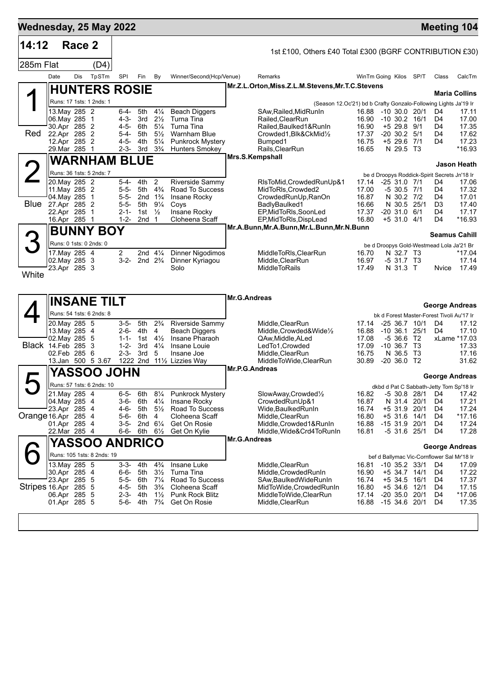| 14:12<br>Race 2<br>1st £100, Others £40 Total £300 (BGRF CONTRIBUTION £30)<br>285m Flat<br>(D4)<br>TpSTm<br>Date<br>Dis<br>SPI<br>By<br>Winner/Second(Hcp/Venue)<br>WinTm Going Kilos<br>SP/T<br>Fin<br>Remarks<br>Class<br>Mr.Z.L.Orton, Miss.Z.L.M.Stevens, Mr.T.C.Stevens<br><b>HUNTERS ROSIE</b><br><b>Maria Collins</b><br>Runs: 17 1sts: 1 2nds: 1<br>(Season 12.Oc'21) bd b Crafty Gonzalo-Following Lights Ja'19 Ir<br>13. May 285 2<br>$4\frac{1}{4}$<br>6-4-<br>5th<br><b>Beach Diggers</b><br>$-10, 30.0, 20/1$<br>D4<br>SAw,Railed,MidRunIn<br>16.88<br>$2\frac{1}{2}$<br>4-3- 3rd<br>Turna Tina<br>Railed, ClearRun<br>16.90<br>$-10$ 30.2 16/1<br>D4<br>06. May 285 1<br>30.Apr 285 2<br>4-5- 6th<br>$5\frac{1}{4}$<br>Turna Tina<br>16.90<br>$+5$ 29.8 9/1<br>Railed,Baulked1&RunIn<br>D4<br>Red<br>22.Apr 285 2<br>$5\frac{1}{2}$<br>17.37<br>$5 - 4 -$<br>5th<br><b>Warnham Blue</b><br>$-20$ 30.2 $5/1$<br>D4<br>Crowded1,Blk&CkMid½<br>12.Apr 285 2<br>4-5-<br>4th<br>$5\frac{1}{4}$<br><b>Punkrock Mystery</b><br>Bumped1<br>16.75<br>$+5$ 29.6 7/1<br>D4<br>29. Mar 285 1<br>$3\frac{3}{4}$<br>N 29.5 T3<br>2-3- 3rd<br><b>Hunters Smokey</b><br>Rails, ClearRun<br>16.65<br>Mrs.S.Kempshall<br><b>WARNHAM BLUE</b><br><b>Jason Heath</b><br>Runs: 36 1sts: 5 2nds: 7<br>be d Droopys Roddick-Spirit Secrets Jn'18 Ir<br>20. May 285 2<br>$\overline{2}$<br>Riverside Sammy<br>5-4-<br>4th<br>RIsToMid, Crowded RunUp&1<br>$-2531.071$<br>17.14<br>D4<br>5th 4 <sup>3</sup> / <sub>4</sub><br>11. May 285 2<br>$5 - 5 -$<br>Road To Success<br>MidToRIs, Crowded2<br>17.00<br>$-5$ 30.5 7/1<br>D4<br>04. May 285 1<br>5-5- 2nd $1\frac{3}{4}$<br>Insane Rocky<br>CrowdedRunUp, RanOn<br>16.87<br>N 30.2 7/2<br>D4<br>Blue<br>27.Apr 285 2<br>5-5- 5th<br>$9\frac{1}{4}$<br>BadlyBaulked1<br>16.66<br>N 30.5 25/1<br>Coys<br>D3<br>22.Apr 285 1<br>$2 - 1 -$<br>1st $\frac{1}{2}$<br>Insane Rocky<br>EP, MidToRIs, SoonLed<br>17.37<br>$-20$ 31.0 $6/1$<br>D4<br>16.Apr 285 1<br>$1 - 2 -$<br>2nd <sub>1</sub><br>Cloheena Scaff<br>EP, MidToRIs, DispLead<br>16.80<br>$+5$ 31.0 4/1<br>D4<br>Mr.A.Bunn, Mr.A.Bunn, Mr.L.Bunn, Mr.N.Bunn<br><b>BUNNY BOY</b><br><b>Seamus Cahill</b><br>Runs: 0 1sts: 0 2nds: 0<br>be d Droopys Gold-Westmead Lola Ja'21 Br<br>$\overline{2}$<br>17. May 285 4<br>2nd $4\frac{1}{4}$<br><b>Dinner Nigodimos</b><br>MiddleToRIs.ClearRun<br>16.70<br>N 32.7 T3<br>02. May 285 3<br>3-2-<br>2nd $2\frac{3}{4}$<br>Dinner Kyriagou<br>Middle, ClearRun<br>16.97<br>$-531.7$ T3<br>Solo<br>23.Apr 285 3<br><b>MiddleToRails</b><br>17.49<br>N 31.3 T<br>Nvice<br>White<br><b>Mr.G.Andreas</b><br><b>INSANE TILT</b><br><b>George Andreas</b><br>Runs: 54 1sts: 6 2nds: 8<br>bk d Forest Master-Forest Tivoli Au'17 Ir<br>$2\frac{3}{4}$<br>$-25$ 36.7 10/1<br>20. May 285 5<br>3-5-<br>5th<br><b>Riverside Sammy</b><br>Middle, ClearRun<br>17.14<br>D4<br>13. May 285 4<br>2-6- 4th<br>4<br><b>Beach Diggers</b><br>Middle, Crowded& Wide <sup>1</sup> / <sub>2</sub><br>16.88<br>$-10,36.1$<br>25/1<br>D4<br>02. May 285 5<br>$4\frac{1}{2}$<br>Insane Pharaoh<br>$-5,36.6$<br>$1 - 1 -$<br>1st<br>17.08<br>T2<br>xLame *17.03<br>QAw, Middle, ALed<br>Black 14.Feb 285<br>17.09<br>T3<br>-3<br>$1 - 2 -$<br>3rd<br>$4\frac{1}{4}$<br>Insane Louie<br>LedTo1, Crowded<br>$-10, 36.7$<br>$2 - 3 -$<br>T3<br>02.Feb 285<br>- 6<br>- 3rd<br>5<br>Insane Joe<br>Middle, ClearRun<br>16.75<br>N 36.5<br>1222 2nd 111/2 Lizzies Way<br>30.89<br>$-20$ 36.0 T2<br>13.Jan 500 5 3.67<br>MiddleToWide,ClearRun<br>Mr.P.G.Andreas<br>YASSOO JOHN<br><b>George Andreas</b><br>Runs: 57 1sts: 6 2nds: 10<br>dkbd d Pat C Sabbath-Jetty Tom Sp'18 Ir<br>21. May 285 4<br>$8\frac{1}{4}$<br>Punkrock Mystery<br>$6 - 5$<br>6th<br>16.82 -5 30.8 28/1 D4 17.42<br>SlowAway, Crowded1/2<br>04. May 285 4<br>3-6- 6th $4\frac{1}{4}$<br>Insane Rocky<br>CrowdedRunUp&1<br>16.87<br>N 31.4 20/1<br>D4<br>23.Apr 285 4<br>4-6-<br>5th 5½<br>Road To Success<br>Wide, Baulked Run In<br>16.74<br>+5 31.9<br>20/1<br>D4<br>5-6-<br>6th<br>4<br>Cloheena Scaff<br>Middle, ClearRun<br>16.80<br>$+5$ 31.6<br>14/1<br>D4<br>2nd $6\frac{1}{4}$<br>01.Apr 285 4<br>3-5-<br>Get On Rosie<br>Middle,Crowded1&RunIn<br>16.88<br>$-1531.9$<br>20/1<br>D4<br>22.Mar 285 4<br>6-6- 6th<br>$6\frac{1}{2}$<br>Get On Kylie<br>Middle, Wide&Crd4ToRunIn<br>16.81<br>$-5$ 31.6 25/1<br>D4<br>Mr.G.Andreas<br><b>YASSOO</b><br><b>ANDRICO</b><br><b>George Andreas</b><br>Runs: 105 1sts: 8 2nds: 19<br>bef d Ballymac Vic-Cornflower Sal Mr'18 Ir<br>13. May 285 5<br>3-3- 4th<br>$4\frac{3}{4}$<br>Insane Luke<br>Middle, ClearRun<br>16.81<br>$-10$ 35.2 33/1<br>D4<br>Turna Tina<br>30.Apr 285 4<br>6-6- 5th<br>$3\frac{1}{2}$<br>Middle, Crowded RunIn<br>16.90<br>+5 34.7 14/1<br>D4<br>23.Apr 285 5<br>$5 - 5 -$<br>6th<br>Road To Success<br>$7\frac{1}{4}$<br>SAw, Baulked Wide Run In<br>16.74<br>$+5$ 34.5 16/1<br>D4<br>Stripes 16.Apr 285 5<br>16.80<br>4-5- 5th<br>$3\frac{3}{4}$<br>Cloheena Scaff<br>MidToWide, Crowded Run In<br>$+5$ 34.6 12/1<br>D4<br>06.Apr 285 5<br>Punk Rock Blitz<br>MiddleToWide,ClearRun<br>2-3-<br>4th<br>$1\frac{1}{2}$<br>17.14<br>$-20$ 35.0 20/1<br>D4<br>Middle, ClearRun<br>16.88<br>01.Apr 285 5<br>5-6- 4th<br>$7\frac{3}{4}$<br>Get On Rosie<br>$-1534.620/1$<br>D4 | Wednesday, 25 May 2022 |  |  |  |  |  |  | <b>Meeting 104</b> |
|---------------------------------------------------------------------------------------------------------------------------------------------------------------------------------------------------------------------------------------------------------------------------------------------------------------------------------------------------------------------------------------------------------------------------------------------------------------------------------------------------------------------------------------------------------------------------------------------------------------------------------------------------------------------------------------------------------------------------------------------------------------------------------------------------------------------------------------------------------------------------------------------------------------------------------------------------------------------------------------------------------------------------------------------------------------------------------------------------------------------------------------------------------------------------------------------------------------------------------------------------------------------------------------------------------------------------------------------------------------------------------------------------------------------------------------------------------------------------------------------------------------------------------------------------------------------------------------------------------------------------------------------------------------------------------------------------------------------------------------------------------------------------------------------------------------------------------------------------------------------------------------------------------------------------------------------------------------------------------------------------------------------------------------------------------------------------------------------------------------------------------------------------------------------------------------------------------------------------------------------------------------------------------------------------------------------------------------------------------------------------------------------------------------------------------------------------------------------------------------------------------------------------------------------------------------------------------------------------------------------------------------------------------------------------------------------------------------------------------------------------------------------------------------------------------------------------------------------------------------------------------------------------------------------------------------------------------------------------------------------------------------------------------------------------------------------------------------------------------------------------------------------------------------------------------------------------------------------------------------------------------------------------------------------------------------------------------------------------------------------------------------------------------------------------------------------------------------------------------------------------------------------------------------------------------------------------------------------------------------------------------------------------------------------------------------------------------------------------------------------------------------------------------------------------------------------------------------------------------------------------------------------------------------------------------------------------------------------------------------------------------------------------------------------------------------------------------------------------------------------------------------------------------------------------------------------------------------------------------------------------------------------------------------------------------------------------------------------------------------------------------------------------------------------------------------------------------------------------------------------------------------------------------------------------------------------------------------------------------------------------------------------------------------------------------------------------------------------------------------------------------------------------------------------------------------------------------------------------------------------------------------------------------------------------------------------------------------------------------------------------------------------------------------------------------------------------------------------------------------------------------------------------------------------------------------------------------------------------------------------------------------------------------------------------------------------------------------|------------------------|--|--|--|--|--|--|--------------------|
|                                                                                                                                                                                                                                                                                                                                                                                                                                                                                                                                                                                                                                                                                                                                                                                                                                                                                                                                                                                                                                                                                                                                                                                                                                                                                                                                                                                                                                                                                                                                                                                                                                                                                                                                                                                                                                                                                                                                                                                                                                                                                                                                                                                                                                                                                                                                                                                                                                                                                                                                                                                                                                                                                                                                                                                                                                                                                                                                                                                                                                                                                                                                                                                                                                                                                                                                                                                                                                                                                                                                                                                                                                                                                                                                                                                                                                                                                                                                                                                                                                                                                                                                                                                                                                                                                                                                                                                                                                                                                                                                                                                                                                                                                                                                                                                                                                                                                                                                                                                                                                                                                                                                                                                                                                                                                                                                       |                        |  |  |  |  |  |  |                    |
|                                                                                                                                                                                                                                                                                                                                                                                                                                                                                                                                                                                                                                                                                                                                                                                                                                                                                                                                                                                                                                                                                                                                                                                                                                                                                                                                                                                                                                                                                                                                                                                                                                                                                                                                                                                                                                                                                                                                                                                                                                                                                                                                                                                                                                                                                                                                                                                                                                                                                                                                                                                                                                                                                                                                                                                                                                                                                                                                                                                                                                                                                                                                                                                                                                                                                                                                                                                                                                                                                                                                                                                                                                                                                                                                                                                                                                                                                                                                                                                                                                                                                                                                                                                                                                                                                                                                                                                                                                                                                                                                                                                                                                                                                                                                                                                                                                                                                                                                                                                                                                                                                                                                                                                                                                                                                                                                       |                        |  |  |  |  |  |  |                    |
|                                                                                                                                                                                                                                                                                                                                                                                                                                                                                                                                                                                                                                                                                                                                                                                                                                                                                                                                                                                                                                                                                                                                                                                                                                                                                                                                                                                                                                                                                                                                                                                                                                                                                                                                                                                                                                                                                                                                                                                                                                                                                                                                                                                                                                                                                                                                                                                                                                                                                                                                                                                                                                                                                                                                                                                                                                                                                                                                                                                                                                                                                                                                                                                                                                                                                                                                                                                                                                                                                                                                                                                                                                                                                                                                                                                                                                                                                                                                                                                                                                                                                                                                                                                                                                                                                                                                                                                                                                                                                                                                                                                                                                                                                                                                                                                                                                                                                                                                                                                                                                                                                                                                                                                                                                                                                                                                       |                        |  |  |  |  |  |  | CalcTm             |
|                                                                                                                                                                                                                                                                                                                                                                                                                                                                                                                                                                                                                                                                                                                                                                                                                                                                                                                                                                                                                                                                                                                                                                                                                                                                                                                                                                                                                                                                                                                                                                                                                                                                                                                                                                                                                                                                                                                                                                                                                                                                                                                                                                                                                                                                                                                                                                                                                                                                                                                                                                                                                                                                                                                                                                                                                                                                                                                                                                                                                                                                                                                                                                                                                                                                                                                                                                                                                                                                                                                                                                                                                                                                                                                                                                                                                                                                                                                                                                                                                                                                                                                                                                                                                                                                                                                                                                                                                                                                                                                                                                                                                                                                                                                                                                                                                                                                                                                                                                                                                                                                                                                                                                                                                                                                                                                                       |                        |  |  |  |  |  |  |                    |
|                                                                                                                                                                                                                                                                                                                                                                                                                                                                                                                                                                                                                                                                                                                                                                                                                                                                                                                                                                                                                                                                                                                                                                                                                                                                                                                                                                                                                                                                                                                                                                                                                                                                                                                                                                                                                                                                                                                                                                                                                                                                                                                                                                                                                                                                                                                                                                                                                                                                                                                                                                                                                                                                                                                                                                                                                                                                                                                                                                                                                                                                                                                                                                                                                                                                                                                                                                                                                                                                                                                                                                                                                                                                                                                                                                                                                                                                                                                                                                                                                                                                                                                                                                                                                                                                                                                                                                                                                                                                                                                                                                                                                                                                                                                                                                                                                                                                                                                                                                                                                                                                                                                                                                                                                                                                                                                                       |                        |  |  |  |  |  |  |                    |
|                                                                                                                                                                                                                                                                                                                                                                                                                                                                                                                                                                                                                                                                                                                                                                                                                                                                                                                                                                                                                                                                                                                                                                                                                                                                                                                                                                                                                                                                                                                                                                                                                                                                                                                                                                                                                                                                                                                                                                                                                                                                                                                                                                                                                                                                                                                                                                                                                                                                                                                                                                                                                                                                                                                                                                                                                                                                                                                                                                                                                                                                                                                                                                                                                                                                                                                                                                                                                                                                                                                                                                                                                                                                                                                                                                                                                                                                                                                                                                                                                                                                                                                                                                                                                                                                                                                                                                                                                                                                                                                                                                                                                                                                                                                                                                                                                                                                                                                                                                                                                                                                                                                                                                                                                                                                                                                                       |                        |  |  |  |  |  |  | 17.11              |
|                                                                                                                                                                                                                                                                                                                                                                                                                                                                                                                                                                                                                                                                                                                                                                                                                                                                                                                                                                                                                                                                                                                                                                                                                                                                                                                                                                                                                                                                                                                                                                                                                                                                                                                                                                                                                                                                                                                                                                                                                                                                                                                                                                                                                                                                                                                                                                                                                                                                                                                                                                                                                                                                                                                                                                                                                                                                                                                                                                                                                                                                                                                                                                                                                                                                                                                                                                                                                                                                                                                                                                                                                                                                                                                                                                                                                                                                                                                                                                                                                                                                                                                                                                                                                                                                                                                                                                                                                                                                                                                                                                                                                                                                                                                                                                                                                                                                                                                                                                                                                                                                                                                                                                                                                                                                                                                                       |                        |  |  |  |  |  |  | 17.00<br>17.35     |
|                                                                                                                                                                                                                                                                                                                                                                                                                                                                                                                                                                                                                                                                                                                                                                                                                                                                                                                                                                                                                                                                                                                                                                                                                                                                                                                                                                                                                                                                                                                                                                                                                                                                                                                                                                                                                                                                                                                                                                                                                                                                                                                                                                                                                                                                                                                                                                                                                                                                                                                                                                                                                                                                                                                                                                                                                                                                                                                                                                                                                                                                                                                                                                                                                                                                                                                                                                                                                                                                                                                                                                                                                                                                                                                                                                                                                                                                                                                                                                                                                                                                                                                                                                                                                                                                                                                                                                                                                                                                                                                                                                                                                                                                                                                                                                                                                                                                                                                                                                                                                                                                                                                                                                                                                                                                                                                                       |                        |  |  |  |  |  |  | 17.62              |
|                                                                                                                                                                                                                                                                                                                                                                                                                                                                                                                                                                                                                                                                                                                                                                                                                                                                                                                                                                                                                                                                                                                                                                                                                                                                                                                                                                                                                                                                                                                                                                                                                                                                                                                                                                                                                                                                                                                                                                                                                                                                                                                                                                                                                                                                                                                                                                                                                                                                                                                                                                                                                                                                                                                                                                                                                                                                                                                                                                                                                                                                                                                                                                                                                                                                                                                                                                                                                                                                                                                                                                                                                                                                                                                                                                                                                                                                                                                                                                                                                                                                                                                                                                                                                                                                                                                                                                                                                                                                                                                                                                                                                                                                                                                                                                                                                                                                                                                                                                                                                                                                                                                                                                                                                                                                                                                                       |                        |  |  |  |  |  |  | 17.23<br>*16.93    |
|                                                                                                                                                                                                                                                                                                                                                                                                                                                                                                                                                                                                                                                                                                                                                                                                                                                                                                                                                                                                                                                                                                                                                                                                                                                                                                                                                                                                                                                                                                                                                                                                                                                                                                                                                                                                                                                                                                                                                                                                                                                                                                                                                                                                                                                                                                                                                                                                                                                                                                                                                                                                                                                                                                                                                                                                                                                                                                                                                                                                                                                                                                                                                                                                                                                                                                                                                                                                                                                                                                                                                                                                                                                                                                                                                                                                                                                                                                                                                                                                                                                                                                                                                                                                                                                                                                                                                                                                                                                                                                                                                                                                                                                                                                                                                                                                                                                                                                                                                                                                                                                                                                                                                                                                                                                                                                                                       |                        |  |  |  |  |  |  |                    |
|                                                                                                                                                                                                                                                                                                                                                                                                                                                                                                                                                                                                                                                                                                                                                                                                                                                                                                                                                                                                                                                                                                                                                                                                                                                                                                                                                                                                                                                                                                                                                                                                                                                                                                                                                                                                                                                                                                                                                                                                                                                                                                                                                                                                                                                                                                                                                                                                                                                                                                                                                                                                                                                                                                                                                                                                                                                                                                                                                                                                                                                                                                                                                                                                                                                                                                                                                                                                                                                                                                                                                                                                                                                                                                                                                                                                                                                                                                                                                                                                                                                                                                                                                                                                                                                                                                                                                                                                                                                                                                                                                                                                                                                                                                                                                                                                                                                                                                                                                                                                                                                                                                                                                                                                                                                                                                                                       |                        |  |  |  |  |  |  |                    |
|                                                                                                                                                                                                                                                                                                                                                                                                                                                                                                                                                                                                                                                                                                                                                                                                                                                                                                                                                                                                                                                                                                                                                                                                                                                                                                                                                                                                                                                                                                                                                                                                                                                                                                                                                                                                                                                                                                                                                                                                                                                                                                                                                                                                                                                                                                                                                                                                                                                                                                                                                                                                                                                                                                                                                                                                                                                                                                                                                                                                                                                                                                                                                                                                                                                                                                                                                                                                                                                                                                                                                                                                                                                                                                                                                                                                                                                                                                                                                                                                                                                                                                                                                                                                                                                                                                                                                                                                                                                                                                                                                                                                                                                                                                                                                                                                                                                                                                                                                                                                                                                                                                                                                                                                                                                                                                                                       |                        |  |  |  |  |  |  | 17.06              |
|                                                                                                                                                                                                                                                                                                                                                                                                                                                                                                                                                                                                                                                                                                                                                                                                                                                                                                                                                                                                                                                                                                                                                                                                                                                                                                                                                                                                                                                                                                                                                                                                                                                                                                                                                                                                                                                                                                                                                                                                                                                                                                                                                                                                                                                                                                                                                                                                                                                                                                                                                                                                                                                                                                                                                                                                                                                                                                                                                                                                                                                                                                                                                                                                                                                                                                                                                                                                                                                                                                                                                                                                                                                                                                                                                                                                                                                                                                                                                                                                                                                                                                                                                                                                                                                                                                                                                                                                                                                                                                                                                                                                                                                                                                                                                                                                                                                                                                                                                                                                                                                                                                                                                                                                                                                                                                                                       |                        |  |  |  |  |  |  | 17.32              |
|                                                                                                                                                                                                                                                                                                                                                                                                                                                                                                                                                                                                                                                                                                                                                                                                                                                                                                                                                                                                                                                                                                                                                                                                                                                                                                                                                                                                                                                                                                                                                                                                                                                                                                                                                                                                                                                                                                                                                                                                                                                                                                                                                                                                                                                                                                                                                                                                                                                                                                                                                                                                                                                                                                                                                                                                                                                                                                                                                                                                                                                                                                                                                                                                                                                                                                                                                                                                                                                                                                                                                                                                                                                                                                                                                                                                                                                                                                                                                                                                                                                                                                                                                                                                                                                                                                                                                                                                                                                                                                                                                                                                                                                                                                                                                                                                                                                                                                                                                                                                                                                                                                                                                                                                                                                                                                                                       |                        |  |  |  |  |  |  | 17.01<br>17.40     |
|                                                                                                                                                                                                                                                                                                                                                                                                                                                                                                                                                                                                                                                                                                                                                                                                                                                                                                                                                                                                                                                                                                                                                                                                                                                                                                                                                                                                                                                                                                                                                                                                                                                                                                                                                                                                                                                                                                                                                                                                                                                                                                                                                                                                                                                                                                                                                                                                                                                                                                                                                                                                                                                                                                                                                                                                                                                                                                                                                                                                                                                                                                                                                                                                                                                                                                                                                                                                                                                                                                                                                                                                                                                                                                                                                                                                                                                                                                                                                                                                                                                                                                                                                                                                                                                                                                                                                                                                                                                                                                                                                                                                                                                                                                                                                                                                                                                                                                                                                                                                                                                                                                                                                                                                                                                                                                                                       |                        |  |  |  |  |  |  | 17.17              |
| Orange 16.Apr 285 4                                                                                                                                                                                                                                                                                                                                                                                                                                                                                                                                                                                                                                                                                                                                                                                                                                                                                                                                                                                                                                                                                                                                                                                                                                                                                                                                                                                                                                                                                                                                                                                                                                                                                                                                                                                                                                                                                                                                                                                                                                                                                                                                                                                                                                                                                                                                                                                                                                                                                                                                                                                                                                                                                                                                                                                                                                                                                                                                                                                                                                                                                                                                                                                                                                                                                                                                                                                                                                                                                                                                                                                                                                                                                                                                                                                                                                                                                                                                                                                                                                                                                                                                                                                                                                                                                                                                                                                                                                                                                                                                                                                                                                                                                                                                                                                                                                                                                                                                                                                                                                                                                                                                                                                                                                                                                                                   |                        |  |  |  |  |  |  | *16.93             |
|                                                                                                                                                                                                                                                                                                                                                                                                                                                                                                                                                                                                                                                                                                                                                                                                                                                                                                                                                                                                                                                                                                                                                                                                                                                                                                                                                                                                                                                                                                                                                                                                                                                                                                                                                                                                                                                                                                                                                                                                                                                                                                                                                                                                                                                                                                                                                                                                                                                                                                                                                                                                                                                                                                                                                                                                                                                                                                                                                                                                                                                                                                                                                                                                                                                                                                                                                                                                                                                                                                                                                                                                                                                                                                                                                                                                                                                                                                                                                                                                                                                                                                                                                                                                                                                                                                                                                                                                                                                                                                                                                                                                                                                                                                                                                                                                                                                                                                                                                                                                                                                                                                                                                                                                                                                                                                                                       |                        |  |  |  |  |  |  |                    |
|                                                                                                                                                                                                                                                                                                                                                                                                                                                                                                                                                                                                                                                                                                                                                                                                                                                                                                                                                                                                                                                                                                                                                                                                                                                                                                                                                                                                                                                                                                                                                                                                                                                                                                                                                                                                                                                                                                                                                                                                                                                                                                                                                                                                                                                                                                                                                                                                                                                                                                                                                                                                                                                                                                                                                                                                                                                                                                                                                                                                                                                                                                                                                                                                                                                                                                                                                                                                                                                                                                                                                                                                                                                                                                                                                                                                                                                                                                                                                                                                                                                                                                                                                                                                                                                                                                                                                                                                                                                                                                                                                                                                                                                                                                                                                                                                                                                                                                                                                                                                                                                                                                                                                                                                                                                                                                                                       |                        |  |  |  |  |  |  |                    |
|                                                                                                                                                                                                                                                                                                                                                                                                                                                                                                                                                                                                                                                                                                                                                                                                                                                                                                                                                                                                                                                                                                                                                                                                                                                                                                                                                                                                                                                                                                                                                                                                                                                                                                                                                                                                                                                                                                                                                                                                                                                                                                                                                                                                                                                                                                                                                                                                                                                                                                                                                                                                                                                                                                                                                                                                                                                                                                                                                                                                                                                                                                                                                                                                                                                                                                                                                                                                                                                                                                                                                                                                                                                                                                                                                                                                                                                                                                                                                                                                                                                                                                                                                                                                                                                                                                                                                                                                                                                                                                                                                                                                                                                                                                                                                                                                                                                                                                                                                                                                                                                                                                                                                                                                                                                                                                                                       |                        |  |  |  |  |  |  | $*17.04$           |
|                                                                                                                                                                                                                                                                                                                                                                                                                                                                                                                                                                                                                                                                                                                                                                                                                                                                                                                                                                                                                                                                                                                                                                                                                                                                                                                                                                                                                                                                                                                                                                                                                                                                                                                                                                                                                                                                                                                                                                                                                                                                                                                                                                                                                                                                                                                                                                                                                                                                                                                                                                                                                                                                                                                                                                                                                                                                                                                                                                                                                                                                                                                                                                                                                                                                                                                                                                                                                                                                                                                                                                                                                                                                                                                                                                                                                                                                                                                                                                                                                                                                                                                                                                                                                                                                                                                                                                                                                                                                                                                                                                                                                                                                                                                                                                                                                                                                                                                                                                                                                                                                                                                                                                                                                                                                                                                                       |                        |  |  |  |  |  |  | 17.14<br>17.49     |
|                                                                                                                                                                                                                                                                                                                                                                                                                                                                                                                                                                                                                                                                                                                                                                                                                                                                                                                                                                                                                                                                                                                                                                                                                                                                                                                                                                                                                                                                                                                                                                                                                                                                                                                                                                                                                                                                                                                                                                                                                                                                                                                                                                                                                                                                                                                                                                                                                                                                                                                                                                                                                                                                                                                                                                                                                                                                                                                                                                                                                                                                                                                                                                                                                                                                                                                                                                                                                                                                                                                                                                                                                                                                                                                                                                                                                                                                                                                                                                                                                                                                                                                                                                                                                                                                                                                                                                                                                                                                                                                                                                                                                                                                                                                                                                                                                                                                                                                                                                                                                                                                                                                                                                                                                                                                                                                                       |                        |  |  |  |  |  |  |                    |
|                                                                                                                                                                                                                                                                                                                                                                                                                                                                                                                                                                                                                                                                                                                                                                                                                                                                                                                                                                                                                                                                                                                                                                                                                                                                                                                                                                                                                                                                                                                                                                                                                                                                                                                                                                                                                                                                                                                                                                                                                                                                                                                                                                                                                                                                                                                                                                                                                                                                                                                                                                                                                                                                                                                                                                                                                                                                                                                                                                                                                                                                                                                                                                                                                                                                                                                                                                                                                                                                                                                                                                                                                                                                                                                                                                                                                                                                                                                                                                                                                                                                                                                                                                                                                                                                                                                                                                                                                                                                                                                                                                                                                                                                                                                                                                                                                                                                                                                                                                                                                                                                                                                                                                                                                                                                                                                                       |                        |  |  |  |  |  |  |                    |
|                                                                                                                                                                                                                                                                                                                                                                                                                                                                                                                                                                                                                                                                                                                                                                                                                                                                                                                                                                                                                                                                                                                                                                                                                                                                                                                                                                                                                                                                                                                                                                                                                                                                                                                                                                                                                                                                                                                                                                                                                                                                                                                                                                                                                                                                                                                                                                                                                                                                                                                                                                                                                                                                                                                                                                                                                                                                                                                                                                                                                                                                                                                                                                                                                                                                                                                                                                                                                                                                                                                                                                                                                                                                                                                                                                                                                                                                                                                                                                                                                                                                                                                                                                                                                                                                                                                                                                                                                                                                                                                                                                                                                                                                                                                                                                                                                                                                                                                                                                                                                                                                                                                                                                                                                                                                                                                                       |                        |  |  |  |  |  |  | 17.12              |
|                                                                                                                                                                                                                                                                                                                                                                                                                                                                                                                                                                                                                                                                                                                                                                                                                                                                                                                                                                                                                                                                                                                                                                                                                                                                                                                                                                                                                                                                                                                                                                                                                                                                                                                                                                                                                                                                                                                                                                                                                                                                                                                                                                                                                                                                                                                                                                                                                                                                                                                                                                                                                                                                                                                                                                                                                                                                                                                                                                                                                                                                                                                                                                                                                                                                                                                                                                                                                                                                                                                                                                                                                                                                                                                                                                                                                                                                                                                                                                                                                                                                                                                                                                                                                                                                                                                                                                                                                                                                                                                                                                                                                                                                                                                                                                                                                                                                                                                                                                                                                                                                                                                                                                                                                                                                                                                                       |                        |  |  |  |  |  |  | 17.10              |
|                                                                                                                                                                                                                                                                                                                                                                                                                                                                                                                                                                                                                                                                                                                                                                                                                                                                                                                                                                                                                                                                                                                                                                                                                                                                                                                                                                                                                                                                                                                                                                                                                                                                                                                                                                                                                                                                                                                                                                                                                                                                                                                                                                                                                                                                                                                                                                                                                                                                                                                                                                                                                                                                                                                                                                                                                                                                                                                                                                                                                                                                                                                                                                                                                                                                                                                                                                                                                                                                                                                                                                                                                                                                                                                                                                                                                                                                                                                                                                                                                                                                                                                                                                                                                                                                                                                                                                                                                                                                                                                                                                                                                                                                                                                                                                                                                                                                                                                                                                                                                                                                                                                                                                                                                                                                                                                                       |                        |  |  |  |  |  |  | 17.33              |
|                                                                                                                                                                                                                                                                                                                                                                                                                                                                                                                                                                                                                                                                                                                                                                                                                                                                                                                                                                                                                                                                                                                                                                                                                                                                                                                                                                                                                                                                                                                                                                                                                                                                                                                                                                                                                                                                                                                                                                                                                                                                                                                                                                                                                                                                                                                                                                                                                                                                                                                                                                                                                                                                                                                                                                                                                                                                                                                                                                                                                                                                                                                                                                                                                                                                                                                                                                                                                                                                                                                                                                                                                                                                                                                                                                                                                                                                                                                                                                                                                                                                                                                                                                                                                                                                                                                                                                                                                                                                                                                                                                                                                                                                                                                                                                                                                                                                                                                                                                                                                                                                                                                                                                                                                                                                                                                                       |                        |  |  |  |  |  |  | 17.16<br>31.62     |
|                                                                                                                                                                                                                                                                                                                                                                                                                                                                                                                                                                                                                                                                                                                                                                                                                                                                                                                                                                                                                                                                                                                                                                                                                                                                                                                                                                                                                                                                                                                                                                                                                                                                                                                                                                                                                                                                                                                                                                                                                                                                                                                                                                                                                                                                                                                                                                                                                                                                                                                                                                                                                                                                                                                                                                                                                                                                                                                                                                                                                                                                                                                                                                                                                                                                                                                                                                                                                                                                                                                                                                                                                                                                                                                                                                                                                                                                                                                                                                                                                                                                                                                                                                                                                                                                                                                                                                                                                                                                                                                                                                                                                                                                                                                                                                                                                                                                                                                                                                                                                                                                                                                                                                                                                                                                                                                                       |                        |  |  |  |  |  |  |                    |
|                                                                                                                                                                                                                                                                                                                                                                                                                                                                                                                                                                                                                                                                                                                                                                                                                                                                                                                                                                                                                                                                                                                                                                                                                                                                                                                                                                                                                                                                                                                                                                                                                                                                                                                                                                                                                                                                                                                                                                                                                                                                                                                                                                                                                                                                                                                                                                                                                                                                                                                                                                                                                                                                                                                                                                                                                                                                                                                                                                                                                                                                                                                                                                                                                                                                                                                                                                                                                                                                                                                                                                                                                                                                                                                                                                                                                                                                                                                                                                                                                                                                                                                                                                                                                                                                                                                                                                                                                                                                                                                                                                                                                                                                                                                                                                                                                                                                                                                                                                                                                                                                                                                                                                                                                                                                                                                                       |                        |  |  |  |  |  |  |                    |
|                                                                                                                                                                                                                                                                                                                                                                                                                                                                                                                                                                                                                                                                                                                                                                                                                                                                                                                                                                                                                                                                                                                                                                                                                                                                                                                                                                                                                                                                                                                                                                                                                                                                                                                                                                                                                                                                                                                                                                                                                                                                                                                                                                                                                                                                                                                                                                                                                                                                                                                                                                                                                                                                                                                                                                                                                                                                                                                                                                                                                                                                                                                                                                                                                                                                                                                                                                                                                                                                                                                                                                                                                                                                                                                                                                                                                                                                                                                                                                                                                                                                                                                                                                                                                                                                                                                                                                                                                                                                                                                                                                                                                                                                                                                                                                                                                                                                                                                                                                                                                                                                                                                                                                                                                                                                                                                                       |                        |  |  |  |  |  |  |                    |
|                                                                                                                                                                                                                                                                                                                                                                                                                                                                                                                                                                                                                                                                                                                                                                                                                                                                                                                                                                                                                                                                                                                                                                                                                                                                                                                                                                                                                                                                                                                                                                                                                                                                                                                                                                                                                                                                                                                                                                                                                                                                                                                                                                                                                                                                                                                                                                                                                                                                                                                                                                                                                                                                                                                                                                                                                                                                                                                                                                                                                                                                                                                                                                                                                                                                                                                                                                                                                                                                                                                                                                                                                                                                                                                                                                                                                                                                                                                                                                                                                                                                                                                                                                                                                                                                                                                                                                                                                                                                                                                                                                                                                                                                                                                                                                                                                                                                                                                                                                                                                                                                                                                                                                                                                                                                                                                                       |                        |  |  |  |  |  |  | 17.21              |
|                                                                                                                                                                                                                                                                                                                                                                                                                                                                                                                                                                                                                                                                                                                                                                                                                                                                                                                                                                                                                                                                                                                                                                                                                                                                                                                                                                                                                                                                                                                                                                                                                                                                                                                                                                                                                                                                                                                                                                                                                                                                                                                                                                                                                                                                                                                                                                                                                                                                                                                                                                                                                                                                                                                                                                                                                                                                                                                                                                                                                                                                                                                                                                                                                                                                                                                                                                                                                                                                                                                                                                                                                                                                                                                                                                                                                                                                                                                                                                                                                                                                                                                                                                                                                                                                                                                                                                                                                                                                                                                                                                                                                                                                                                                                                                                                                                                                                                                                                                                                                                                                                                                                                                                                                                                                                                                                       |                        |  |  |  |  |  |  | 17.24<br>*17.16    |
|                                                                                                                                                                                                                                                                                                                                                                                                                                                                                                                                                                                                                                                                                                                                                                                                                                                                                                                                                                                                                                                                                                                                                                                                                                                                                                                                                                                                                                                                                                                                                                                                                                                                                                                                                                                                                                                                                                                                                                                                                                                                                                                                                                                                                                                                                                                                                                                                                                                                                                                                                                                                                                                                                                                                                                                                                                                                                                                                                                                                                                                                                                                                                                                                                                                                                                                                                                                                                                                                                                                                                                                                                                                                                                                                                                                                                                                                                                                                                                                                                                                                                                                                                                                                                                                                                                                                                                                                                                                                                                                                                                                                                                                                                                                                                                                                                                                                                                                                                                                                                                                                                                                                                                                                                                                                                                                                       |                        |  |  |  |  |  |  | 17.24              |
|                                                                                                                                                                                                                                                                                                                                                                                                                                                                                                                                                                                                                                                                                                                                                                                                                                                                                                                                                                                                                                                                                                                                                                                                                                                                                                                                                                                                                                                                                                                                                                                                                                                                                                                                                                                                                                                                                                                                                                                                                                                                                                                                                                                                                                                                                                                                                                                                                                                                                                                                                                                                                                                                                                                                                                                                                                                                                                                                                                                                                                                                                                                                                                                                                                                                                                                                                                                                                                                                                                                                                                                                                                                                                                                                                                                                                                                                                                                                                                                                                                                                                                                                                                                                                                                                                                                                                                                                                                                                                                                                                                                                                                                                                                                                                                                                                                                                                                                                                                                                                                                                                                                                                                                                                                                                                                                                       |                        |  |  |  |  |  |  | 17.28              |
|                                                                                                                                                                                                                                                                                                                                                                                                                                                                                                                                                                                                                                                                                                                                                                                                                                                                                                                                                                                                                                                                                                                                                                                                                                                                                                                                                                                                                                                                                                                                                                                                                                                                                                                                                                                                                                                                                                                                                                                                                                                                                                                                                                                                                                                                                                                                                                                                                                                                                                                                                                                                                                                                                                                                                                                                                                                                                                                                                                                                                                                                                                                                                                                                                                                                                                                                                                                                                                                                                                                                                                                                                                                                                                                                                                                                                                                                                                                                                                                                                                                                                                                                                                                                                                                                                                                                                                                                                                                                                                                                                                                                                                                                                                                                                                                                                                                                                                                                                                                                                                                                                                                                                                                                                                                                                                                                       |                        |  |  |  |  |  |  |                    |
|                                                                                                                                                                                                                                                                                                                                                                                                                                                                                                                                                                                                                                                                                                                                                                                                                                                                                                                                                                                                                                                                                                                                                                                                                                                                                                                                                                                                                                                                                                                                                                                                                                                                                                                                                                                                                                                                                                                                                                                                                                                                                                                                                                                                                                                                                                                                                                                                                                                                                                                                                                                                                                                                                                                                                                                                                                                                                                                                                                                                                                                                                                                                                                                                                                                                                                                                                                                                                                                                                                                                                                                                                                                                                                                                                                                                                                                                                                                                                                                                                                                                                                                                                                                                                                                                                                                                                                                                                                                                                                                                                                                                                                                                                                                                                                                                                                                                                                                                                                                                                                                                                                                                                                                                                                                                                                                                       |                        |  |  |  |  |  |  |                    |
|                                                                                                                                                                                                                                                                                                                                                                                                                                                                                                                                                                                                                                                                                                                                                                                                                                                                                                                                                                                                                                                                                                                                                                                                                                                                                                                                                                                                                                                                                                                                                                                                                                                                                                                                                                                                                                                                                                                                                                                                                                                                                                                                                                                                                                                                                                                                                                                                                                                                                                                                                                                                                                                                                                                                                                                                                                                                                                                                                                                                                                                                                                                                                                                                                                                                                                                                                                                                                                                                                                                                                                                                                                                                                                                                                                                                                                                                                                                                                                                                                                                                                                                                                                                                                                                                                                                                                                                                                                                                                                                                                                                                                                                                                                                                                                                                                                                                                                                                                                                                                                                                                                                                                                                                                                                                                                                                       |                        |  |  |  |  |  |  | 17.09              |
|                                                                                                                                                                                                                                                                                                                                                                                                                                                                                                                                                                                                                                                                                                                                                                                                                                                                                                                                                                                                                                                                                                                                                                                                                                                                                                                                                                                                                                                                                                                                                                                                                                                                                                                                                                                                                                                                                                                                                                                                                                                                                                                                                                                                                                                                                                                                                                                                                                                                                                                                                                                                                                                                                                                                                                                                                                                                                                                                                                                                                                                                                                                                                                                                                                                                                                                                                                                                                                                                                                                                                                                                                                                                                                                                                                                                                                                                                                                                                                                                                                                                                                                                                                                                                                                                                                                                                                                                                                                                                                                                                                                                                                                                                                                                                                                                                                                                                                                                                                                                                                                                                                                                                                                                                                                                                                                                       |                        |  |  |  |  |  |  | 17.22<br>17.37     |
|                                                                                                                                                                                                                                                                                                                                                                                                                                                                                                                                                                                                                                                                                                                                                                                                                                                                                                                                                                                                                                                                                                                                                                                                                                                                                                                                                                                                                                                                                                                                                                                                                                                                                                                                                                                                                                                                                                                                                                                                                                                                                                                                                                                                                                                                                                                                                                                                                                                                                                                                                                                                                                                                                                                                                                                                                                                                                                                                                                                                                                                                                                                                                                                                                                                                                                                                                                                                                                                                                                                                                                                                                                                                                                                                                                                                                                                                                                                                                                                                                                                                                                                                                                                                                                                                                                                                                                                                                                                                                                                                                                                                                                                                                                                                                                                                                                                                                                                                                                                                                                                                                                                                                                                                                                                                                                                                       |                        |  |  |  |  |  |  | 17.15              |
|                                                                                                                                                                                                                                                                                                                                                                                                                                                                                                                                                                                                                                                                                                                                                                                                                                                                                                                                                                                                                                                                                                                                                                                                                                                                                                                                                                                                                                                                                                                                                                                                                                                                                                                                                                                                                                                                                                                                                                                                                                                                                                                                                                                                                                                                                                                                                                                                                                                                                                                                                                                                                                                                                                                                                                                                                                                                                                                                                                                                                                                                                                                                                                                                                                                                                                                                                                                                                                                                                                                                                                                                                                                                                                                                                                                                                                                                                                                                                                                                                                                                                                                                                                                                                                                                                                                                                                                                                                                                                                                                                                                                                                                                                                                                                                                                                                                                                                                                                                                                                                                                                                                                                                                                                                                                                                                                       |                        |  |  |  |  |  |  | *17.06<br>17.35    |
|                                                                                                                                                                                                                                                                                                                                                                                                                                                                                                                                                                                                                                                                                                                                                                                                                                                                                                                                                                                                                                                                                                                                                                                                                                                                                                                                                                                                                                                                                                                                                                                                                                                                                                                                                                                                                                                                                                                                                                                                                                                                                                                                                                                                                                                                                                                                                                                                                                                                                                                                                                                                                                                                                                                                                                                                                                                                                                                                                                                                                                                                                                                                                                                                                                                                                                                                                                                                                                                                                                                                                                                                                                                                                                                                                                                                                                                                                                                                                                                                                                                                                                                                                                                                                                                                                                                                                                                                                                                                                                                                                                                                                                                                                                                                                                                                                                                                                                                                                                                                                                                                                                                                                                                                                                                                                                                                       |                        |  |  |  |  |  |  |                    |
|                                                                                                                                                                                                                                                                                                                                                                                                                                                                                                                                                                                                                                                                                                                                                                                                                                                                                                                                                                                                                                                                                                                                                                                                                                                                                                                                                                                                                                                                                                                                                                                                                                                                                                                                                                                                                                                                                                                                                                                                                                                                                                                                                                                                                                                                                                                                                                                                                                                                                                                                                                                                                                                                                                                                                                                                                                                                                                                                                                                                                                                                                                                                                                                                                                                                                                                                                                                                                                                                                                                                                                                                                                                                                                                                                                                                                                                                                                                                                                                                                                                                                                                                                                                                                                                                                                                                                                                                                                                                                                                                                                                                                                                                                                                                                                                                                                                                                                                                                                                                                                                                                                                                                                                                                                                                                                                                       |                        |  |  |  |  |  |  |                    |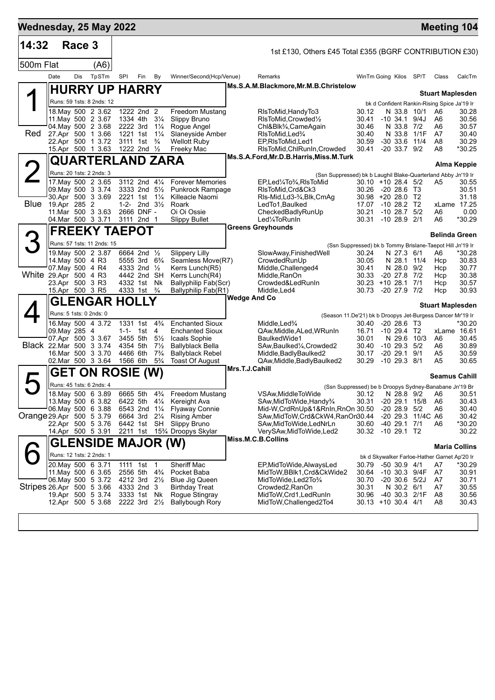| 14:32                     |                                    |        |                                                  |                      |                                        |                                  |                                                        |                |                                                                                      |                                                           |                                    |                   |                                              |                      |
|---------------------------|------------------------------------|--------|--------------------------------------------------|----------------------|----------------------------------------|----------------------------------|--------------------------------------------------------|----------------|--------------------------------------------------------------------------------------|-----------------------------------------------------------|------------------------------------|-------------------|----------------------------------------------|----------------------|
|                           |                                    | Race 3 |                                                  |                      |                                        |                                  |                                                        |                | 1st £130, Others £45 Total £355 (BGRF CONTRIBUTION £30)                              |                                                           |                                    |                   |                                              |                      |
| 500m Flat                 |                                    |        | (A6)                                             |                      |                                        |                                  |                                                        |                |                                                                                      |                                                           |                                    |                   |                                              |                      |
|                           | Date                               | Dis    | TpSTm                                            | <b>SPI</b>           | Fin                                    | By                               | Winner/Second(Hcp/Venue)                               |                | Remarks                                                                              | WinTm Going Kilos SP/T                                    |                                    |                   | Class                                        | CalcTm               |
|                           |                                    |        | <b>HURRY UP HARRY</b>                            |                      |                                        |                                  |                                                        |                | Ms.S.A.M.Blackmore, Mr.M.B.Christelow                                                |                                                           |                                    |                   | <b>Stuart Maplesden</b>                      |                      |
|                           |                                    |        | Runs: 59 1sts: 8 2nds: 12                        |                      |                                        |                                  |                                                        |                |                                                                                      |                                                           |                                    |                   | bk d Confident Rankin-Rising Spice Ja'19 Ir  |                      |
|                           |                                    |        | 18. May 500 2 3.62<br>11. May 500 2 3.67         |                      | 1222 2nd 2<br>1334 4th                 | $3\frac{1}{4}$                   | <b>Freedom Mustang</b>                                 |                | RIsToMid, HandyTo3<br>RIsToMid, Crowded <sup>1</sup> / <sub>2</sub>                  | 30.12<br>30.41                                            | N 33.8 10/1<br>$-10, 34.1, 9/4J$   |                   | A6<br>A6                                     | 30.28<br>30.56       |
|                           |                                    |        | 04. May 500 2 3.68                               | 2222 3rd             |                                        | $1\frac{1}{4}$                   | Slippy Bruno<br>Rogue Angel                            |                | Chl&Blk <sup>3</sup> / <sub>4</sub> ,CameAgain                                       | 30.46                                                     | N 33.8 7/2                         |                   | A6                                           | 30.57                |
| Red                       |                                    |        | 27.Apr 500 1 3.66                                |                      | 1221 1st 11/4                          |                                  | Slaneyside Amber                                       |                | RIsToMid, Led%                                                                       | 30.40                                                     | N 33.8 1/1F                        |                   | A7                                           | 30.40                |
|                           |                                    |        | 22.Apr 500 1 3.72                                |                      | 3111 1st                               | $\frac{3}{4}$                    | <b>Wellott Ruby</b>                                    |                | EP, RIsToMid, Led1                                                                   | 30.59                                                     | $-30, 33.6$                        | 11/4              | A8                                           | 30.29                |
|                           |                                    |        | 15.Apr 500 1 3.63                                |                      | 1222 2nd $\frac{1}{2}$                 |                                  | Freeky Mac                                             |                | RIsToMid, ChlRunIn, Crowded<br>Ms.S.A.Ford, Mr.D.B.Harris, Miss.M.Turk               | 30.41                                                     | $-20$ 33.7 $9/2$                   |                   | A8                                           | *30.25               |
|                           |                                    |        | QUARTERLAND ZARA                                 |                      |                                        |                                  |                                                        |                |                                                                                      |                                                           |                                    |                   |                                              | Alma Keppie          |
|                           |                                    |        | Runs: 20 1sts: 2 2nds: 3<br>17. May 500 2 3.65   |                      | 3112 2nd 41/4                          |                                  | <b>Forever Memories</b>                                |                | (Ssn Suppressed) bk b Laughil Blake-Quarterland Abby Jn'19 Ir<br>EP,Led¼To¼,RIsToMid | $30.10 + 1028.45/2$                                       |                                    |                   | A5                                           | 30.55                |
|                           |                                    |        | 09. May 500 3 3.74                               |                      | 3333 2nd 51/2                          |                                  | <b>Punkrock Rampage</b>                                |                | RIsToMid, Crd&Ck3                                                                    | 30.26                                                     | -20 28.6 T3                        |                   |                                              | 30.51                |
|                           |                                    |        | 30.Apr 500 3 3.69                                |                      | 2221 1st 11/4                          |                                  | Killeacle Naomi                                        |                | RIs-Mid, Ld3-3/4, Blk, CmAq                                                          | 30.98 +20 28.0 T2                                         |                                    |                   |                                              | 31.18                |
| Blue                      | 19.Apr 285 2                       |        |                                                  |                      | 1-2- 2nd $3\frac{1}{2}$                |                                  | Roark                                                  |                | LedTo1, Baulked                                                                      | 17.07                                                     | $-10$ 28.2 T2                      |                   |                                              | xLame 17.25          |
|                           |                                    |        | 11. Mar 500 3 3.63<br>04. Mar 500 3 3.71         |                      | 2666 DNF -<br>3111 2nd 1               |                                  | Oi Oi Ossie<br><b>Slippy Bullet</b>                    |                | CheckedBadlyRunUp<br>Led <sup>1</sup> / <sub>4</sub> ToRunIn                         | 30.21<br>30.31                                            | $-1028.7$<br>$-10$ 28.9 2/1        | 5/2               | A6<br>A6                                     | 0.00<br>*30.29       |
|                           |                                    |        |                                                  |                      |                                        |                                  |                                                        |                | <b>Greens Greyhounds</b>                                                             |                                                           |                                    |                   |                                              |                      |
| 3                         |                                    |        | <b>FREEKY TAEPOT</b>                             |                      |                                        |                                  |                                                        |                |                                                                                      |                                                           |                                    |                   | <b>Belinda Green</b>                         |                      |
|                           |                                    |        | Runs: 57 1sts: 11 2nds: 15<br>19. May 500 2 3.87 |                      | 6664 2nd 1/2                           |                                  |                                                        |                |                                                                                      | (Ssn Suppressed) bk b Tommy Brislane-Taepot Hill Jn'19 Ir |                                    |                   |                                              |                      |
|                           | 14. May 500 4 R3                   |        |                                                  |                      | 5555 3rd 6 <sup>3</sup> / <sub>4</sub> |                                  | <b>Slippery Lilly</b><br>Seamless Move(R7)             |                | SlowAway, Finished Well<br>CrowdedRunUp                                              | 30.24<br>30.05                                            | N 27.3 6/1<br>N 28.1               | 11/4              | A6<br>Hcp                                    | *30.28<br>30.83      |
|                           | 07 May 500 4 R4                    |        |                                                  |                      | 4333 2nd 1/2                           |                                  | Kerrs Lunch(R5)                                        |                | Middle, Challenged4                                                                  | 30.41                                                     | N 28.0 9/2                         |                   | Hcp                                          | 30.77                |
| White 29.Apr 500 4 R3     |                                    |        |                                                  |                      | 4442 2nd SH                            |                                  | Kerrs Lunch(R4)                                        |                | Middle, RanOn                                                                        | 30.33                                                     | $-20$ 27.8 $7/2$                   |                   | Hcp                                          | 30.38                |
|                           | 23.Apr 500 3 R3<br>15.Apr 500 3 R5 |        |                                                  |                      | 4332 1st Nk<br>4333 1st                | $\frac{3}{4}$                    | Ballyphilip Fab(Scr)<br>Ballyphilip Fab(R1)            |                | Crowded&LedRunIn<br>Middle, Led4                                                     | 30.23<br>30.73                                            | $+10$ 28.1 7/1<br>$-20$ 27.9 $7/2$ |                   | Hcp<br>Hcp                                   | 30.57<br>30.93       |
|                           |                                    |        | <b>GLENGAR HOLLY</b>                             |                      |                                        |                                  |                                                        | Wedge And Co   |                                                                                      |                                                           |                                    |                   |                                              |                      |
|                           | Runs: 5 1sts: 0 2nds: 0            |        |                                                  |                      |                                        |                                  |                                                        |                | (Season 11.De'21) bk b Droopys Jet-Burgess Dancer Mr'19 Ir                           |                                                           |                                    |                   | <b>Stuart Maplesden</b>                      |                      |
|                           |                                    |        | 16. May 500 4 3.72                               |                      | 1331 1st                               | $4\frac{3}{4}$                   | <b>Enchanted Sioux</b>                                 |                | Middle, Led <sup>3</sup> / <sub>4</sub>                                              | 30.40                                                     | $-20, 28.6$ T <sub>3</sub>         |                   |                                              | *30.20               |
|                           | 09. May 285 4                      |        |                                                  |                      | 1-1- 1st                               | 4                                | <b>Enchanted Sioux</b>                                 |                | QAw, Middle, ALed, WRunIn                                                            | 16.71                                                     | $-10$ 29.4 T2                      |                   |                                              | xLame 16.61          |
|                           |                                    |        | 07.Apr 500 3 3.67                                | 3455 5th             |                                        | $5\frac{1}{2}$                   | Icaals Sophie                                          |                | BaulkedWide1                                                                         | 30.01                                                     | N 29.6 10/3                        |                   | A6                                           | 30.45                |
| Black 22. Mar 500 3 3.74  |                                    |        | 16.Mar 500 3 3.70                                | 4354 5th<br>4466 6th |                                        | $7\frac{1}{2}$<br>$7\frac{3}{4}$ | Ballyblack Bella<br><b>Ballyblack Rebel</b>            |                | SAw, Baulked <sup>1</sup> / <sub>4</sub> , Crowded2<br>Middle, Badly Baulked 2       | 30.40<br>30.17                                            | $-10$ 29.3 $5/2$<br>-20 29.1       | 9/1               | A6<br>A5                                     | 30.89<br>30.59       |
|                           |                                    |        | 02.Mar 500 3 3.64                                | 1566 6th             |                                        | $5\frac{3}{4}$                   | Toast Of August                                        |                | QAw, Middle, Badly Baulked 2                                                         | 30.29                                                     | $-10$ 29.3 $8/1$                   |                   | A5                                           | 30.65                |
|                           |                                    |        | <b>GET ON ROSIE (W)</b>                          |                      |                                        |                                  |                                                        | Mrs.T.J.Cahill |                                                                                      |                                                           |                                    |                   | <b>Seamus Cahill</b>                         |                      |
| $\blacktriangleright$     |                                    |        | Runs: 45 1sts: 6 2nds: 4                         |                      |                                        |                                  |                                                        |                |                                                                                      | (Ssn Suppressed) be b Droopys Sydney-Banabane Jn'19 Br    |                                    |                   |                                              |                      |
|                           |                                    |        | 18. May 500 6 3.89                               |                      | 6665 5th                               | $4\frac{3}{4}$                   | <b>Freedom Mustang</b>                                 |                | VSAw, Middle To Wide                                                                 | 30.12                                                     |                                    |                   | N 28.8 9/2 A6                                | 30.51                |
|                           |                                    |        | 13. May 500 6 3.82                               | 6422 5th 41/4        |                                        |                                  | Kereight Ava                                           |                | SAw, MidToWide, Handy <sup>3</sup> /4                                                | 30.31                                                     | $-20$ 29.1                         | 15/8              | A6                                           | 30.43                |
|                           |                                    |        | 06. May 500 6 3.88                               |                      | 6543 2nd 11/4                          |                                  | <b>Flyaway Connie</b>                                  |                | Mid-W,CrdRnUp&1&RnIn,RnOn 30.50                                                      |                                                           | $-20$ 28.9 $5/2$                   |                   | A6                                           | 30.40                |
| Orange 29.Apr 500 5 3.79  |                                    |        | 22.Apr 500 5 3.76                                |                      | 6664 3rd 21/4<br>6442 1st SH           |                                  | <b>Rising Amber</b><br><b>Slippy Bruno</b>             |                | SAw, MidToW, Crd&CkW4, RanOn30.44<br>SAw,MidToWide,LedNrLn                           | 30.60                                                     | -40 29.1 7/1                       | -20 29.3 11/4C A6 | A6                                           | 30.42<br>*30.20      |
|                           |                                    |        | 14.Apr 500 5 3.91                                |                      |                                        |                                  | 2211 1st 15 <sup>3</sup> / <sub>4</sub> Droopys Skylar |                | VerySAw, MidToWide, Led2                                                             | 30.32                                                     | $-10$ 29.1 T2                      |                   |                                              | 30.22                |
|                           |                                    |        | <b>GLENSIDE MAJOR (W)</b>                        |                      |                                        |                                  |                                                        |                | Miss.M.C.B.Collins                                                                   |                                                           |                                    |                   |                                              | <b>Maria Collins</b> |
|                           |                                    |        | Runs: 12 1sts: 2 2nds: 1                         |                      |                                        |                                  |                                                        |                |                                                                                      |                                                           |                                    |                   | bk d Skywalker Farloe-Hather Garnet Ap'20 Ir |                      |
|                           |                                    |        | 20. May 500 6 3.71                               | 1111 1st             |                                        | $\overline{1}$                   | Sheriff Mac                                            |                | EP, MidToWide, AlwaysLed                                                             | 30.79                                                     | $-50$ 30.9 $4/1$                   |                   | A7                                           | *30.29               |
|                           |                                    |        | 11. May 500 6 3.65                               | 2556 5th             |                                        | $4\frac{3}{4}$                   | Pocket Baba                                            |                | MidToW,BBlk1,Crd&CkWide2                                                             | 30.64                                                     | -10 30.3 9/4F                      |                   | A7                                           | 30.91                |
|                           |                                    |        | 06. May 500 5 3.72                               |                      | 4212 3rd 21/2                          |                                  | Blue Jig Queen                                         |                | MidToWide, Led 2To 3/4                                                               | 30.70                                                     | $-20$ 30.6 $5/2J$                  |                   | A7                                           | 30.71                |
| Stripes 26.Apr 500 5 3.66 |                                    |        | 19.Apr 500 5 3.74                                |                      | 4333 2nd 3<br>3333 1st Nk              |                                  | <b>Birthday Treat</b><br>Rogue Stingray                |                | Crowded2, RanOn<br>MidToW, Crd1, Led Run In                                          | 30.31<br>30.96                                            | N 30.2 6/1<br>-40 30.3 2/1F        |                   | A7<br>A <sub>8</sub>                         | 30.55<br>30.56       |
|                           |                                    |        | 12.Apr 500 5 3.68                                |                      | 2222 3rd 21/2                          |                                  | <b>Ballybough Rory</b>                                 |                | MidToW, Challenged 2To 4                                                             | 30.13 +10 30.4 4/1                                        |                                    |                   | A8                                           | 30.43                |
|                           |                                    |        |                                                  |                      |                                        |                                  |                                                        |                |                                                                                      |                                                           |                                    |                   |                                              |                      |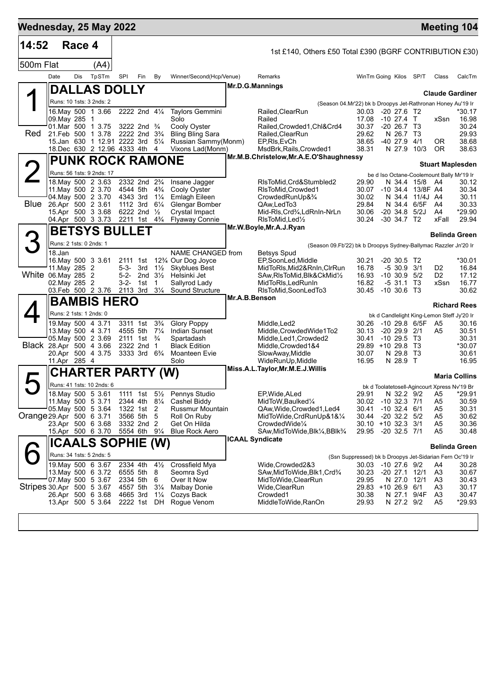| Wednesday, 25 May 2022<br>14:52 |                         | Race 4 |                                                   |                      |                                         |                      |                                                                      |               |                                                                 |                |                                                                                |                      |                | <b>Meeting 104</b>      |
|---------------------------------|-------------------------|--------|---------------------------------------------------|----------------------|-----------------------------------------|----------------------|----------------------------------------------------------------------|---------------|-----------------------------------------------------------------|----------------|--------------------------------------------------------------------------------|----------------------|----------------|-------------------------|
|                                 |                         |        |                                                   |                      |                                         |                      |                                                                      |               | 1st £140, Others £50 Total £390 (BGRF CONTRIBUTION £30)         |                |                                                                                |                      |                |                         |
| 500m Flat                       |                         |        | (A4)                                              |                      |                                         |                      |                                                                      |               |                                                                 |                |                                                                                |                      |                |                         |
|                                 | Date                    | Dis    | TpSTm                                             | SPI                  | Fin                                     | By                   | Winner/Second(Hcp/Venue)                                             |               | Remarks                                                         |                | WinTm Going Kilos SP/T                                                         |                      | Class          | CalcTm                  |
|                                 |                         |        | DALLAS DOLLY                                      |                      |                                         |                      |                                                                      |               | Mr.D.G.Mannings                                                 |                |                                                                                |                      |                | <b>Claude Gardiner</b>  |
|                                 |                         |        | Runs: 10 1sts: 3 2nds: 2                          |                      |                                         |                      |                                                                      |               | (Season 04.Mr'22) bk b Droopys Jet-Rathronan Honey Au'19 Ir     |                |                                                                                |                      |                |                         |
|                                 | 09. May 285 1           |        | 16. May 500 1 3.66                                |                      | 2222 2nd 41/4                           |                      | Taylors Gemmini<br>Solo                                              |               | Railed, ClearRun<br>Railed                                      | 30.03<br>17.08 | -20 27.6 T2<br>$-10$ 27.4 T                                                    |                      | xSsn           | *30.17<br>16.98         |
|                                 |                         |        | 01.Mar 500 1 3.75                                 |                      | 3222 2nd $\frac{3}{4}$                  |                      | Cooly Oyster                                                         |               | Railed, Crowded 1, Chl&Crd4                                     | 30.37          | $-20, 26.7, 73$                                                                |                      |                | 30.24                   |
| Red                             |                         |        | 21. Feb 500 1 3.78<br>15.Jan 630 1 12.91 2222 3rd |                      | 2222 2nd 3 <sup>3</sup> / <sub>4</sub>  | $5\frac{1}{4}$       | <b>Bling Bling Sara</b><br>Russian Sammy(Monm)                       |               | Railed, ClearRun<br>EP, RIs, EvCh                               | 29.62<br>38.65 | N 26.7 T3<br>-40 27.9                                                          | 4/1                  | 0R             | 29.93<br>38.68          |
|                                 |                         |        | 18. Dec 630 2 12.96 4333 4th 4                    |                      |                                         |                      | Vixons Lad(Monm)                                                     |               | MsdBrk, Rails, Crowded1                                         | 38.31          | N 27.9 10/3                                                                    |                      | <b>OR</b>      | 38.63                   |
|                                 |                         |        | <b>PUNK ROCK RAMONE</b>                           |                      |                                         |                      |                                                                      |               | Mr.M.B.Christelow, Mr.A.E.O'Shaughnessy                         |                |                                                                                |                      |                | <b>Stuart Maplesden</b> |
|                                 |                         |        | Runs: 56 1sts: 9 2nds: 17                         |                      |                                         |                      |                                                                      |               |                                                                 |                | be d Iso Octane-Coolemount Bally Mr'19 Ir                                      |                      |                |                         |
|                                 |                         |        | 18. May 500 2 3.63<br>11. May 500 2 3.70          | 4544 5th             | 2332 2nd 2 <sup>3</sup> / <sub>4</sub>  | $4\frac{3}{4}$       | Insane Jagger<br>Cooly Oyster                                        |               | RIsToMid, Crd&Stumbled2<br>RIsToMid, Crowded1                   | 29.90<br>30.07 | N 34.4 15/8<br>-10 34.4 13/8F A4                                               |                      | A4             | 30.12<br>30.34          |
|                                 |                         |        | 04. May 500 2 3.70                                | 4343 3rd             |                                         | $1\frac{1}{4}$       | Emlagh Eileen                                                        |               | CrowdedRunUp&3/4                                                | 30.02          | N 34.4 11/4J A4                                                                |                      |                | 30.11                   |
| Blue                            |                         |        | 26.Apr 500 2 3.61<br>15.Apr 500 3 3.68            | 1112 3rd             | 6222 2nd 1/2                            | $6\frac{1}{4}$       | Glengar Bomber<br>Crystal Impact                                     |               | QAw.LedTo3<br>Mid-RIs, Crd3⁄4, LdRnIn-NrLn                      | 29.84<br>30.06 | N 34.4 6/5F<br>$-20, 34.8$                                                     | 5/2J                 | - A4<br>A4     | 30.33<br>*29.90         |
|                                 |                         |        | 04.Apr 500 3 3.73                                 |                      | 2211 1st 4 <sup>3</sup> / <sub>4</sub>  |                      | <b>Flyaway Connie</b>                                                |               | RIsToMid, Led <sup>1</sup> / <sub>2</sub>                       | 30.24          | $-30$ 34.7 T <sub>2</sub>                                                      |                      | xFall          | 29.94                   |
|                                 |                         |        | <b>BETSYS BULLET</b>                              |                      |                                         |                      |                                                                      |               | Mr.W.Boyle, Mr.A.J.Ryan                                         |                |                                                                                |                      |                | <b>Belinda Green</b>    |
|                                 | Runs: 2 1sts: 0 2nds: 1 |        |                                                   |                      |                                         |                      |                                                                      |               | (Season 09.Fb'22) bk b Droopys Sydney-Ballymac Razzler Jn'20 Ir |                |                                                                                |                      |                |                         |
|                                 | 18.Jan                  |        |                                                   |                      |                                         |                      | NAME CHANGED from                                                    |               | Betsys Spud                                                     |                |                                                                                |                      |                |                         |
|                                 | 11. May 285 2           |        | 16. May 500 3 3.61                                | 2111 1st<br>5-3-     | 3rd                                     | $1\frac{1}{2}$       | 12 <sup>3</sup> / <sub>4</sub> Our Dog Joyce<br><b>Skyblues Best</b> |               | EP,SoonLed,Middle<br>MidToRIs, Mid2&RnIn, CIrRun                | 30.21<br>16.78 | $-20, 30.5, T2$<br>$-530.93/1$                                                 |                      | D2             | *30.01<br>16.84         |
| White 06. May 285 2             |                         |        |                                                   |                      | 5-2- 2nd $3\frac{1}{2}$                 |                      | Helsinki Jet                                                         |               | SAw, RIsToMid, BIK& CkMid1/2                                    | 16.93          | $-10, 30.9$                                                                    | 5/2                  | D <sub>2</sub> | 17.12                   |
|                                 | 02. May 285 2           |        | 03.Feb 500 2 3.76                                 | 3-2- 1st<br>2113 3rd |                                         | -1<br>$3\frac{1}{4}$ | Sallyrod Lady<br>Sound Structure                                     |               | MidToRIs, Led Run In<br>RIsToMid, SoonLedTo3                    | 16.82          | $-531.1$<br>30.45 -10 30.6 T3                                                  | T3                   | xSsn           | 16.77<br>30.62          |
|                                 |                         |        | <b>BAMBIS HERO</b>                                |                      |                                         |                      |                                                                      | Mr.A.B.Benson |                                                                 |                |                                                                                |                      |                |                         |
|                                 |                         |        | Runs: 2 1sts: 1 2nds: 0                           |                      |                                         |                      |                                                                      |               |                                                                 |                | bk d Candlelight King-Lemon Steff Jy'20 Ir                                     |                      |                | <b>Richard Rees</b>     |
|                                 |                         |        | 19. May 500 4 3.71                                |                      | 3311 1st                                | $3\frac{3}{4}$       | <b>Glory Poppy</b>                                                   |               | Middle, Led <sub>2</sub>                                        | 30.26          | $-1029.86/5F$                                                                  |                      | A5             | 30.16                   |
|                                 |                         |        | 13 May 500 4 3.71<br>05 May 500 2 3.69            |                      | 4555 5th 71/4<br>2111 1st $\frac{3}{4}$ |                      | <b>Indian Sunset</b><br>Spartadash                                   |               | Middle, Crowded Wide1To2<br>Middle, Led1, Crowded2              | 30.13<br>30.41 | $-20$ 29.9 $2/1$<br>$-10, 29.5, 13$                                            |                      | A5             | 30.51<br>30.31          |
| Black 28.Apr 500 4 3.66         |                         |        |                                                   |                      | 2322 2nd                                | $\overline{1}$       | <b>Black Edition</b>                                                 |               | Middle, Crowded 1&4                                             |                | 29.89 +10 29.8                                                                 | - ТЗ                 |                | *30.07                  |
|                                 | 11.Apr 285 4            |        | 20.Apr 500 4 3.75                                 |                      | 3333 3rd 6 <sup>3</sup> / <sub>4</sub>  |                      | Moanteen Evie<br>Solo                                                |               | SlowAway, Middle<br>WideRunUp, Middle                           | 30.07<br>16.95 | N 29.8<br>N 28.9                                                               | - ТЗ<br>$\mathsf{T}$ |                | 30.61<br>16.95          |
|                                 |                         |        | CHARTER PARTY (W)                                 |                      |                                         |                      |                                                                      |               | Miss.A.L.Taylor, Mr.M.E.J. Willis                               |                |                                                                                |                      |                |                         |
|                                 |                         |        | Runs: 41 1sts: 10 2nds: 6                         |                      |                                         |                      |                                                                      |               |                                                                 |                |                                                                                |                      |                | <b>Maria Collins</b>    |
|                                 |                         |        | 18. May 500 5 3.61                                |                      | 1111 1st                                |                      | 5 <sup>1</sup> / <sub>2</sub> Pennys Studio                          |               | EP, Wide, ALed                                                  | 29.91          | bk d Toolatetosell-Agincourt Xpress Nv'19 Br<br>N 32.2 9/2                     |                      | A5             | *29.91                  |
|                                 |                         |        | 11. May 500 5 3.71                                |                      | 2344 4th 81/4                           |                      | Cashel Biddy                                                         |               | MidToW, Baulked1/4                                              |                | 30.02 -10 32.3 7/1                                                             |                      | A <sub>5</sub> | 30.59                   |
| Orange 29.Apr 500 6 3.71        |                         |        | 05 May 500 5 3.64                                 |                      | 1322 1st 2<br>3566 5th 5                |                      | Russmur Mountain<br>Roll On Ruby                                     |               | QAw,Wide,Crowded1,Led4<br>MidToWide,CrdRunUp&1&1⁄4              | 30.41<br>30.44 | $-10$ 32.4 $6/1$<br>$-20$ 32.2 $5/2$                                           |                      | A5<br>A5       | 30.31<br>30.62          |
|                                 |                         |        | 23.Apr 500 6 3.68                                 |                      | 3332 2nd 2                              |                      | Get On Hilda                                                         |               | CrowdedWide <sup>1/4</sup>                                      |                | 30.10 +10 32.3 3/1                                                             |                      | A5             | 30.36                   |
|                                 |                         |        | 15.Apr 500 6 3.70                                 |                      | 5554 6th 91/4                           |                      | <b>Blue Rock Aero</b>                                                |               | SAw, MidToWide, Blk1/4, BBlk3/4<br><b>ICAAL Syndicate</b>       |                | 29.95 -20 32.5 7/1                                                             |                      | A5             | 30.48                   |
|                                 |                         |        | ICAALS SOPHIE (W)                                 |                      |                                         |                      |                                                                      |               |                                                                 |                |                                                                                |                      |                | <b>Belinda Green</b>    |
|                                 |                         |        | Runs: 34 1sts: 5 2nds: 5<br>19. May 500 6 3.67    |                      | 2334 4th                                | $4\frac{1}{2}$       | Crossfield Mya                                                       |               | Wide,Crowded2&3                                                 |                | (Ssn Suppressed) bk b Droopys Jet-Sidarian Fern Oc'19 Ir<br>30.03 -10 27.6 9/2 |                      | A4             | 30.28                   |
|                                 |                         |        | 13. May 500 6 3.72                                | 6555 5th             |                                         | 8                    | Seomra Syd                                                           |               | SAw,MidToWide,Blk1,Crd3⁄4                                       | 30.23          | $-20$ 27.1                                                                     | 12/1                 | A <sub>3</sub> | 30.67                   |
| Stripes 30 Apr 500 5 3.67       |                         |        | 07 May 500 5 3.67                                 | 4557 5th             | 2334 5th 6                              | $3\frac{1}{4}$       | Over It Now<br><b>Malbay Donie</b>                                   |               | MidToWide, ClearRun<br>Wide, ClearRun                           | 29.95          | N 27.0 12/1<br>29.83 +10 26.9 6/1                                              |                      | A3<br>A3       | 30.43<br>30.17          |
|                                 |                         |        | 26.Apr 500 6 3.68                                 | 4665 3rd             |                                         | $1\frac{1}{4}$       | Cozys Back                                                           |               | Crowded1                                                        | 30.38          | N 27.1 9/4F                                                                    |                      | A <sub>3</sub> | 30.47                   |
|                                 |                         |        | 13.Apr 500 5 3.64                                 | 2222 1st             |                                         | DH                   | Rogue Venom                                                          |               | MiddleToWide, RanOn                                             | 29.93          | N 27.2 9/2                                                                     |                      | A <sub>5</sub> | *29.93                  |
|                                 |                         |        |                                                   |                      |                                         |                      |                                                                      |               |                                                                 |                |                                                                                |                      |                |                         |
|                                 |                         |        |                                                   |                      |                                         |                      |                                                                      |               |                                                                 |                |                                                                                |                      |                |                         |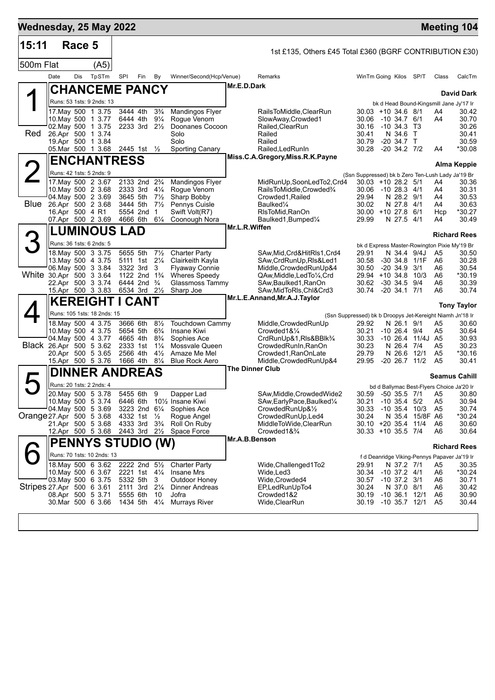| Wednesday, 25 May 2022<br>15:11 |                 | Race 5 |                                                |                      |                                                         |                                  |                                               |                        |                                                            |                                                           |                                        |                       |                      | <b>Meeting 104</b>                                    |
|---------------------------------|-----------------|--------|------------------------------------------------|----------------------|---------------------------------------------------------|----------------------------------|-----------------------------------------------|------------------------|------------------------------------------------------------|-----------------------------------------------------------|----------------------------------------|-----------------------|----------------------|-------------------------------------------------------|
|                                 |                 |        |                                                |                      |                                                         |                                  |                                               |                        | 1st £135, Others £45 Total £360 (BGRF CONTRIBUTION £30)    |                                                           |                                        |                       |                      |                                                       |
| 500m Flat                       |                 |        | (A5)                                           |                      |                                                         |                                  |                                               |                        |                                                            |                                                           |                                        |                       |                      |                                                       |
|                                 | Date            | Dis    | TpSTm                                          | SPI                  | Fin                                                     | By                               | Winner/Second(Hcp/Venue)                      |                        | Remarks                                                    | WinTm Going Kilos                                         |                                        | SP/T                  | Class                | CalcTm                                                |
|                                 |                 |        | <b>CHANCEME PANCY</b>                          |                      |                                                         |                                  |                                               | Mr.E.D.Dark            |                                                            |                                                           |                                        |                       |                      | <b>David Dark</b>                                     |
|                                 |                 |        | Runs: 53 1sts: 9 2nds: 13                      |                      |                                                         |                                  |                                               |                        |                                                            |                                                           |                                        |                       |                      | bk d Head Bound-Kingsmill Jane Jy'17 Ir               |
|                                 |                 |        | 17 May 500 1 3.75<br>10. May 500 1 3.77        | 3444 4th<br>6444 4th |                                                         | $3\frac{3}{4}$<br>$9\frac{1}{4}$ | Mandingos Flyer<br>Rogue Venom                |                        | RailsToMiddle.ClearRun<br>SlowAway, Crowded1               | $30.03 + 10.34.6$ 8/1<br>30.06                            | -10 34.7 6/1                           |                       | A4<br>A4             | 30.42<br>30.70                                        |
|                                 |                 |        | 02. May 500 1 3.75                             |                      | 2233 3rd $2\frac{1}{2}$                                 |                                  | Doonanes Cocoon                               |                        | Railed, ClearRun                                           | 30.16                                                     | $-10, 34.3, 13$                        |                       |                      | 30.26                                                 |
| Red                             |                 |        | 26.Apr 500 1 3.74<br>19.Apr 500 1 3.84         |                      |                                                         |                                  | Solo<br>Solo                                  |                        | Railed<br>Railed                                           | 30.41<br>30.79                                            | N 34.6<br>$-20, 34.7$ T                | $\top$                |                      | 30.41<br>30.59                                        |
|                                 |                 |        | 05. Mar 500 1 3.68                             |                      | 2445 1st ½                                              |                                  | <b>Sporting Canary</b>                        |                        | Railed, Led Run In                                         | 30.28                                                     | $-20$ 34.2 $7/2$                       |                       | A4                   | *30.08                                                |
|                                 |                 |        | <b>ENCHANTRESS</b>                             |                      |                                                         |                                  |                                               |                        | Miss.C.A.Gregory, Miss.R.K.Payne                           |                                                           |                                        |                       |                      |                                                       |
|                                 |                 |        | Runs: 42 1sts: 5 2nds: 9                       |                      |                                                         |                                  |                                               |                        |                                                            | (Ssn Suppressed) bk b Zero Ten-Lush Lady Ja'19 Br         |                                        |                       |                      | <b>Alma Keppie</b>                                    |
|                                 |                 |        | 17. May 500 2 3.67                             |                      | 2133 2nd 2 <sup>3</sup> / <sub>4</sub>                  |                                  | <b>Mandingos Flyer</b>                        |                        | MidRunUp,SoonLedTo2,Crd4                                   | $30.03 + 10.28.2$ 5/1                                     |                                        |                       | A4                   | 30.36                                                 |
|                                 |                 |        | 10. May 500 2 3.68<br>04. May 500 2 3.69       | 3645 5th             | 2333 3rd 41/4                                           | $7\frac{1}{2}$                   | Rogue Venom<br>Sharp Bobby                    |                        | RailsToMiddle,Crowded%<br>Crowded1, Railed                 | 30.06<br>29.94                                            | -10 28.3 4/1<br>N 28.2 9/1             |                       | A4<br>A4             | 30.31<br>30.53                                        |
| Blue                            |                 |        | 26.Apr 500 2 3.68                              | 3444 5th             |                                                         | $7\frac{1}{2}$                   | Pennys Cuisle                                 |                        | Baulked <sup>1/4</sup>                                     | 30.02                                                     | N 27.8                                 | - 4/1                 | A4                   | 30.63                                                 |
|                                 | 16.Apr 500 4 R1 |        | 07.Apr 500 2 3.69                              | 4666 6th             | 5554 2nd                                                | $\mathbf 1$<br>$6\frac{1}{4}$    | Swift Volt(R7)<br>Coonough Nora               |                        | RIsToMid, RanOn<br>Baulked1, Bumped1/4                     | $30.00 + 1027.8$<br>29.99                                 | N 27.5 4/1                             | 6/1                   | Hcp<br>A4            | *30.27<br>30.49                                       |
|                                 |                 |        | <b>LUMINOUS LAD</b>                            |                      |                                                         |                                  |                                               | Mr.L.R.Wiffen          |                                                            |                                                           |                                        |                       |                      |                                                       |
| З                               |                 |        |                                                |                      |                                                         |                                  |                                               |                        |                                                            |                                                           |                                        |                       |                      | <b>Richard Rees</b>                                   |
|                                 |                 |        | Runs: 36 1sts: 6 2nds: 5<br>18. May 500 3 3.75 | 5655 5th             |                                                         | $7\frac{1}{2}$                   | <b>Charter Party</b>                          |                        | SAw, Mid, Crd& HitRIs1, Crd4                               | 29.91                                                     | N 34.4 9/4J                            |                       | A5                   | bk d Express Master-Rowington Pixie My'19 Br<br>30.50 |
|                                 |                 |        | 13. May 500 4 3.75                             |                      | 5111 1st 21/4                                           |                                  | Clairkeith Kayla                              |                        | SAw, CrdRunUp, RIs&Led1                                    | 30.58                                                     | $-30, 34.8$                            | 1/1F                  | A6                   | 30.28                                                 |
| White 30.Apr 500 3 3.64         |                 |        | 06 May 500 3 3.84                              | 3322 3rd             | 1122 2nd 1 <sup>3</sup> / <sub>4</sub>                  | 3                                | <b>Flyaway Connie</b><br><b>Wheres Speedy</b> |                        | Middle,CrowdedRunUp&4<br>QAw, Middle, Led To 1/4, Crd      | 30.50<br>29.94 +10 34.8                                   | $-20.34.9$                             | 3/1<br>10/3           | A6<br>A6             | 30.54<br>*30.19                                       |
|                                 |                 |        | 22.Apr 500 3 3.74                              |                      | 6444 2nd <sup>3</sup> / <sub>4</sub>                    |                                  | Glassmoss Tammy                               |                        | SAw, Baulked 1, RanOn                                      | 30.62                                                     | $-30$ 34.5 $9/4$                       |                       | A6                   | 30.39                                                 |
|                                 |                 |        | 15.Apr 500 3 3.83                              | 6534 3rd             |                                                         | $2\frac{1}{2}$                   | Sharp Joe                                     |                        | SAw, Mid To RIs, ChI& Crd3<br>Mr.L.E.Annand, Mr.A.J.Taylor | 30.74                                                     | $-20, 34.1, 7/1$                       |                       | A6                   | 30.74                                                 |
|                                 |                 |        | <b>KEREIGHT I CANT</b>                         |                      |                                                         |                                  |                                               |                        |                                                            |                                                           |                                        |                       |                      | <b>Tony Taylor</b>                                    |
|                                 |                 |        | Runs: 105 1sts: 18 2nds: 15                    |                      |                                                         |                                  |                                               |                        |                                                            | (Ssn Suppressed) bk b Droopys Jet-Kereight Niamh Jn'18 Ir |                                        |                       |                      |                                                       |
|                                 |                 |        | 18. May 500 4 3.75<br>10. May 500 4 3.75       | 3666 6th<br>5654 5th |                                                         | $8\frac{1}{2}$<br>$6\frac{3}{4}$ | <b>Touchdown Cammy</b><br>Insane Kiwi         |                        | Middle, Crowded RunUp<br>Crowded1&1/4                      | 29.92<br>30.21                                            | N 26.1 9/1<br>$-10, 26.4, 9/4$         |                       | A5<br>A5             | 30.60<br>30.64                                        |
|                                 |                 |        | 04 May 500 4 3.77                              | 4665 4th             |                                                         | $8\frac{3}{4}$                   | Sophies Ace                                   |                        | CrdRunUp&1,RIs&BBIk3/4                                     | 30.33                                                     |                                        | -10 26.4 11/4J A5     |                      | 30.93                                                 |
| Black 26.Apr 500 5 3.62         |                 |        | 20.Apr 500 5 3.65                              | 2333 1st<br>2566 4th |                                                         | $1\frac{1}{4}$<br>$4\frac{1}{2}$ | Mossvale Queen<br>Amaze Me Mel                |                        | CrowdedRunIn, RanOn<br>Crowded1, RanOnLate                 | 30.23<br>29.79                                            | N 26.4 7/4<br>N 26.6 12/1              |                       | A5<br>A5             | 30.23<br>*30.16                                       |
|                                 |                 |        | 15.Apr 500 5 3.76                              | 1666 4th             |                                                         | $8\frac{1}{4}$                   | <b>Blue Rock Aero</b>                         |                        | Middle,CrowdedRunUp&4                                      | 29.95                                                     | $-20$ 26.7 $11/2$                      |                       | A5                   | 30.41                                                 |
|                                 |                 |        | <b>DINNER ANDREAS</b>                          |                      |                                                         |                                  |                                               | <b>The Dinner Club</b> |                                                            |                                                           |                                        |                       |                      | <b>Seamus Cahill</b>                                  |
|                                 |                 |        | Runs: 20 1sts: 2 2nds: 4                       |                      |                                                         |                                  |                                               |                        |                                                            |                                                           |                                        |                       |                      | bd d Ballymac Best-Flyers Choice Ja'20 Ir             |
|                                 |                 |        | 20. May 500 5 3.78<br>10. May 500 5 3.74       |                      | 5455 6th                                                | 9                                | Dapper Lad                                    |                        | SAw, Middle, Crowded Wide2                                 |                                                           |                                        | 30.59 -50 35.5 7/1 A5 |                      | 30.80                                                 |
|                                 |                 |        | 04 May 500 5 3.69                              |                      | 3223 2nd 61/4                                           |                                  | 6446 6th 101/2 Insane Kiwi<br>Sophies Ace     |                        | SAw, Early Pace, Baulked 1/4<br>CrowdedRunUp&1/2           | 30.21<br>30.33                                            | $-10$ 35.4 $5/2$<br>$-10$ 35.4 $10/3$  |                       | A <sub>5</sub><br>A5 | 30.94<br>30.74                                        |
| Orange 27.Apr 500 5 3.68        |                 |        |                                                | 4332 1st             |                                                         | $\frac{1}{2}$                    | Roque Angel                                   |                        | CrowdedRunUp,Led4                                          | 30.24                                                     |                                        | N 35.4 15/8F A6       |                      | *30.24                                                |
|                                 |                 |        | 21.Apr 500 5 3.68<br>12.Apr 500 5 3.68         |                      | 4333 3rd 3 <sup>3</sup> / <sub>4</sub><br>2443 3rd 21/2 |                                  | Roll On Ruby<br>Space Force                   |                        | MiddleToWide,ClearRun<br>Crowded1& <sup>3</sup> /4         | 30.10 +20 35.4 11/4<br>30.33 +10 35.5 7/4                 |                                        |                       | A6<br>A6             | 30.60<br>30.64                                        |
|                                 |                 |        | <b>PENNYS STUDIO (W)</b>                       |                      |                                                         |                                  |                                               | Mr.A.B.Benson          |                                                            |                                                           |                                        |                       |                      |                                                       |
|                                 |                 |        | Runs: 70 1sts: 10 2nds: 13                     |                      |                                                         |                                  |                                               |                        |                                                            |                                                           |                                        |                       |                      | <b>Richard Rees</b>                                   |
|                                 |                 |        | 18. May 500 6 3.62                             |                      | 2222 2nd 51/2                                           |                                  | <b>Charter Party</b>                          |                        | Wide,Challenged1To2                                        | 29.91                                                     | N 37.2 7/1                             |                       | A5                   | f d Deanridge Viking-Pennys Papaver Ja'19 Ir<br>30.35 |
|                                 |                 |        | 10. May 500 6 3.67<br>03 May 500 6 3.75        | 5332 5th             | 2221 1st 41/4                                           | 3                                | Insane Mrs                                    |                        | Wide, Led 3                                                | 30.34<br>30.57                                            | $-10$ 37.2 $4/1$<br>$-10$ 37.2 3/1     |                       | A6                   | *30.24<br>30.71                                       |
| Stripes 27 Apr 500 6 3 61       |                 |        |                                                | 2111 3rd             |                                                         | $2\frac{1}{4}$                   | Outdoor Honey<br><b>Dinner Andreas</b>        |                        | Wide,Crowded4<br>EP,LedRunUpTo4                            | 30.24                                                     | N 37.0 8/1                             |                       | A6<br>A6             | 30.42                                                 |
|                                 |                 |        | 08.Apr 500 5 3.71<br>30 Mar 500 6 3.66         | 5555 6th             | 1434 5th                                                | 10<br>$4\frac{1}{4}$             | Jofra<br><b>Murrays River</b>                 |                        | Crowded1&2<br>Wide, ClearRun                               | 30.19<br>30.19                                            | $-10$ 36.1 $12/1$<br>$-10$ 35.7 $12/1$ |                       | A6<br>A5             | 30.90<br>30.44                                        |
|                                 |                 |        |                                                |                      |                                                         |                                  |                                               |                        |                                                            |                                                           |                                        |                       |                      |                                                       |
|                                 |                 |        |                                                |                      |                                                         |                                  |                                               |                        |                                                            |                                                           |                                        |                       |                      |                                                       |
|                                 |                 |        |                                                |                      |                                                         |                                  |                                               |                        |                                                            |                                                           |                                        |                       |                      |                                                       |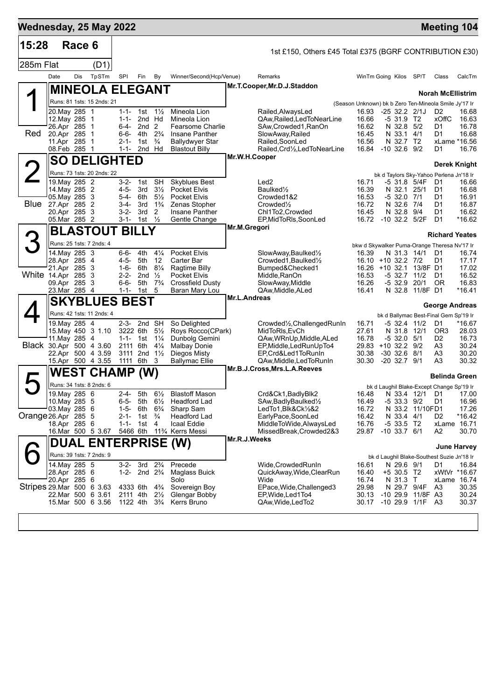| Wednesday, 25 May 2022    |                                                                                                                           |        |                         |                                                                       |                                                         |                                                                                       |                                                                                                                                        |               |                                                                                                                                                                                    |                                                    |                                                                                                                                             |                                   | <b>Meeting 104</b>                                                                 |                                                                 |
|---------------------------|---------------------------------------------------------------------------------------------------------------------------|--------|-------------------------|-----------------------------------------------------------------------|---------------------------------------------------------|---------------------------------------------------------------------------------------|----------------------------------------------------------------------------------------------------------------------------------------|---------------|------------------------------------------------------------------------------------------------------------------------------------------------------------------------------------|----------------------------------------------------|---------------------------------------------------------------------------------------------------------------------------------------------|-----------------------------------|------------------------------------------------------------------------------------|-----------------------------------------------------------------|
| 15:28                     |                                                                                                                           | Race 6 |                         |                                                                       |                                                         |                                                                                       |                                                                                                                                        |               | 1st £150, Others £45 Total £375 (BGRF CONTRIBUTION £30)                                                                                                                            |                                                    |                                                                                                                                             |                                   |                                                                                    |                                                                 |
| 285m Flat                 |                                                                                                                           |        | (D1)                    |                                                                       |                                                         |                                                                                       |                                                                                                                                        |               |                                                                                                                                                                                    |                                                    |                                                                                                                                             |                                   |                                                                                    |                                                                 |
|                           | Date                                                                                                                      | Dis    | TpSTm                   | SPI                                                                   | Fin                                                     | By                                                                                    | Winner/Second(Hcp/Venue)                                                                                                               |               | Remarks                                                                                                                                                                            |                                                    | WinTm Going Kilos                                                                                                                           | SP/T                              | Class                                                                              | CalcTm                                                          |
|                           |                                                                                                                           |        |                         | <b>MINEOLA ELEGANT</b>                                                |                                                         |                                                                                       |                                                                                                                                        |               | Mr.T.Cooper, Mr.D.J.Staddon                                                                                                                                                        |                                                    |                                                                                                                                             |                                   | <b>Norah McEllistrim</b>                                                           |                                                                 |
|                           | Runs: 81 1sts: 15 2nds: 21                                                                                                |        |                         |                                                                       |                                                         |                                                                                       |                                                                                                                                        |               |                                                                                                                                                                                    |                                                    | (Season Unknown) bk b Zero Ten-Mineola Smile Jy'17 Ir                                                                                       |                                   |                                                                                    |                                                                 |
| Red                       | 20. May 285 1<br>12. May 285 1<br>26.Apr 285<br>20.Apr 285<br>11.Apr 285                                                  |        | -1<br>-1<br>$\mathbf 1$ | $1 - 1 -$<br>$1 - 1 -$<br>6-4-<br>$6 - 6 -$<br>$2 - 1 -$              | 1st $1\frac{1}{2}$<br>2nd Hd<br>2nd <sub>2</sub><br>4th | $2\frac{3}{4}$<br>$\frac{3}{4}$                                                       | Mineola Lion<br>Mineola Lion<br>Fearsome Charlie<br>Insane Panther                                                                     |               | Railed, Always Led<br>QAw, Railed, Led To Near Line<br>SAw, Crowded 1, RanOn<br>SlowAway, Railed<br>Railed, SoonLed                                                                | 16.93<br>16.66<br>16.62<br>16.45<br>16.56          | $-2532.221J$<br>$-531.9$ T <sub>2</sub><br>N 32.8 5/2<br>N 33.1 4/1<br>N 32.7 T2                                                            |                                   | D <sub>2</sub><br>xOffC<br>D1<br>D1                                                | 16.68<br>16.63<br>16.78<br>16.68<br>xLame *16.56                |
|                           | 08.Feb 285 1                                                                                                              |        |                         | 1-1-                                                                  | 1st<br>2nd Hd                                           |                                                                                       | <b>Ballydwyer Star</b><br><b>Blastout Billy</b>                                                                                        |               | Railed, Crd1/2, Led ToNearLine                                                                                                                                                     | 16.84                                              | $-10$ 32.6 $9/2$                                                                                                                            |                                   | D1                                                                                 | 16.76                                                           |
|                           |                                                                                                                           |        |                         | <b>SO DELIGHTED</b>                                                   |                                                         |                                                                                       |                                                                                                                                        | Mr.W.H.Cooper |                                                                                                                                                                                    |                                                    |                                                                                                                                             |                                   |                                                                                    | Derek Knight                                                    |
| $\angle$                  | Runs: 73 1sts: 20 2nds: 22                                                                                                |        |                         |                                                                       |                                                         |                                                                                       |                                                                                                                                        |               |                                                                                                                                                                                    |                                                    | bk d Taylors Sky-Yahoo Perlena Jn'18 Ir                                                                                                     |                                   |                                                                                    |                                                                 |
| Blue                      | 19. May 285 2<br>14. May 285 2<br>05. May 285 3<br>27.Apr 285 2<br>20.Apr 285<br>05.Mar 285 2                             |        | -3                      | $3 - 2 -$<br>$4 - 5 -$<br>$5 - 4 -$<br>$3-4-$<br>$3 - 2 -$<br>3-1-    | 1st<br>3rd<br>6th<br>3rd<br>3rd<br>1st                  | <b>SH</b><br>$3\frac{1}{2}$<br>$5\frac{1}{2}$<br>$1\frac{3}{4}$<br>2<br>$\frac{1}{2}$ | <b>Skyblues Best</b><br><b>Pocket Elvis</b><br><b>Pocket Elvis</b><br>Zenas Stopher<br>Insane Panther<br>Gentle Change                 |               | Led <sub>2</sub><br>Baulked <sup>1/2</sup><br>Crowded1&2<br>Crowded <sup>1</sup> / <sub>2</sub><br>Chl1To2, Crowded<br>EP, MidToRIs, SoonLed                                       | 16.71<br>16.39<br>16.53<br>16.72<br>16.45          | -5 31.8 5/4F<br>N 32.1 25/1<br>-5 32.0<br>N 32.6 7/4<br>N 32.8 9/4<br>16.72 -10 32.2 5/2F                                                   | 7/1                               | D1<br>D1<br>D1<br>D1<br>D1<br>D <sub>1</sub>                                       | 16.66<br>16.68<br>16.91<br>16.87<br>16.62<br>*16.62             |
|                           |                                                                                                                           |        |                         | <b>BLASTOUT BILLY</b>                                                 |                                                         |                                                                                       |                                                                                                                                        | Mr.M.Gregori  |                                                                                                                                                                                    |                                                    |                                                                                                                                             |                                   | <b>Richard Yeates</b>                                                              |                                                                 |
| 3                         | Runs: 25 1sts: 7 2nds: 4                                                                                                  |        |                         |                                                                       |                                                         |                                                                                       |                                                                                                                                        |               |                                                                                                                                                                                    |                                                    | bkw d Skywalker Puma-Orange Theresa Nv'17 Ir                                                                                                |                                   |                                                                                    |                                                                 |
| White 14.Apr 285 3        | 14. May 285 3<br>28.Apr 285 4<br>21.Apr 285 3<br>09.Apr 285 3<br>23.Mar 285 4                                             |        |                         | 6-6-<br>$4 - 5 -$<br>$1 - 6 -$<br>$2 - 2 -$<br>$6 - 6 -$<br>$1 - 1 -$ | 4th<br>5th<br>6th<br>2 <sub>nd</sub><br>5th<br>1st      | $4\frac{1}{4}$<br>12<br>$8\frac{1}{4}$<br>$\frac{1}{2}$<br>$7\frac{3}{4}$<br>5        | Pocket Elvis<br>Carter Bar<br>Ragtime Billy<br>Pocket Elvis<br><b>Crossfield Dusty</b><br>Baran Mary Lou                               |               | SlowAway, Baulked <sup>1</sup> / <sub>2</sub><br>Crowded1.Baulked1/2<br>Bumped&Checked1<br>Middle, RanOn<br>SlowAway, Middle<br>QAw, Middle, ALed                                  | 16.39<br>16.53<br>16.26<br>16.41                   | N 31.3 14/1<br>16.10 +10 32.2 7/2<br>16.26 +10 32.1 13/8F D1<br>-5 32.7 11/2<br>$-5$ 32.9                                                   | 20/1<br>N 32.8 11/8F D1           | D1<br>D1<br>D1<br>0R                                                               | 16.74<br>17.17<br>17.02<br>16.52<br>16.83<br>$*16.41$           |
|                           |                                                                                                                           |        |                         | <b>SKYBLUES BEST</b>                                                  |                                                         |                                                                                       |                                                                                                                                        | Mr.L.Andreas  |                                                                                                                                                                                    |                                                    |                                                                                                                                             |                                   |                                                                                    |                                                                 |
| Black 30.Apr 500 4 3.60   | Runs: 42 1sts: 11 2nds: 4<br>19. May 285 4<br>15. May 450 3 1.10<br>11. May 285<br>22.Apr 500 4 3.59<br>15.Apr 500 4 3.55 |        | -4                      | 2-3-<br>3222 6th<br>2111 6th<br>3111<br>1111                          | 2nd SH<br>1-1- 1st $1\frac{1}{4}$<br>6th                | $5\frac{1}{2}$<br>$4\frac{1}{4}$<br>2nd $1\frac{1}{2}$<br>3                           | So Delighted<br>Roys Rocco(CPark)<br>Dunbolg Gemini<br><b>Malbay Donie</b><br>Diegos Misty<br>Ballymac Ellie                           |               | Crowded <sup>1</sup> / <sub>2</sub> , Challenged RunIn<br>MidToRIs, EvCh<br>QAw, WRnUp, Middle, ALed<br>EP, Middle, Led Run Up To 4<br>EP,Crd&Led1ToRunIn<br>QAw,Middle,LedToRunIn | 16.71<br>27.61<br>16.78<br>30.38<br>30.30          | bk d Ballymac Best-Final Gem Sp'19 Ir<br>-5 32.4<br>N 31.8<br>$-5$ 32.0 $5/1$<br>29.83 +10 32.2 9/2<br>$-30$ 32.6 $8/1$<br>$-20$ 32.7 $9/1$ | 11/2<br>12/1                      | <b>George Andreas</b><br>D1<br>OR <sub>3</sub><br>D <sub>2</sub><br>A3<br>A3<br>A3 | *16.67<br>28.03<br>16.73<br>30.24<br>30.20<br>30.32             |
|                           | WEST                                                                                                                      |        |                         | <b>CHAMP</b>                                                          | (W)                                                     |                                                                                       |                                                                                                                                        |               | Mr.B.J.Cross, Mrs.L.A.Reeves                                                                                                                                                       |                                                    |                                                                                                                                             |                                   | <b>Belinda Green</b>                                                               |                                                                 |
| Һ<br>Orange 26.Apr 285 5  | Runs: 34 1sts: 8 2nds: 6<br>19. May 285 6<br>10.May 285 5<br>03. May 285 6<br>18.Apr 285 6<br>16.Mar 500 5 3.67           |        |                         | $2 - 4 -$<br>$6 - 5 -$<br>$1 - 5 -$<br>2-1-<br>$1 - 1 -$<br>5466 6th  | 5th<br>5th<br>6th<br>1st<br>1st 4                       | $6\frac{1}{2}$<br>$6\frac{1}{2}$<br>$6\frac{3}{4}$<br>$\frac{3}{4}$                   | <b>Blastoff Mason</b><br><b>Headford Lad</b><br>Sharp Sam<br>Headford Lad<br>Icaal Eddie<br>11 <sup>3</sup> / <sub>4</sub> Kerrs Messi | Mr.R.J.Weeks  | Crd&Ck1, BadlyBlk2<br>SAw, Badly Baulked <sup>1/2</sup><br>LedTo1,Blk&Ck1/2&2<br>EarlyPace,SoonLed<br>MiddleToWide, AlwaysLed<br>MissedBreak, Crowded 2&3                          | 16.48<br>16.49<br>16.72<br>16.42<br>16.76<br>29.87 | bk d Laughil Blake-Except Change Sp'19 Ir<br>$-533.39/2$<br>N 33.4 4/1<br>$-533.5$ T2<br>$-10$ 33.7 $6/1$                                   | N 33.4 12/1 D1<br>N 33.2 11/10FD1 | D1<br>D2<br>A2                                                                     | 17.00<br>16.96<br>17.26<br>$*16.42$<br>xLame 16.71<br>30.70     |
|                           |                                                                                                                           |        |                         |                                                                       |                                                         |                                                                                       | <b>DUAL ENTERPRISE (W)</b>                                                                                                             |               |                                                                                                                                                                                    |                                                    |                                                                                                                                             |                                   |                                                                                    | June Harvey                                                     |
| Stripes 29.Mar 500 6 3.63 | Runs: 39 1sts: 7 2nds: 9<br>14. May 285 5<br>28.Apr 285 6<br>20.Apr 285 6<br>22.Mar 500 6 3.61<br>15.Mar 500 6 3.56       |        |                         | $3 - 2 -$<br>$1 - 2 -$<br>4333 6th<br>1122 4th                        | 2nd $2\frac{3}{4}$<br>2111 4th                          | 3rd $2\frac{3}{4}$<br>$4\frac{3}{4}$<br>$2\frac{1}{2}$<br>$3\frac{3}{4}$              | Precede<br>Maglass Buick<br>Solo<br>Sovereign Boy<br>Glengar Bobby<br>Kerrs Bruno                                                      |               | Wide, Crowded RunIn<br>QuickAway, Wide, ClearRun<br>Wide<br>EPace, Wide, Challenged 3<br>EP, Wide, Led 1 To 4<br>QAw, Wide, Led To 2                                               | 16.61<br>16.40<br>16.74<br>29.98<br>30.13<br>30.17 | bk d Laughil Blake-Southest Suzie Jn'18 Ir<br>N 29.6 9/1<br>+5 30.5 T2<br>N 31.3 T<br>N 29.7 9/4F<br>-10 29.9 11/8F A3<br>$-10$ 29.9 $1/1F$ |                                   | D1<br>A3<br>A3                                                                     | 16.84<br>xWtVr *16.67<br>xLame 16.74<br>30.35<br>30.24<br>30.37 |
|                           |                                                                                                                           |        |                         |                                                                       |                                                         |                                                                                       |                                                                                                                                        |               |                                                                                                                                                                                    |                                                    |                                                                                                                                             |                                   |                                                                                    |                                                                 |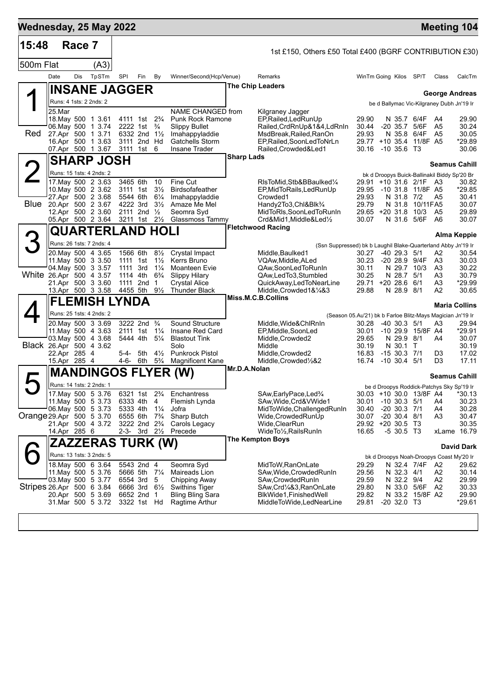| 15:48                     |                              | Race 7 |                                                                                                                              |                                                          |                                                                                                  |                                                                                             |                                                                                                                            |                   | 1st £150, Others £50 Total £400 (BGRF CONTRIBUTION £30)                                                                                                                                                       |                                                                |                                                                             |                                                                                        |                                                                   |                                                           |
|---------------------------|------------------------------|--------|------------------------------------------------------------------------------------------------------------------------------|----------------------------------------------------------|--------------------------------------------------------------------------------------------------|---------------------------------------------------------------------------------------------|----------------------------------------------------------------------------------------------------------------------------|-------------------|---------------------------------------------------------------------------------------------------------------------------------------------------------------------------------------------------------------|----------------------------------------------------------------|-----------------------------------------------------------------------------|----------------------------------------------------------------------------------------|-------------------------------------------------------------------|-----------------------------------------------------------|
| 500m Flat                 |                              |        | (A3)                                                                                                                         |                                                          |                                                                                                  |                                                                                             |                                                                                                                            |                   |                                                                                                                                                                                                               |                                                                |                                                                             |                                                                                        |                                                                   |                                                           |
|                           | Date                         | Dis    | TpSTm                                                                                                                        | SPI                                                      | Fin                                                                                              | By                                                                                          | Winner/Second(Hcp/Venue)                                                                                                   |                   | Remarks                                                                                                                                                                                                       | WinTm Going Kilos SP/T                                         |                                                                             |                                                                                        | Class                                                             | CalcTm                                                    |
|                           |                              |        | ∥INSANE JAGGER                                                                                                               |                                                          |                                                                                                  |                                                                                             |                                                                                                                            |                   | <b>The Chip Leaders</b>                                                                                                                                                                                       |                                                                |                                                                             |                                                                                        | <b>George Andreas</b>                                             |                                                           |
|                           | Runs: 4 1sts: 2 2nds: 2      |        |                                                                                                                              |                                                          |                                                                                                  |                                                                                             |                                                                                                                            |                   |                                                                                                                                                                                                               |                                                                |                                                                             |                                                                                        | be d Ballymac Vic-Kilgraney Dubh Jn'19 Ir                         |                                                           |
| Red                       | 25.Mar                       |        | 18. May 500 1 3.61<br>06. May 500 1 3.74<br>27.Apr 500 1 3.71<br>16.Apr 500 1 3.63<br>07.Apr 500 1 3.67                      |                                                          | 4111 1st 2 <sup>3</sup> / <sub>4</sub><br>2222 1st<br>6332 2nd 11/2<br>3111 2nd Hd<br>3111 1st 6 | $\frac{3}{4}$                                                                               | NAME CHANGED from<br><b>Punk Rock Ramone</b><br><b>Slippy Bullet</b><br>Imahappyladdie<br>Gatchells Storm<br>Insane Trader |                   | Kilgraney Jagger<br>EP, Railed, Led Run Up<br>Railed, CrdRnUp&1&4, LdRnIn<br>MsdBreak, Railed, RanOn<br>EP, Railed, SoonLedToNrLn<br>Railed, Crowded & Led1                                                   | 29.90<br>30.44<br>29.93<br>29.77 +10 35.4<br>30.16 -10 35.6 T3 | -20 35.7 5/6F                                                               | N 35.7 6/4F<br>N 35.8 6/4F<br>11/8F A5                                                 | A4<br>A5<br>A5                                                    | 29.90<br>30.24<br>30.05<br>*29.89<br>30.06                |
|                           |                              |        | <b>SHARP JOSH</b>                                                                                                            |                                                          |                                                                                                  |                                                                                             |                                                                                                                            | <b>Sharp Lads</b> |                                                                                                                                                                                                               |                                                                |                                                                             |                                                                                        | <b>Seamus Cahill</b>                                              |                                                           |
|                           |                              |        | Runs: 15 1sts: 4 2nds: 2                                                                                                     |                                                          |                                                                                                  |                                                                                             |                                                                                                                            |                   |                                                                                                                                                                                                               |                                                                |                                                                             |                                                                                        | bk d Droopys Buick-Ballinakil Biddy Sp'20 Br                      |                                                           |
| Blue                      |                              |        | 17. May 500 2 3.63<br>10. May 500 2 3.62<br>27.Apr 500 2 3.68<br>20.Apr 500 2 3.67<br>12.Apr 500 2 3.60<br>05.Apr 500 2 3.64 | 3465 6th<br>3111 1st<br>5544 6th<br>4222 3rd<br>2111 2nd | 3211 1st                                                                                         | 10<br>$3\frac{1}{2}$<br>$6\frac{1}{4}$<br>$3\frac{1}{2}$<br>$\frac{1}{2}$<br>$2\frac{1}{2}$ | Fine Cut<br><b>Birdsofafeather</b><br>Imahappyladdie<br>Amaze Me Mel<br>Seomra Syd<br>Glassmoss Tammy                      |                   | RIsToMid,Stb&BBaulked¼<br>EP, MidToRails, LedRunUp<br>Crowded1<br>Handy2To3,Chl&Blk <sup>3</sup> /4<br>MidToRIs, SoonLedToRunIn<br>Crd&Mid1,Middle&Led1/2                                                     | 29.95<br>29.93<br>29.79<br>29.65 +20 31.8<br>30.07             | N 31.8 7/2                                                                  | 29.91 +10 31.6 2/1F A3<br>-10 31.8 11/8F A5<br>N 31.8 10/11 FA5<br>10/3<br>N 31.6 5/6F | A5<br>A5<br>A6                                                    | 30.82<br>*29.85<br>30.41<br>30.07<br>29.89<br>30.07       |
|                           |                              |        | <b>QUARTERLAND HOLI</b>                                                                                                      |                                                          |                                                                                                  |                                                                                             |                                                                                                                            |                   | <b>Fletchwood Racing</b>                                                                                                                                                                                      |                                                                |                                                                             |                                                                                        |                                                                   |                                                           |
| 3                         |                              |        | Runs: 26 1sts: 7 2nds: 4                                                                                                     |                                                          |                                                                                                  |                                                                                             |                                                                                                                            |                   |                                                                                                                                                                                                               |                                                                |                                                                             |                                                                                        |                                                                   | <b>Alma Keppie</b>                                        |
|                           |                              |        | 20. May 500 4 3.65                                                                                                           | 1566 6th                                                 |                                                                                                  | $8\frac{1}{2}$                                                                              | Crystal Impact                                                                                                             |                   | (Ssn Suppressed) bk b Laughil Blake-Quarterland Abby Jn'19 Ir<br>Middle,Baulked1                                                                                                                              | 30.27                                                          | $-40$ 29.3 $5/1$                                                            |                                                                                        | A2                                                                | 30.54                                                     |
| White 26.Apr 500 4 3.57   |                              |        | 11. May 500 3 3.50<br>04 May 500 3 3.57<br>21.Apr 500 3 3.60                                                                 | 1111 1st<br>1111<br>1114 4th<br>1111                     | 3rd<br>2nd                                                                                       | $1\frac{1}{2}$<br>$1\frac{1}{4}$<br>$6\frac{3}{4}$<br>-1                                    | Kerrs Bruno<br>Moanteen Evie<br><b>Slippy Hilary</b><br><b>Crystal Alice</b>                                               |                   | VQAw,Middle,ALed<br>QAw,SoonLedToRunIn<br>QAw,LedTo3,Stumbled<br>QuickAway,LedToNearLine                                                                                                                      | 30.23<br>30.11<br>30.25<br>29.71 +20 28.6                      | N 28.7 5/1                                                                  | -20 28.9 9/4F<br>N 29.7 10/3<br>6/1                                                    | A3<br>A3<br>A3<br>A3                                              | 30.03<br>30.22<br>30.79<br>*29.99                         |
|                           |                              |        | 13.Apr 500 3 3.58                                                                                                            |                                                          | 4455 5th 91/2                                                                                    |                                                                                             | <b>Thunder Black</b>                                                                                                       |                   | Middle, Crowded 1& 1/4&3<br>Miss.M.C.B.Collins                                                                                                                                                                | 29.88                                                          | N 28.9 8/1                                                                  |                                                                                        | A2                                                                | 30.65                                                     |
|                           |                              |        | <b>FLEMISH LYNDA</b><br>Runs: 25 1sts: 4 2nds: 2                                                                             |                                                          |                                                                                                  |                                                                                             |                                                                                                                            |                   |                                                                                                                                                                                                               |                                                                |                                                                             |                                                                                        |                                                                   | <b>Maria Collins</b>                                      |
| Black 26.Apr 500 4 3.62   | 22.Apr 285 4<br>15.Apr 285 4 |        | 20. May 500 3 3.69<br>11 May 500 4 3.63<br>03. May 500 4 3.68                                                                | 2111 1st<br>5444 4th<br>5-4- 5th                         | 3222 2nd <sup>3</sup> / <sub>4</sub><br>4-6- 6th                                                 | $1\frac{1}{4}$<br>$5\frac{1}{4}$<br>$4\frac{1}{2}$<br>$5\frac{3}{4}$                        | Sound Structure<br>Insane Red Card<br><b>Blastout Tink</b><br>Solo<br><b>Punkrock Pistol</b><br><b>Magnificent Kane</b>    |                   | (Season 05.Au'21) bk b Farloe Blitz-Mays Magician Jn'19 Ir<br>Middle, Wide&ChlRnIn<br>EP, Middle, SoonLed<br>Middle, Crowded2<br>Middle<br>Middle, Crowded2<br>Middle, Crowded <sup>1</sup> / <sub>2</sub> &2 | 30.28<br>30.01<br>29.65<br>30.19<br>16.83<br>16.74             | $-40$ 30.3 $5/1$<br>N 29.9 8/1<br>N 30.1<br>$-1530.371$<br>$-10$ 30.4 $5/1$ | -10 29.9 15/8F A4<br>$\top$                                                            | A3<br>A4<br>D3<br>D <sub>3</sub>                                  | 29.94<br>*29.91<br>30.07<br>30.19<br>17.02<br>17.11       |
|                           |                              |        |                                                                                                                              |                                                          |                                                                                                  |                                                                                             | <b>MANDINGOS FLYER (W)</b>                                                                                                 | Mr.D.A.Nolan      |                                                                                                                                                                                                               |                                                                |                                                                             |                                                                                        |                                                                   |                                                           |
| Һ                         |                              |        | Runs: 14 1sts: 2 2nds: 1                                                                                                     |                                                          |                                                                                                  |                                                                                             |                                                                                                                            |                   |                                                                                                                                                                                                               |                                                                |                                                                             |                                                                                        | <b>Seamus Cahill</b><br>be d Droopys Roddick-Patchys Sky Sp'19 Ir |                                                           |
| Orange 29.Apr 500 5 3.70  | 14.Apr 285 6                 |        | 17. May 500 5 3.76<br>11. May 500 5 3.73<br>06. May 500 5 3.73<br>21.Apr 500 4 3.72                                          | 6333 4th<br>5333 4th<br>6555 6th                         | 6321 1st<br>3222 2nd 2 <sup>3</sup> / <sub>4</sub><br>2-3- 3rd $2\frac{1}{2}$                    | $2\frac{3}{4}$<br>4<br>$1\frac{1}{4}$<br>$7\frac{3}{4}$                                     | Enchantress<br>Flemish Lynda<br>Jofra<br>Sharp Butch<br>Carols Legacy<br>Precede                                           |                   | SAw, Early Pace, Led <sup>3</sup> / <sub>4</sub><br>SAw, Wide, Crd& VWide1<br>MidToWide, Challenged RunIn<br>Wide,CrowdedRunUp<br>Wide, ClearRun<br>WideTo1/ <sub>2</sub> , Rails Run In                      | 30.01<br>30.40<br>30.07<br>29.92 +20 30.5 T3<br>16.65          | $-10$ 30.3 $5/1$<br>$-20$ 30.3 $7/1$<br>$-20$ 30.4 $8/1$<br>$-530.5$ T3     | 30.03 +10 30.0 13/8F A4                                                                | A4<br>A4<br>A3                                                    | *30.13<br>30.23<br>30.28<br>30.47<br>30.35<br>xLame 16.79 |
|                           |                              |        | ZAZZERAS TURK (W)                                                                                                            |                                                          |                                                                                                  |                                                                                             |                                                                                                                            |                   | <b>The Kempton Boys</b>                                                                                                                                                                                       |                                                                |                                                                             |                                                                                        |                                                                   | <b>David Dark</b>                                         |
|                           |                              |        | Runs: 13 1sts: 3 2nds: 5                                                                                                     |                                                          |                                                                                                  |                                                                                             |                                                                                                                            |                   |                                                                                                                                                                                                               |                                                                |                                                                             |                                                                                        | bk d Droopys Noah-Droopys Coast My'20 Ir                          |                                                           |
| Stripes 26.Apr 500 6 3.84 |                              |        | 18. May 500 6 3.64<br>11 May 500 5 3.76<br>03. May 500 5 3.77<br>20.Apr 500 5 3.69<br>31.Mar 500 5 3.72                      | 6554 3rd                                                 | 5543 2nd 4<br>5666 5th 71/4<br>6666 3rd 61/2<br>6652 2nd 1<br>3322 1st Hd                        | 5                                                                                           | Seomra Syd<br>Maireads Lion<br>Chipping Away<br><b>Swithins Tiger</b><br><b>Bling Bling Sara</b><br>Ragtime Arthur         |                   | MidToW,RanOnLate<br>SAw, Wide, Crowded RunIn<br>SAw,CrowdedRunIn<br>SAw, Crd <sup>1</sup> / <sub>4</sub> &3, RanOnLate<br>BlkWide1, FinishedWell<br>MiddleToWide,LedNearLine                                  | 29.29<br>29.56<br>29.59<br>29.80<br>29.82<br>29.81             | N 32.3 4/1<br>N 32.2 9/4<br>$-20$ 32.0 T3                                   | N 32.4 7/4F<br>N 33.0 5/6F<br>N 33.2 15/8F A2                                          | A2<br>A2<br>A2<br>A2                                              | 29.62<br>30.14<br>29.99<br>30.33<br>29.90<br>$*29.61$     |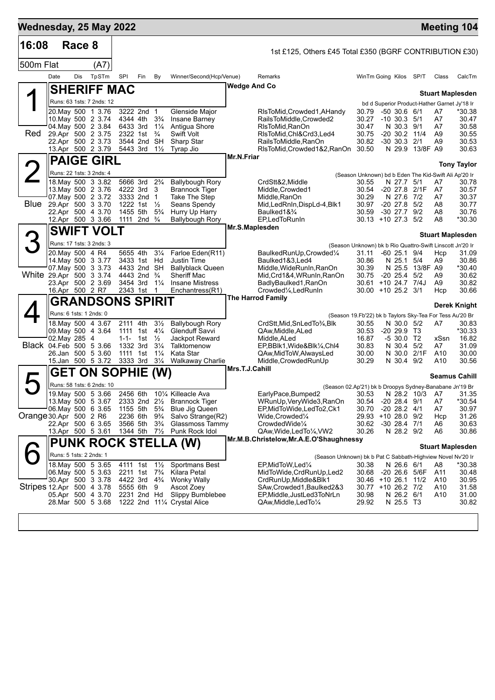| Wednesday, 25 May 2022    |                                                                                                                               |        |                         |                                                                                                        |                           |                                                                                                         |                                                                                                                                                          |                |                                                                                                                                                                  |                                                                                                                                            |                                                                   |                                           |                                        | <b>Meeting 104</b>                                  |
|---------------------------|-------------------------------------------------------------------------------------------------------------------------------|--------|-------------------------|--------------------------------------------------------------------------------------------------------|---------------------------|---------------------------------------------------------------------------------------------------------|----------------------------------------------------------------------------------------------------------------------------------------------------------|----------------|------------------------------------------------------------------------------------------------------------------------------------------------------------------|--------------------------------------------------------------------------------------------------------------------------------------------|-------------------------------------------------------------------|-------------------------------------------|----------------------------------------|-----------------------------------------------------|
| 16:08                     |                                                                                                                               | Race 8 |                         |                                                                                                        |                           |                                                                                                         |                                                                                                                                                          |                | 1st £125, Others £45 Total £350 (BGRF CONTRIBUTION £30)                                                                                                          |                                                                                                                                            |                                                                   |                                           |                                        |                                                     |
| 500m Flat                 |                                                                                                                               |        | (A7)                    |                                                                                                        |                           |                                                                                                         |                                                                                                                                                          |                |                                                                                                                                                                  |                                                                                                                                            |                                                                   |                                           |                                        |                                                     |
|                           | Date                                                                                                                          | Dis    | TpSTm                   | SPI                                                                                                    | Fin                       | By                                                                                                      | Winner/Second(Hcp/Venue)                                                                                                                                 |                | Remarks                                                                                                                                                          | WinTm Going Kilos SP/T                                                                                                                     |                                                                   |                                           | Class                                  | CalcTm                                              |
|                           | <b>SHERIFF MAC</b>                                                                                                            |        |                         |                                                                                                        |                           |                                                                                                         |                                                                                                                                                          | Wedge And Co   |                                                                                                                                                                  |                                                                                                                                            |                                                                   |                                           |                                        | <b>Stuart Maplesden</b>                             |
|                           | Runs: 63 1sts: 7 2nds: 12                                                                                                     |        |                         |                                                                                                        |                           |                                                                                                         |                                                                                                                                                          |                |                                                                                                                                                                  |                                                                                                                                            |                                                                   |                                           |                                        | bd d Superior Product-Hather Garnet Jy'18 Ir        |
| Red                       | 20. May 500 1 3.76<br>10. May 500 2 3.74<br>04. May 500 2 3.84<br>29.Apr 500 2 3.75<br>22.Apr 500 2 3.73<br>13.Apr 500 2 3.79 |        |                         | 4344 4th<br>6433 3rd<br>2322 1st<br>5443 3rd                                                           | 3222 2nd 1<br>3544 2nd SH | $3\frac{3}{4}$<br>$1\frac{1}{4}$<br>$\frac{3}{4}$<br>$1\frac{1}{2}$                                     | Glenside Major<br>Insane Barney<br>Antigua Shore<br>Swift Volt<br>Sharp Star<br>Tyrap Jio                                                                |                | RIsToMid,Crowded1,AHandy<br>RailsToMiddle, Crowded2<br>RIsToMid, RanOn<br>RIsToMid, Chl&Crd3, Led4<br>RailsToMiddle, RanOn<br>RIsToMid, Crowded 1&2, RanOn 30.50 | 30.79<br>30.27<br>30.47<br>30.75<br>30.82                                                                                                  | $-50, 30.6, 6/1$<br>$-10$ 30.3 $5/1$<br>N 30.3 9/1<br>$-30, 30.3$ | $-20$ 30.2 11/4<br>2/1<br>N 29.9 13/8F A9 | A7<br>A7<br>A7<br>A <sub>9</sub><br>A9 | *30.38<br>30.47<br>30.58<br>30.55<br>30.53<br>30.63 |
|                           |                                                                                                                               |        | <b>PAIGE GIRL</b>       |                                                                                                        |                           |                                                                                                         |                                                                                                                                                          | Mr.N.Friar     |                                                                                                                                                                  |                                                                                                                                            |                                                                   |                                           |                                        |                                                     |
|                           | Runs: 22 1sts: 3 2nds: 4                                                                                                      |        |                         |                                                                                                        |                           |                                                                                                         |                                                                                                                                                          |                |                                                                                                                                                                  | (Season Unknown) bd b Eden The Kid-Swift Ali Ap'20 Ir                                                                                      |                                                                   |                                           |                                        | <b>Tony Taylor</b>                                  |
| Blue                      | 18. May 500 3 3.82<br>13. May 500 2 3.76<br>07. May 500 2 3.72<br>29.Apr 500 3 3.70<br>22.Apr 500 4 3.70<br>12.Apr 500 3 3.66 |        |                         | 5666 3rd 2 <sup>3</sup> / <sub>4</sub><br>4222 3rd<br>3333 2nd 1<br>1455 5th<br>1111 2nd $\frac{3}{4}$ | 1222 1st $\frac{1}{2}$    | 3<br>$5\frac{3}{4}$                                                                                     | <b>Ballybough Rory</b><br><b>Brannock Tiger</b><br>Take The Step<br>Seans Spendy<br>Hurry Up Harry<br><b>Ballybough Rory</b>                             |                | CrdStt&2,Middle<br>Middle, Crowded1<br>Middle, RanOn<br>Mid,LedRnIn,DispLd-4,Blk1<br>Baulked1&3/4<br>EP,LedToRunIn                                               | 30.55<br>30.54<br>30.29<br>30.97<br>30.59<br>30.13 +10 27.3 5/2                                                                            | N 27.7<br>N 27.6<br>$-20$ 27.8 $5/2$<br>$-3027.7$                 | 5/1<br>-20 27.8 2/1F<br>7/2<br>9/2        | A7<br>A7<br>A7<br>A8<br>A8<br>A8       | 30.78<br>30.57<br>30.37<br>30.77<br>30.76<br>*30.30 |
|                           |                                                                                                                               |        | <b>SWIFT VOLT</b>       |                                                                                                        |                           |                                                                                                         |                                                                                                                                                          |                | Mr.S.Maplesden                                                                                                                                                   |                                                                                                                                            |                                                                   |                                           |                                        |                                                     |
| 3                         | Runs: 17 1sts: 3 2nds: 3                                                                                                      |        |                         |                                                                                                        |                           |                                                                                                         |                                                                                                                                                          |                |                                                                                                                                                                  |                                                                                                                                            |                                                                   |                                           |                                        | <b>Stuart Maplesden</b>                             |
| White 29.Apr 500 3 3.74   | 20. May 500 4 R4<br>14 May 500 3 3.77<br>07 May 500 3 3.73<br>23.Apr 500 2 3.69<br>16.Apr 500 2 R7                            |        |                         | 5655 4th<br>3433 1st<br>4443 2nd <sup>3</sup> / <sub>4</sub><br>3454 3rd<br>2343 1st                   | 4433 2nd SH               | $3\frac{1}{4}$<br>Hd<br>$1\frac{1}{4}$<br>1                                                             | Farloe Eden(R11)<br><b>Justin Time</b><br><b>Ballyblack Queen</b><br><b>Sheriff Mac</b><br><b>Insane Mistress</b><br>Enchantress(R1)                     |                | BaulkedRunUp, Crowded1/4<br>Baulked1&3,Led4<br>Middle,WideRunIn,RanOn<br>Mid, Crd1&4, WRunIn, RanOn<br>BadlyBaulked1, RanOn<br>Crowded1/4, Led RunIn             | (Season Unknown) bk b Rio Quattro-Swift Linscott Jn'20 Ir<br>31.11<br>30.86<br>30.39<br>30.75<br>30.61 +10 24.7 7/4J<br>30.00 +10 25.2 3/1 | $-6025.1$<br>N 25.1<br>$-20$ 25.4                                 | 9/4<br>5/4<br>N 25.5 13/8F A9<br>5/2      | Hcp<br>A9<br>A9<br>A9<br>Hcp           | 31.09<br>30.86<br>*30.40<br>30.62<br>30.82<br>30.66 |
|                           |                                                                                                                               |        | <b>GRANDSONS SPIRIT</b> |                                                                                                        |                           |                                                                                                         |                                                                                                                                                          |                | <b>The Harrod Family</b>                                                                                                                                         |                                                                                                                                            |                                                                   |                                           |                                        |                                                     |
|                           | Runs: 6 1sts: 1 2nds: 0                                                                                                       |        |                         |                                                                                                        |                           |                                                                                                         |                                                                                                                                                          |                |                                                                                                                                                                  | (Season 19.Fb'22) bk b Taylors Sky-Tea For Tess Au'20 Br                                                                                   |                                                                   |                                           |                                        | Derek Knight                                        |
| Black 04. Feb 500 5 3.66  | 18. May 500 4 3.67<br>09. May 500 4 3.64<br>02. May 285<br>26.Jan 500 5 3.60<br>15.Jan 500 5 3.72                             |        | -4                      | 2111 4th<br>1111 1st<br>1-1- 1st<br>1332 3rd<br>1111 1st<br>3333 3rd                                   |                           | $3\frac{1}{2}$<br>$4\frac{1}{4}$<br>$\frac{1}{2}$<br>$3\frac{1}{4}$<br>$1\frac{1}{4}$<br>$3\frac{1}{4}$ | <b>Ballybough Rory</b><br><b>Glenduff Savvi</b><br>Jackpot Reward<br>Talktomenow<br>Kata Star<br><b>Walkaway Charlie</b>                                 |                | CrdStt, Mid, SnLedTo3/4, Blk<br>QAw,Middle,ALed<br>Middle, ALed<br>EP,BBlk1, Wide&Blk1/4, Chl4<br>QAw,MidToW,AlwaysLed<br>Middle, Crowded RunUp                  | 30.55<br>30.53<br>16.87<br>30.83<br>30.00<br>30.29                                                                                         | N 30.0 5/2<br>$-20, 29.9, 13$<br>-5 30.0 T2<br>N 30.4<br>N 30.4   | 5/2<br>N 30.0 2/1F<br>9/2                 | A7<br>xSsn<br>A7<br>A10<br>A10         | 30.83<br>*30.33<br>16.82<br>31.09<br>30.00<br>30.56 |
|                           |                                                                                                                               |        | <b>GET ON SOPHIE</b>    |                                                                                                        |                           | (W)                                                                                                     |                                                                                                                                                          | Mrs.T.J.Cahill |                                                                                                                                                                  |                                                                                                                                            |                                                                   |                                           |                                        | Seamus Cahill                                       |
| $\blacktriangleright$     | Runs: 58 1sts: 6 2nds: 10                                                                                                     |        |                         |                                                                                                        |                           |                                                                                                         |                                                                                                                                                          |                | (Season 02.Ap'21) bk b Droopys Sydney-Banabane Jn'19 Br                                                                                                          |                                                                                                                                            |                                                                   |                                           |                                        |                                                     |
| Orange 30.Apr 500 2 R6    | 19. May 500 5 3.66<br>13. May 500 5 3.67<br>06. May 500 6 3.65<br>22.Apr 500 6 3.65<br>13.Apr 500 5 3.61                      |        |                         | 2333 2nd 21/2<br>1155 5th<br>2236 6th<br>3566 5th                                                      | 2456 6th<br>1344 5th 7½   | $5\frac{3}{4}$<br>$9\frac{3}{4}$<br>$3\frac{3}{4}$                                                      | 10 <sup>1</sup> / <sub>4</sub> Killeacle Ava<br><b>Brannock Tiger</b><br><b>Blue Jig Queen</b><br>Salvo Strange(R2)<br>Glassmoss Tammy<br>Punk Rock Idol |                | EarlyPace, Bumped2<br>WRunUp, VeryWide3, RanOn<br>EP, MidToWide, LedTo2, Ck1<br>Wide,Crowded1/4<br>CrowdedWide1/4<br>QAw, Wide, Led To 1/4, VW2                  | 30.53<br>30.54<br>30.70<br>29.93 +10 28.0 9/2<br>30.62 -30 28.4 7/1<br>30.26                                                               | -20 28.4 9/1<br>$-20$ 28.2 $4/1$<br>N 28.2 9/2                    | N 28.2 10/3 A7                            | A7<br>A7<br>Hcp<br>A6<br>A6            | 31.35<br>*30.54<br>30.97<br>31.26<br>30.63<br>30.86 |
|                           |                                                                                                                               |        |                         |                                                                                                        |                           |                                                                                                         | <b>PUNK ROCK STELLA (W)</b>                                                                                                                              |                | Mr.M.B.Christelow, Mr.A.E.O'Shaughnessy                                                                                                                          |                                                                                                                                            |                                                                   |                                           |                                        | <b>Stuart Maplesden</b>                             |
|                           | Runs: 5 1sts: 2 2nds: 1                                                                                                       |        |                         |                                                                                                        |                           |                                                                                                         |                                                                                                                                                          |                | (Season Unknown) bk b Pat C Sabbath-Highview Novel Nv'20 Ir                                                                                                      |                                                                                                                                            |                                                                   |                                           |                                        |                                                     |
| Stripes 12.Apr 500 4 3.78 | 18. May 500 5 3.65<br>06.May 500 5 3.63<br>30.Apr 500 3 3.78<br>05.Apr 500 4 3.70<br>28. Mar 500 5 3.68                       |        |                         | 4111 1st<br>2211 1st<br>4422 3rd<br>5555 6th<br>2231 2nd Hd                                            |                           | $1\frac{1}{2}$<br>$7\frac{3}{4}$<br>$4\frac{3}{4}$<br>9                                                 | Sportmans Best<br>Kilara Petal<br><b>Wonky Wally</b><br>Ascot Zoey<br><b>Slippy Bumblebee</b><br>1222 2nd 111/4 Crystal Alice                            |                | EP,MidToW,Led¼<br>MidToWide,CrdRunUp,Led2<br>CrdRunUp, Middle&Blk1<br>SAw, Crowded 1, Baulked 2&3<br>EP, Middle, JustLed3ToNrLn<br>QAw,Middle,LedTo¼             | 30.38<br>30.68<br>30.46 +10 26.1 11/2<br>30.77 +10 26.2 7/2<br>30.98<br>29.92                                                              | N 26.6 6/1<br>N 26.2 6/1<br>N 25.5 T3                             | -20 26.6 5/6F                             | A8<br>A11<br>A10<br>A10<br>A10         | *30.38<br>30.48<br>30.95<br>31.58<br>31.00<br>30.82 |
|                           |                                                                                                                               |        |                         |                                                                                                        |                           |                                                                                                         |                                                                                                                                                          |                |                                                                                                                                                                  |                                                                                                                                            |                                                                   |                                           |                                        |                                                     |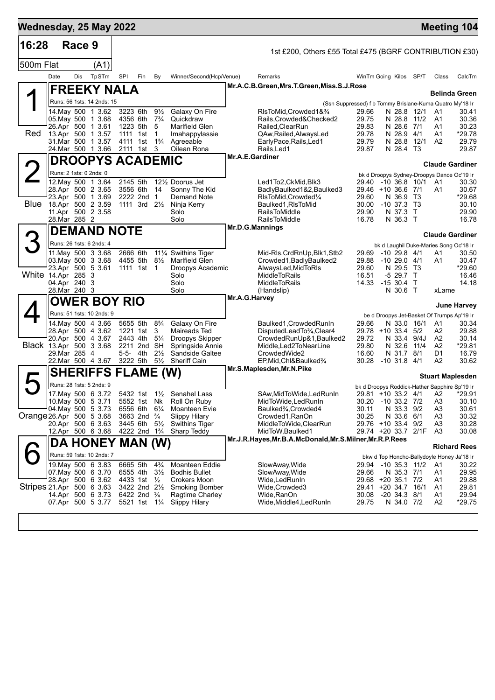| 16:28                     |                                         | Race 9 |                                                |                                                  |     |                                  |                                               |                                                                             |                |                                                                              |        |                                  |                         |
|---------------------------|-----------------------------------------|--------|------------------------------------------------|--------------------------------------------------|-----|----------------------------------|-----------------------------------------------|-----------------------------------------------------------------------------|----------------|------------------------------------------------------------------------------|--------|----------------------------------|-------------------------|
|                           |                                         |        |                                                |                                                  |     |                                  |                                               | 1st £200, Others £55 Total £475 (BGRF CONTRIBUTION £30)                     |                |                                                                              |        |                                  |                         |
| 500m Flat                 |                                         |        | (A1)                                           |                                                  |     |                                  |                                               |                                                                             |                |                                                                              |        |                                  |                         |
|                           | Date                                    | Dis    | TpSTm                                          | SPI                                              | Fin | By                               | Winner/Second(Hcp/Venue)                      | Remarks                                                                     |                | WinTm Going Kilos SP/T                                                       |        | Class                            | CalcTm                  |
|                           |                                         |        | <b>FREEKY NALA</b>                             |                                                  |     |                                  |                                               | Mr.A.C.B.Green, Mrs.T.Green, Miss.S.J.Rose                                  |                |                                                                              |        |                                  | <b>Belinda Green</b>    |
|                           |                                         |        | Runs: 56 1sts: 14 2nds: 15                     |                                                  |     |                                  |                                               |                                                                             |                | (Ssn Suppressed) f b Tommy Brislane-Kuma Quatro My'18 Ir                     |        |                                  |                         |
|                           | 05. May 500 1 3.68                      |        | 14. May 500 1 3.62                             | 3223 6th<br>4356 6th                             |     | $9\frac{1}{2}$<br>$7\frac{3}{4}$ | Galaxy On Fire<br>Quickdraw                   | RIsToMid,Crowded1&3/4<br>Rails.Crowded&Checked2                             | 29.66<br>29.75 | N 28.8 12/1<br>N 28.8 11/2                                                   |        | A1<br>A <sub>1</sub>             | 30.41<br>30.36          |
|                           |                                         |        | 26.Apr 500 1 3.61                              | 1223 5th                                         |     | 5                                | Marlfield Glen                                | Railed, Clear Run                                                           | 29.83          | N 28.6 7/1                                                                   |        | A1                               | 30.23                   |
| Red                       |                                         |        | 13.Apr 500 1 3.57<br>31.Mar 500 1 3.57         | 1111 1st<br>4111 1st                             |     | $\overline{1}$<br>$1\frac{3}{4}$ | Imahappylassie<br>Agreeable                   | QAw, Railed, Always Led<br>EarlyPace, Rails, Led1                           | 29.78<br>29.79 | N 28.9 4/1<br>N 28.8                                                         | 12/1   | A1<br>A <sub>2</sub>             | *29.78<br>29.79         |
|                           |                                         |        | 24.Mar 500 1 3.66                              | 2111 1st                                         |     | 3                                | Oilean Rona                                   | Rails, Led1                                                                 | 29.87          | N 28.4 T3                                                                    |        |                                  | 29.87                   |
|                           |                                         |        | <b>DROOPYS ACADEMIC</b>                        |                                                  |     |                                  |                                               | <b>Mr.A.E.Gardiner</b>                                                      |                |                                                                              |        |                                  | <b>Claude Gardiner</b>  |
|                           | Runs: 2 1sts: 0 2nds: 0                 |        |                                                |                                                  |     |                                  |                                               |                                                                             |                | bk d Droopys Sydney-Droopys Dance Oc'19 Ir                                   |        |                                  |                         |
|                           | 28.Apr 500 2 3.65                       |        | 12. May 500 1 3.64                             | 2145 5th<br>3556 6th                             |     | 14                               | 121/ <sub>2</sub> Doorus Jet<br>Sonny The Kid | Led1To2, CkMid, Blk3<br>BadlyBaulked1&2,Baulked3                            | 29.40          | -10 36.8 10/1 A1<br>29.46 +10 36.6 7/1                                       |        | A1                               | 30.30<br>30.67          |
|                           |                                         |        | 23.Apr 500 1 3.69                              | 2222 2nd 1                                       |     |                                  | Demand Note                                   | RIsToMid.Crowded1/4                                                         | 29.60          | N 36.9 T3                                                                    |        |                                  | *29.68                  |
| Blue                      | 18.Apr 500 2 3.59<br>11.Apr 500 2 3.58  |        |                                                | 1111 3rd 21/ <sub>2</sub>                        |     |                                  | Ninja Kerry<br>Solo                           | Baulked1, RIs To Mid<br>RailsToMiddle                                       | 30.00<br>29.90 | $-10$ 37.3 T3<br>N 37.3                                                      | $\top$ |                                  | 30.10<br>29.90          |
|                           | 28.Mar 285 2                            |        |                                                |                                                  |     |                                  | Solo                                          | <b>RailsToMiddle</b>                                                        | 16.78          | N 36.3 T                                                                     |        |                                  | 16.78                   |
|                           |                                         |        | DEMAND NOTE                                    |                                                  |     |                                  |                                               | Mr.D.G.Mannings                                                             |                |                                                                              |        |                                  | <b>Claude Gardiner</b>  |
| З                         | Runs: 26 1sts: 6 2nds: 4                |        |                                                |                                                  |     |                                  |                                               |                                                                             |                | bk d Laughil Duke-Maries Song Oc'18 Ir                                       |        |                                  |                         |
|                           |                                         |        | 11. May 500 3 3.68                             | 2666 6th                                         |     |                                  | 111⁄4 Swithins Tiger                          | Mid-RIs, CrdRnUp, Blk1, Stb2                                                | 29.69          | $-1029.84/1$                                                                 |        | A1                               | 30.50                   |
|                           | 03. May 500 3 3.68<br>23.Apr 500 5 3.61 |        |                                                | 4455 5th<br>1111 1st 1                           |     | $8\frac{1}{2}$                   | Marlfield Glen<br>Droopys Academic            | Crowded1, Badly Baulked2<br>AlwaysLed, MidToRIs                             | 29.88<br>29.60 | $-1029.04/1$<br>N 29.5 T3                                                    |        | A1                               | 30.47<br>*29.60         |
| White 14.Apr 285 3        |                                         |        |                                                |                                                  |     |                                  | Solo                                          | <b>MiddleToRails</b>                                                        | 16.51          | $-529.7$ T                                                                   |        |                                  | 16.46                   |
|                           | 04.Apr 240 3<br>28.Mar 240 3            |        |                                                |                                                  |     |                                  | Solo<br>Solo                                  | <b>MiddleToRails</b><br>(Handslip)                                          |                | 14.33 - 15 30.4 T<br>N 30.6 T                                                |        | xLame                            | 14.18                   |
|                           |                                         |        | <b>OWER BOY RIO</b>                            |                                                  |     |                                  |                                               | Mr.A.G.Harvey                                                               |                |                                                                              |        |                                  |                         |
|                           |                                         |        | Runs: 51 1sts: 10 2nds: 9                      |                                                  |     |                                  |                                               |                                                                             |                | be d Droopys Jet-Basket Of Trumps Ap'19 Ir                                   |        |                                  | <b>June Harvey</b>      |
|                           |                                         |        | 14. May 500 4 3.66                             | 5655 5th                                         |     | $8\frac{3}{4}$                   | Galaxy On Fire                                | Baulked1, Crowded RunIn                                                     | 29.66          | N 33.0 16/1                                                                  |        | A1                               | 30.34                   |
|                           |                                         |        | 28.Apr 500 4 3.62<br>20.Apr 500 4 3.67         | 1221 1st<br>2443 4th                             |     | 3<br>$5\frac{1}{4}$              | Maireads Ted<br>Droopys Skipper               | DisputedLeadTo3⁄4,Clear4<br>CrowdedRunUp&1,Baulked2                         | 29.72          | 29.78 +10 33.4<br>N 33.4 9/4J                                                | 5/2    | A2<br>A2                         | 29.88<br>30.14          |
| Black 13.Apr 500 3 3.68   |                                         |        |                                                | 2211 2nd SH                                      |     |                                  | Springside Annie                              | Middle,Led2ToNearLine                                                       | 29.80          | N 32.6                                                                       | 11/4   | A2                               | *29.81                  |
|                           | 29.Mar 285 4                            |        | 22. Mar 500 4 3.67                             | 5-5- 4th<br>3222 5th                             |     | $2\frac{1}{2}$<br>$5\frac{1}{2}$ | Sandside Galtee<br><b>Sheriff Cain</b>        | CrowdedWide2<br>EP, Mid, Chl&Baulked3/4                                     | 16.60<br>30.28 | N 31.7 8/1<br>$-10$ 31.8 $4/1$                                               |        | D1<br>A2                         | 16.79<br>30.62          |
|                           |                                         |        | <b>SHERIFFS FLAME (W)</b>                      |                                                  |     |                                  |                                               | Mr.S.Maplesden, Mr.N.Pike                                                   |                |                                                                              |        |                                  |                         |
| $\blacktriangleright$     |                                         |        |                                                |                                                  |     |                                  |                                               |                                                                             |                |                                                                              |        |                                  | <b>Stuart Maplesden</b> |
|                           |                                         |        | Runs: 28 1sts: 5 2nds: 9<br>17. May 500 6 3.72 |                                                  |     |                                  | 5432 1st 1½ Senahel Lass                      | SAw, MidToWide, LedRunIn                                                    |                | bk d Droopys Roddick-Hather Sapphire Sp'19 Ir<br>29.81  +10 33.2  4/1     A2 |        |                                  | *29.91                  |
|                           | 10. May 500 5 3.71                      |        |                                                | 5552 1st Nk                                      |     |                                  | Roll On Ruby                                  | MidToWide, LedRunIn                                                         | 30.20          | $-10$ 33.2 $7/2$                                                             |        | A <sub>3</sub>                   | 30.10                   |
| Orange 26.Apr 500 5 3.68  | 04 May 500 5 3.73                       |        |                                                | 6556 6th<br>3663 2nd <sup>3</sup> / <sub>4</sub> |     | $6\frac{1}{4}$                   | Moanteen Evie<br><b>Slippy Hilary</b>         | Baulked <sup>3</sup> / <sub>4</sub> ,Crowded4<br>Crowded1, RanOn            | 30.11<br>30.25 | N 33.3 9/2<br>N 33.6 6/1                                                     |        | A <sub>3</sub><br>A <sub>3</sub> | 30.61<br>30.32          |
|                           |                                         |        | 20.Apr 500 6 3.63                              | 3445 6th                                         |     | $5\frac{1}{2}$                   | <b>Swithins Tiger</b>                         | MiddleToWide,ClearRun                                                       |                | 29.76 +10 33.4 9/2                                                           |        | A3                               | 30.28                   |
|                           |                                         |        | 12.Apr 500 6 3.68                              | 4222 2nd 1 <sup>3</sup> / <sub>4</sub>           |     |                                  | Sharp Teddy                                   | MidToW, Baulked1<br>Mr.J.R.Hayes, Mr.B.A.McDonald, Mr.S.Milner, Mr.R.P.Rees |                | 29.74 +20 33.7 2/1F                                                          |        | A3                               | 30.08                   |
|                           |                                         |        | DA HONEY MAN (W)                               |                                                  |     |                                  |                                               |                                                                             |                |                                                                              |        |                                  | <b>Richard Rees</b>     |
|                           |                                         |        | Runs: 59 1sts: 10 2nds: 7                      |                                                  |     |                                  |                                               |                                                                             |                | bkw d Top Honcho-Ballydoyle Honey Ja'18 Ir                                   |        |                                  |                         |
|                           | 07. May 500 6 3.70                      |        | 19 May 500 6 3.83                              | 6665 5th<br>6555 4th                             |     | $4\frac{3}{4}$<br>$3\frac{1}{2}$ | Moanteen Eddie<br><b>Bodhis Bullet</b>        | SlowAway, Wide<br>SlowAway, Wide                                            | 29.66          | 29.94 -10 35.3 11/2<br>N 35.3 7/1                                            |        | A1<br>A1                         | 30.22<br>29.95          |
|                           |                                         |        | 28.Apr 500 6 3.62                              | 4433 1st 1/2                                     |     |                                  | Crokers Moon                                  | Wide,LedRunIn                                                               |                | 29.68 +20 35.1 7/2                                                           |        | A1                               | 29.88                   |
| Stripes 21.Apr 500 6 3.63 |                                         |        | 14.Apr 500 6 3.73                              | 3422 2nd 21/2<br>6422 2nd $\frac{3}{4}$          |     |                                  | <b>Smoking Bomber</b><br>Ragtime Charley      | Wide,Crowded3<br>Wide,RanOn                                                 | 30.08          | 29.41 +20 34.7<br>$-20$ 34.3 $8/1$                                           | 16/1   | A1<br>A1                         | 29.81<br>29.94          |
|                           | 07.Apr 500 5 3.77                       |        |                                                | 5521 1st 11/4                                    |     |                                  | <b>Slippy Hilary</b>                          | Wide, Middle4, Led Run In                                                   | 29.75          | N 34.0 7/2                                                                   |        | A <sub>2</sub>                   | $*29.75$                |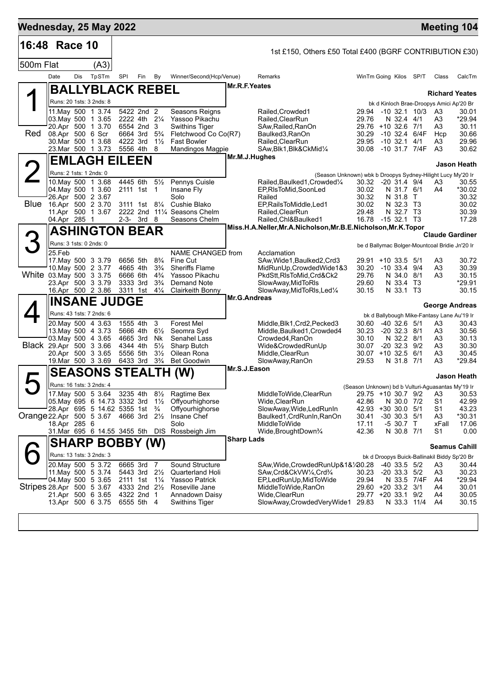| Wednesday, 25 May 2022                 |                         |     |                                                  |                                        |                                        |                                  |                                                                                |                     |                                                               |                        |                                |                   |                                                   | <b>Meeting 104</b>                           |
|----------------------------------------|-------------------------|-----|--------------------------------------------------|----------------------------------------|----------------------------------------|----------------------------------|--------------------------------------------------------------------------------|---------------------|---------------------------------------------------------------|------------------------|--------------------------------|-------------------|---------------------------------------------------|----------------------------------------------|
| 16:48 Race 10                          |                         |     |                                                  |                                        |                                        |                                  |                                                                                |                     | 1st £150, Others £50 Total £400 (BGRF CONTRIBUTION £30)       |                        |                                |                   |                                                   |                                              |
| 500m Flat                              |                         |     | (A3)                                             |                                        |                                        |                                  |                                                                                |                     |                                                               |                        |                                |                   |                                                   |                                              |
|                                        | Date                    | Dis | TpSTm                                            | SPI                                    | Fin                                    | By                               | Winner/Second(Hcp/Venue)                                                       |                     | Remarks                                                       | WinTm Going Kilos SP/T |                                |                   | Class                                             | CalcTm                                       |
|                                        |                         |     | BALLYBLACK REBEL                                 |                                        |                                        |                                  |                                                                                | Mr.R.F.Yeates       |                                                               |                        |                                |                   |                                                   | <b>Richard Yeates</b>                        |
|                                        |                         |     | Runs: 20 1sts: 3 2nds: 8                         |                                        |                                        |                                  |                                                                                |                     |                                                               |                        |                                |                   | bk d Kinloch Brae-Droopys Amici Ap'20 Br          |                                              |
|                                        |                         |     | 11. May 500 1 3.74<br>03. May 500 1 3.65         | 2222 4th 21/4                          | 5422 2nd 2                             |                                  | Seasons Reigns<br>Yassoo Pikachu                                               |                     | Railed, Crowded1<br>Railed, ClearRun                          | 29.94<br>29.76         | N 32.4 4/1                     | -10 32.1 10/3     | A3<br>A3                                          | 30.01<br>*29.94                              |
|                                        |                         |     | 20.Apr 500 1 3.70                                | 6554 2nd 3                             |                                        |                                  | <b>Swithins Tiger</b>                                                          |                     | SAw, Railed, RanOn                                            | 29.76 +10 32.6 7/1     |                                |                   | A3                                                | 30.11                                        |
| Red                                    | 08.Apr 500 6 Scr        |     | 30. Mar 500 1 3.68                               | 6664 3rd<br>4222 3rd                   |                                        | $5\frac{3}{4}$<br>$1\frac{1}{2}$ | Fletchwood Co Co(R7)<br><b>Fast Bowler</b>                                     |                     | Baulked3, RanOn<br>Railed, ClearRun                           | 30.29<br>29.95         | $-10$ 32.1 $4/1$               | $-10$ 32.4 $6/4F$ | Hcp<br>A3                                         | 30.66<br>29.96                               |
|                                        |                         |     | 23. Mar 500 1 3.73                               | 5556 4th                               |                                        | 8                                | Mandingos Magpie                                                               |                     | SAw, Blk1, Blk&CkMid1/4                                       | 30.08 -10 31.7 7/4F    |                                |                   | A3                                                | 30.62                                        |
|                                        |                         |     | <b>EMLAGH EILEEN</b>                             |                                        |                                        |                                  |                                                                                | Mr.M.J.Hughes       |                                                               |                        |                                |                   |                                                   | Jason Heath                                  |
|                                        | Runs: 2 1sts: 1 2nds: 0 |     |                                                  |                                        |                                        |                                  |                                                                                |                     | (Season Unknown) wbk b Droopys Sydney-Hilight Lucy My'20 Ir   |                        |                                |                   |                                                   |                                              |
|                                        |                         |     | 10.May 500 1 3.68<br>04. May 500 1 3.60          | 4445 6th<br>2111 1st                   |                                        | $5\frac{1}{2}$<br>$\overline{1}$ | Pennys Cuisle<br>Insane Fly                                                    |                     | Railed, Baulked1, Crowded1/4<br>EP, RIsToMid, SoonLed         | 30.32<br>30.02         | $-20$ 31.4 $9/4$<br>N 31.7 6/1 |                   | A3<br>A4                                          | 30.55<br>*30.02                              |
|                                        | 26.Apr 500 2 3.67       |     |                                                  |                                        |                                        |                                  | Solo                                                                           |                     | Railed                                                        | 30.32                  | N 31.8                         | $\top$            |                                                   | 30.32                                        |
| Blue                                   | 16.Apr 500 2 3.70       |     | 11.Apr 500 1 3.67                                | 2222 2nd                               | 3111 1st 81/4                          |                                  | Cushie Blako<br>111/ <sub>4</sub> Seasons Chelm                                |                     | EP, RailsToMiddle, Led1<br>Railed, ClearRun                   | 30.02<br>29.48         | N 32.3<br>N 32.7 T3            | T3                |                                                   | 30.02<br>30.39                               |
|                                        | 04.Apr 285 1            |     |                                                  | $2-3-3rd$                              |                                        | -8                               | Seasons Chelm                                                                  |                     | Railed, Chl&Baulked1                                          | 16.78 - 15 32.1 T3     |                                |                   |                                                   | 17.28                                        |
|                                        |                         |     | <b>ASHINGTON BEAR</b>                            |                                        |                                        |                                  |                                                                                |                     | Miss.H.A.Neller, Mr.A.Nicholson, Mr.B.E.Nicholson, Mr.K.Topor |                        |                                |                   |                                                   |                                              |
|                                        | Runs: 3 1sts: 0 2nds: 0 |     |                                                  |                                        |                                        |                                  |                                                                                |                     |                                                               |                        |                                |                   | be d Ballymac Bolger-Mountcoal Bridie Jn'20 Ir    | <b>Claude Gardiner</b>                       |
|                                        | 25.Feb                  |     |                                                  |                                        |                                        |                                  | NAME CHANGED from                                                              |                     | Acclamation                                                   |                        |                                |                   |                                                   |                                              |
|                                        |                         |     | 17 May 500 3 3.79                                | 6656 5th                               |                                        | $8\frac{3}{4}$                   | Fine Cut<br>Sheriffs Flame                                                     |                     | SAw, Wide 1, Baulked 2, Crd3                                  | 29.91 +10 33.5 5/1     |                                |                   | A3                                                | 30.72                                        |
| White 03. May 500 3 3.75               |                         |     | 10. May 500 2 3.77                               | 4665 4th<br>6666 6th                   |                                        | $3\frac{3}{4}$<br>$4\frac{3}{4}$ | Yassoo Pikachu                                                                 |                     | MidRunUp, Crowded Wide 1&3<br>PkdStt, RIsToMid, Crd&Ck2       | 30.20<br>29.76         | $-10$ 33.4 $9/4$<br>N 34.0 8/1 |                   | A3<br>A3                                          | 30.39<br>30.15                               |
|                                        |                         |     | 23.Apr 500 3 3.79                                | 3333 3rd                               |                                        | $3\frac{3}{4}$                   | Demand Note                                                                    |                     | SlowAway, MidToRIs                                            | 29.60                  | N 33.4 T3                      |                   |                                                   | *29.91<br>30.15                              |
|                                        |                         |     | 16.Apr 500 2 3.86<br><b>INSANE JUDGE</b>         | 3311 1st                               |                                        | $4\frac{1}{4}$                   | <b>Clairkeith Bonny</b>                                                        | <b>Mr.G.Andreas</b> | SlowAway, MidToRIs, Led <sup>1/4</sup>                        | 30.15                  | N 33.1 T3                      |                   |                                                   |                                              |
|                                        |                         |     |                                                  |                                        |                                        |                                  |                                                                                |                     |                                                               |                        |                                |                   |                                                   | George Andreas                               |
|                                        |                         |     | Runs: 43 1sts: 7 2nds: 6<br>20. May 500 4 3.63   | 1555 4th                               |                                        | 3                                | <b>Forest Mel</b>                                                              |                     | Middle, Blk1, Crd2, Pecked3                                   | 30.60                  | $-40$ 32.6 $5/1$               |                   | bk d Ballybough Mike-Fantasy Lane Au'19 Ir<br>A3  | 30.43                                        |
|                                        |                         |     | 13 May 500 4 3.73                                | 5666 4th                               |                                        | $6\frac{1}{2}$                   | Seomra Syd                                                                     |                     | Middle, Baulked1, Crowded4                                    | 30.23                  | $-20$ 32.3 $8/1$               |                   | A3                                                | 30.56                                        |
| Black 29.Apr 500 3 3.66                |                         |     | 03. May 500 4 3.65                               | 4665 3rd<br>4344 4th                   |                                        | Nk<br>$5\frac{1}{2}$             | Senahel Lass<br>Sharp Butch                                                    |                     | Crowded4, RanOn<br>Wide&CrowdedRunUp                          | 30.10<br>30.07         | N 32.2 8/1<br>$-20$ 32.3 $9/2$ |                   | A3<br>A3                                          | 30.13<br>30.30                               |
|                                        |                         |     | 20.Apr 500 3 3.65                                | 5556 5th                               |                                        | $3\frac{1}{2}$                   | Oilean Rona                                                                    |                     | Middle, ClearRun                                              | 30.07 +10 32.5 6/1     |                                |                   | A3                                                | 30.45                                        |
|                                        |                         |     | 19. Mar 500 3 3.69                               | 6433 3rd                               |                                        | $3\frac{3}{4}$                   | <b>Bet Goodwin</b>                                                             | Mr.S.J.Eason        | SlowAway, RanOn                                               | 29.53                  | N 31.8 7/1                     |                   | A3                                                | *29.84                                       |
|                                        |                         |     |                                                  |                                        |                                        |                                  | <b>SEASONS STEALTH (W)</b>                                                     |                     |                                                               |                        |                                |                   |                                                   | Jason Heath                                  |
|                                        |                         |     | Runs: 16 1sts: 3 2nds: 4                         |                                        |                                        |                                  |                                                                                |                     |                                                               |                        |                                |                   | (Season Unknown) bd b Vulturi-Aguasantas My'19 Ir |                                              |
|                                        |                         |     | 17.May 500 5 3.64                                |                                        | $3235$ 4th                             |                                  | 81/ <sub>2</sub> Ragtime Bex<br>05.May 695 6 14.73 3332 3rd 1½ Offyourhighorse |                     | MiddleToWide, ClearRun<br>Wide, ClearRun                      | 42.86                  | N 30.0 7/2                     |                   | S1                                                | 29.75 +10 30.7 9/2 A3 30.53<br>42.99         |
|                                        |                         |     | $^{1}$ 28.Apr 695 5 14.62 5355 1st $\frac{3}{4}$ |                                        |                                        |                                  | Offyourhighorse                                                                |                     | SlowAway, Wide, Led Run In                                    | 42.93                  | $+30$ 30.0 5/1                 |                   | S1                                                | 43.23                                        |
| Orange 22.Apr 500 5 3.67 4666 3rd 21/2 | 18.Apr 285 6            |     |                                                  |                                        |                                        |                                  | Insane Chef<br>Solo                                                            |                     | Baulked1, CrdRunIn, RanOn<br>MiddleToWide                     | 30.41<br>17.11         | $-30$ 30.3 $5/1$<br>-5 30.7 T  |                   | A3<br>xFall                                       | *30.31<br>17.06                              |
|                                        |                         |     |                                                  |                                        |                                        |                                  | 31. Mar 695 6 14.55 3455 5th DIS Rossbeigh Jim                                 |                     | Wide, Brought Down 3/4                                        | 42.36                  | N 30.8 7/1                     |                   | S1                                                | 0.00                                         |
|                                        |                         |     | <b>SHARP BOBBY (W)</b>                           |                                        |                                        |                                  |                                                                                | <b>Sharp Lads</b>   |                                                               |                        |                                |                   |                                                   | <b>Seamus Cahill</b>                         |
|                                        |                         |     | Runs: 13 1sts: 3 2nds: 3                         |                                        |                                        |                                  |                                                                                |                     |                                                               |                        |                                |                   |                                                   | bk d Droopys Buick-Ballinakil Biddy Sp'20 Br |
|                                        |                         |     | 20. May 500 5 3.72                               | 6665 3rd 7                             |                                        |                                  | Sound Structure                                                                |                     | SAw,Wide,CrowdedRunUp&1&¼30.28                                |                        | $-40$ 33.5 $5/2$               |                   | A3                                                | 30.44                                        |
|                                        |                         |     | 11. May 500 5 3.74<br>04 May 500 5 3.65          | 2111 1st 1 <sup>1</sup> / <sub>4</sub> | 5443 3rd 2 <sup>1</sup> / <sub>2</sub> |                                  | Quarterland Holi<br><b>Yassoo Patrick</b>                                      |                     | SAw,Crd&CkVW1/4,Crd3/4<br>EP,LedRunUp,MidToWide               | 30.23<br>29.94         | $-20$ 33.3 $5/2$               | N 33.5 7/4F       | A3<br>A4                                          | 30.23<br>*29.94                              |
| Stripes 28.Apr 500 5 3.67              |                         |     |                                                  | 4333 2nd 21/ <sub>2</sub>              |                                        |                                  | Roseville Jane                                                                 |                     | MiddleToWide, RanOn                                           | 29.60 +20 33.2 3/1     |                                |                   | A4                                                | 30.01                                        |
|                                        |                         |     | 21.Apr 500 6 3.65<br>13.Apr 500 6 3.75           | 4322 2nd 1<br>6555 5th 4               |                                        |                                  | Annadown Daisy<br><b>Swithins Tiger</b>                                        |                     | Wide, Clear Run<br>SlowAway,CrowdedVeryWide1 29.83            | 29.77 +20 33.1 9/2     | N 33.3 11/4                    |                   | A4<br>A4                                          | 30.05<br>30.15                               |
|                                        |                         |     |                                                  |                                        |                                        |                                  |                                                                                |                     |                                                               |                        |                                |                   |                                                   |                                              |
|                                        |                         |     |                                                  |                                        |                                        |                                  |                                                                                |                     |                                                               |                        |                                |                   |                                                   |                                              |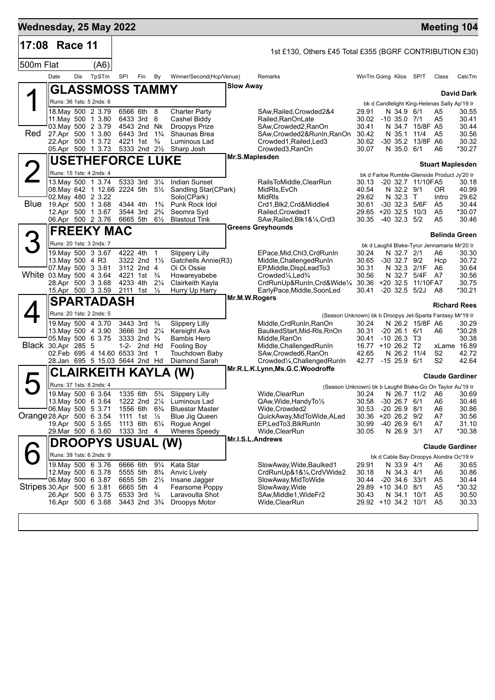| Wednesday, 25 May 2022    |                                                                                                          |     |                                                                     |                                                          |                                                                                  |                                                                          |                                                                                                                     |                  |                                                                                                                                                                                                                           |                                                                               |            |                                                               |                                      | <b>Meeting 104</b>                                                            |                                                     |
|---------------------------|----------------------------------------------------------------------------------------------------------|-----|---------------------------------------------------------------------|----------------------------------------------------------|----------------------------------------------------------------------------------|--------------------------------------------------------------------------|---------------------------------------------------------------------------------------------------------------------|------------------|---------------------------------------------------------------------------------------------------------------------------------------------------------------------------------------------------------------------------|-------------------------------------------------------------------------------|------------|---------------------------------------------------------------|--------------------------------------|-------------------------------------------------------------------------------|-----------------------------------------------------|
| 17:08 Race 11             |                                                                                                          |     |                                                                     |                                                          |                                                                                  |                                                                          |                                                                                                                     |                  | 1st £130, Others £45 Total £355 (BGRF CONTRIBUTION £30)                                                                                                                                                                   |                                                                               |            |                                                               |                                      |                                                                               |                                                     |
| 500m Flat                 |                                                                                                          |     | (A6)                                                                |                                                          |                                                                                  |                                                                          |                                                                                                                     |                  |                                                                                                                                                                                                                           |                                                                               |            |                                                               |                                      |                                                                               |                                                     |
|                           | Date                                                                                                     | Dis | TpSTm                                                               | SPI                                                      | Fin                                                                              | By                                                                       | Winner/Second(Hcp/Venue)                                                                                            |                  | Remarks                                                                                                                                                                                                                   | WinTm Going Kilos SP/T                                                        |            |                                                               |                                      | Class                                                                         | CalcTm                                              |
|                           |                                                                                                          |     | GLASSMOSS TAMMY                                                     |                                                          |                                                                                  |                                                                          |                                                                                                                     | <b>Slow Away</b> |                                                                                                                                                                                                                           |                                                                               |            |                                                               |                                      |                                                                               | <b>David Dark</b>                                   |
|                           | Runs: 36 1sts: 5 2nds: 6                                                                                 |     |                                                                     |                                                          |                                                                                  |                                                                          |                                                                                                                     |                  |                                                                                                                                                                                                                           |                                                                               |            |                                                               |                                      | bk d Candlelight King-Helenas Sally Ap'19 Ir                                  |                                                     |
| Red                       | 18. May 500 2 3.79<br>11. May 500 1 3.80<br>03. May 500 2 3.79<br>27.Apr 500 1 3.80<br>22.Apr 500 1 3.72 |     |                                                                     | 4543 2nd Nk<br>6443 3rd<br>4221 1st                      | 6566 6th 8<br>6433 3rd                                                           | 6<br>$1\frac{3}{4}$<br>$\frac{3}{4}$                                     | <b>Charter Party</b><br>Cashel Biddy<br><b>Droopys Prize</b><br>Shaunas Brea<br>Luminous Lad                        |                  | SAw, Railed, Crowded 2&4<br>Railed, RanOnLate<br>SAw,Crowded2,RanOn<br>SAw, Crowded 2& RunIn, RanOn<br>Crowded1, Railed, Led3                                                                                             | 29.91<br>30.02 -10 35.0 7/1<br>30.41<br>30.42<br>30.62                        |            | N 34.9 6/1<br>N 35.1 11/4                                     | N 34.7 15/8F A5<br>-30 35.2 13/8F A6 | A5<br>A5<br>A5                                                                | 30.55<br>30.41<br>30.44<br>30.56<br>30.32           |
|                           | 05.Apr 500 1 3.73                                                                                        |     |                                                                     |                                                          | 5333 2nd 21/ <sub>2</sub>                                                        |                                                                          | Sharp Josh                                                                                                          |                  | Crowded3, RanOn                                                                                                                                                                                                           | 30.07                                                                         |            | N 35.0 6/1                                                    |                                      | A6                                                                            | *30.27                                              |
|                           |                                                                                                          |     | <b>USETHEFORCE LUKE</b>                                             |                                                          |                                                                                  |                                                                          |                                                                                                                     | Mr.S.Maplesden   |                                                                                                                                                                                                                           |                                                                               |            |                                                               |                                      |                                                                               |                                                     |
|                           | Runs: 15 1sts: 4 2nds: 4                                                                                 |     |                                                                     |                                                          |                                                                                  |                                                                          |                                                                                                                     |                  |                                                                                                                                                                                                                           |                                                                               |            |                                                               |                                      | <b>Stuart Maplesden</b><br>bk d Farloe Rumble-Glenside Product Jy'20 Ir       |                                                     |
|                           | 02. May 480 2 3.22<br>Blue 19 Apr 500 1 3.68<br>12.Apr 500 1 3.67<br>06.Apr 500 2 3.76                   |     | 13. May 500 1 3.74<br>08. May 642 1 12.66 2224 5th                  | 4344 4th<br>3544 3rd<br>6665 5th                         | 5333 3rd 31/4                                                                    | $5\frac{1}{2}$<br>$1\frac{3}{4}$<br>$2\frac{3}{4}$<br>$6\frac{1}{2}$     | <b>Indian Sunset</b><br>Sandling Star(CPark)<br>Solo(CPark)<br>Punk Rock Idol<br>Seomra Syd<br><b>Blastout Tink</b> |                  | RailsToMiddle,ClearRun<br>MidRIs, EvCh<br><b>MidRIs</b><br>Crd1, Blk2, Crd&Middle4<br>Railed, Crowded1<br>SAw, Railed, Blk1&1/4, Crd3                                                                                     | 30.13<br>40.54<br>29.62<br>30.61<br>29.65 +20 32.5<br>30.35 -40 32.3 5/2      |            | N 32.2 9/1<br>N 32.3<br>-30 32.3 5/6F                         | -20 32.7 11/10FA5<br>$\top$<br>10/3  | OR.<br>Intro<br>A5<br>A <sub>5</sub><br>A5                                    | 30.18<br>40.99<br>29.62<br>30.44<br>*30.07<br>30.46 |
|                           |                                                                                                          |     | <b>FREEKY MAC</b>                                                   |                                                          |                                                                                  |                                                                          |                                                                                                                     |                  | <b>Greens Greyhounds</b>                                                                                                                                                                                                  |                                                                               |            |                                                               |                                      |                                                                               |                                                     |
|                           |                                                                                                          |     |                                                                     |                                                          |                                                                                  |                                                                          |                                                                                                                     |                  |                                                                                                                                                                                                                           |                                                                               |            |                                                               |                                      | <b>Belinda Green</b>                                                          |                                                     |
| White 03. May 500 4 3.64  | Runs: 20 1sts: 3 2nds: 7<br>13. May 500 4 R3<br>07 May 500 3 3.61<br>28.Apr 500 3 3.68                   |     | 19. May 500 3 3.67<br>15.Apr 500 3 3.59                             | 4222 4th<br>4233 4th<br>2111 1st                         | 3322 2nd $1\frac{1}{2}$<br>3112 2nd 4<br>4221 1st <sup>3</sup> / <sub>4</sub>    | $\overline{1}$<br>$2\frac{1}{4}$<br>$\frac{1}{2}$                        | <b>Slippery Lilly</b><br>Gatchells Annie(R3)<br>Oi Oi Ossie<br>Howareyabebe<br>Clairkeith Kayla<br>Hurry Up Harry   |                  | EPace, Mid, Chl3, CrdRunIn<br>Middle, Challenged Run In<br>EP, Middle, DispLead To 3<br>Crowded <sup>1</sup> / <sub>4</sub> , Led <sup>3</sup> / <sub>4</sub><br>CrdRunUp&RunIn,Crd&Wide1/4<br>EarlyPace, Middle, SoonLed | 30.24<br>30.65<br>30.31<br>30.56<br>30.36<br>30.41                            | $+20.32.5$ | N 32.7 2/1<br>$-30$ 32.7 $9/2$<br>N 32.7<br>$-20$ 32.5 $5/2J$ | N 32.3 2/1F<br>5/4F<br>11/10FA7      | bk d Laughil Blake-Tyrur Jennamarie Mr'20 Ir<br>A6<br>Hcp<br>A6<br>- A7<br>A8 | 30.30<br>30.72<br>30.64<br>30.56<br>30.75<br>*30.21 |
|                           |                                                                                                          |     | <b>SPARTADASH</b>                                                   |                                                          |                                                                                  |                                                                          |                                                                                                                     | Mr.M.W.Rogers    |                                                                                                                                                                                                                           |                                                                               |            |                                                               |                                      |                                                                               |                                                     |
|                           |                                                                                                          |     | Runs: 20 1sts: 2 2nds: 5                                            |                                                          |                                                                                  |                                                                          |                                                                                                                     |                  | (Season Unknown) bk b Droopys Jet-Sparta Fantasy Mr'19 Ir                                                                                                                                                                 |                                                                               |            |                                                               |                                      | <b>Richard Rees</b>                                                           |                                                     |
| Black 30.Apr 285          | 19. May 500 4 3.70<br>13 May 500 4 3.90<br>05 May 500 6 3.75                                             |     | -5<br>02.Feb 695 4 14.60 6533 3rd<br>28.Jan 695 5 15.03 5644 2nd Hd |                                                          | 3443 3rd<br>3666 3rd 21/4<br>3333 2nd <sup>3</sup> / <sub>4</sub><br>1-2- 2nd Hd | $\frac{3}{4}$<br>$\mathbf{1}$                                            | <b>Slippery Lilly</b><br>Kereight Ava<br><b>Bambis Hero</b><br>Fooling Boy<br>Touchdown Baby<br>Diamond Sarah       |                  | Middle,CrdRunIn,RanOn<br>BaulkedStart, Mid-RIs, RnOn<br>Middle, RanOn<br>Middle, Challenged RunIn<br>SAw, Crowded 6, RanOn<br>Crowded1/4, ChallengedRunIn<br>Mr.R.L.K.Lynn, Ms.G.C.Woodroffe                              | 30.24<br>30.31<br>30.41<br>16.77 +10 26.2 T2<br>42.65<br>42.77 -15 25.9 6/1   |            | $-20$ 26.1 6/1<br>$-10, 26.3, 13$<br>N 26.2 11/4              | N 26.2 15/8F A6                      | A6<br>xLame 16.89<br>S2<br>S <sub>2</sub>                                     | 30.29<br>*30.28<br>30.38<br>42.72<br>42.64          |
|                           |                                                                                                          |     |                                                                     |                                                          |                                                                                  |                                                                          | CLAIRKEITH KAYLA (W)                                                                                                |                  |                                                                                                                                                                                                                           |                                                                               |            |                                                               |                                      | <b>Claude Gardiner</b>                                                        |                                                     |
|                           | Runs: 37 1sts: 8 2nds: 4<br>19. May 500 6 3.64<br>13. May 500 6 3.64                                     |     |                                                                     |                                                          | 1335 6th<br>1222 2nd 21/4                                                        |                                                                          | 5% Slippery Lilly                                                                                                   |                  | (Season Unknown) bk b Laughil Blake-Go On Taylor Au'19 Ir<br>Wide, ClearRun<br>QAw, Wide, Handy To 1/2                                                                                                                    | 30.24<br>30.58                                                                |            | $-30$ 26.7 6/1                                                |                                      | N 26.7 11/2 A6<br>A <sub>6</sub>                                              | 30.69<br>30.46                                      |
| Orange 28.Apr 500 6 3.54  | 06. May 500 5 3.71<br>19.Apr 500 5 3.65<br>29. Mar 500 6 3.60                                            |     |                                                                     | 1111 1st<br>1113 6th                                     | 1556 6th 6 <sup>3</sup> / <sub>4</sub><br>1333 3rd 4                             | $\frac{1}{2}$<br>$6\frac{1}{4}$                                          | Luminous Lad<br><b>Bluestar Master</b><br>Blue Jig Queen<br>Rogue Angel<br><b>Wheres Speedy</b>                     |                  | Wide, Crowded2<br>QuickAway, MidToWide, ALed<br>EP,LedTo3,BlkRunIn<br>Wide, ClearRun                                                                                                                                      | 30.53<br>30.36 +20 26.2 9/2<br>30.99<br>30.05                                 |            | $-20$ 26.9 $8/1$<br>$-40$ 26.9 6/1<br>N 26.9 3/1              |                                      | A6<br>A7<br>A7<br>A7                                                          | 30.86<br>30.56<br>31.10<br>*30.38                   |
|                           |                                                                                                          |     | <b>DROOPYS USUAL (W)</b>                                            |                                                          |                                                                                  |                                                                          |                                                                                                                     | Mr.I.S.L.Andrews |                                                                                                                                                                                                                           |                                                                               |            |                                                               |                                      | <b>Claude Gardiner</b>                                                        |                                                     |
|                           | Runs: 39 1sts: 6 2nds: 9                                                                                 |     |                                                                     |                                                          |                                                                                  |                                                                          |                                                                                                                     |                  |                                                                                                                                                                                                                           |                                                                               |            |                                                               |                                      | bk d Cable Bay-Droopys Alondra Oc'19 Ir                                       |                                                     |
| Stripes 30 Apr 500 6 3 81 | 19. May 500 6 3.76<br>12. May 500 6 3.78<br>06. May 500 6 3.87<br>26.Apr 500 6 3.75<br>16.Apr 500 6 3.68 |     |                                                                     | 6666 6th<br>5555 5th<br>6655 5th<br>6665 5th<br>6533 3rd | 3443 2nd 3 <sup>3</sup> / <sub>4</sub>                                           | $9\frac{1}{4}$<br>$8\frac{3}{4}$<br>$2\frac{1}{2}$<br>4<br>$\frac{3}{4}$ | Kata Star<br>Anvic Lively<br>Insane Jagger<br>Fearsome Poppy<br>Laravoulta Shot<br>Droopys Motor                    |                  | SlowAway, Wide, Baulked 1<br>CrdRunUp&1&1⁄4,CrdVWide2<br>SlowAway, MidToWide<br>SlowAway, Wide<br>SAw, Middle 1, Wide Fr2<br>Wide,ClearRun                                                                                | 29.91<br>30.18<br>30.44<br>29.89 +10 34.0 8/1<br>30.43<br>29.92 +10 34.2 10/1 |            | N 33.9 4/1<br>N 34.3 4/1<br>$-20$ 34.6 33/1<br>N 34.1         | 10/1                                 | A6<br>A6<br>A5<br>A5<br>A5<br>A5                                              | 30.65<br>30.86<br>30.44<br>*30.32<br>30.50<br>30.33 |
|                           |                                                                                                          |     |                                                                     |                                                          |                                                                                  |                                                                          |                                                                                                                     |                  |                                                                                                                                                                                                                           |                                                                               |            |                                                               |                                      |                                                                               |                                                     |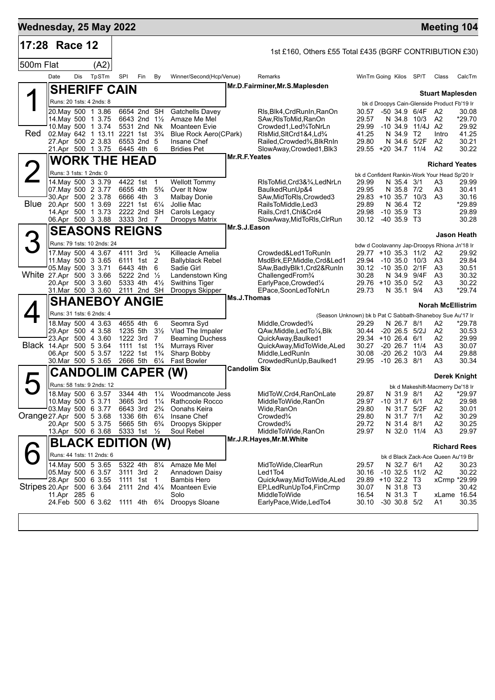| 17:28 Race 12 |     |       |                                                                                                                                                                                                                                                                                                                                                                                                                                                                                                                                                                                                                                                                                                                                                                                                                                                                                      |                                                                                                 |                                                                                                                                                                                             |                                                                                                                                                                                                                                                                                                                                                                                                                                                                                                                                                                                                                                                                                                               |                                                                                                                                                                                                                                                                                                                                                               |                                                                                                                                      |                                                                                                                                                                                                                                                                                                                                                                                                                                                                                                                                                                                                                                                                                                                                                           |                                                                                                                   |                |                                                      |                                                                                                                                                                                                                                                                                                                                                                                                                                                                                                                                                                                                          |                                                                                                                                                                                                                                                                                                                                                                                                                                                                                                                                                                                                                            |
|---------------|-----|-------|--------------------------------------------------------------------------------------------------------------------------------------------------------------------------------------------------------------------------------------------------------------------------------------------------------------------------------------------------------------------------------------------------------------------------------------------------------------------------------------------------------------------------------------------------------------------------------------------------------------------------------------------------------------------------------------------------------------------------------------------------------------------------------------------------------------------------------------------------------------------------------------|-------------------------------------------------------------------------------------------------|---------------------------------------------------------------------------------------------------------------------------------------------------------------------------------------------|---------------------------------------------------------------------------------------------------------------------------------------------------------------------------------------------------------------------------------------------------------------------------------------------------------------------------------------------------------------------------------------------------------------------------------------------------------------------------------------------------------------------------------------------------------------------------------------------------------------------------------------------------------------------------------------------------------------|---------------------------------------------------------------------------------------------------------------------------------------------------------------------------------------------------------------------------------------------------------------------------------------------------------------------------------------------------------------|--------------------------------------------------------------------------------------------------------------------------------------|-----------------------------------------------------------------------------------------------------------------------------------------------------------------------------------------------------------------------------------------------------------------------------------------------------------------------------------------------------------------------------------------------------------------------------------------------------------------------------------------------------------------------------------------------------------------------------------------------------------------------------------------------------------------------------------------------------------------------------------------------------------|-------------------------------------------------------------------------------------------------------------------|----------------|------------------------------------------------------|----------------------------------------------------------------------------------------------------------------------------------------------------------------------------------------------------------------------------------------------------------------------------------------------------------------------------------------------------------------------------------------------------------------------------------------------------------------------------------------------------------------------------------------------------------------------------------------------------------|----------------------------------------------------------------------------------------------------------------------------------------------------------------------------------------------------------------------------------------------------------------------------------------------------------------------------------------------------------------------------------------------------------------------------------------------------------------------------------------------------------------------------------------------------------------------------------------------------------------------------|
|               |     |       |                                                                                                                                                                                                                                                                                                                                                                                                                                                                                                                                                                                                                                                                                                                                                                                                                                                                                      |                                                                                                 |                                                                                                                                                                                             |                                                                                                                                                                                                                                                                                                                                                                                                                                                                                                                                                                                                                                                                                                               |                                                                                                                                                                                                                                                                                                                                                               | 1st £160, Others £55 Total £435 (BGRF CONTRIBUTION £30)                                                                              |                                                                                                                                                                                                                                                                                                                                                                                                                                                                                                                                                                                                                                                                                                                                                           |                                                                                                                   |                |                                                      |                                                                                                                                                                                                                                                                                                                                                                                                                                                                                                                                                                                                          |                                                                                                                                                                                                                                                                                                                                                                                                                                                                                                                                                                                                                            |
| 500m Flat     |     | (A2)  |                                                                                                                                                                                                                                                                                                                                                                                                                                                                                                                                                                                                                                                                                                                                                                                                                                                                                      |                                                                                                 |                                                                                                                                                                                             |                                                                                                                                                                                                                                                                                                                                                                                                                                                                                                                                                                                                                                                                                                               |                                                                                                                                                                                                                                                                                                                                                               |                                                                                                                                      |                                                                                                                                                                                                                                                                                                                                                                                                                                                                                                                                                                                                                                                                                                                                                           |                                                                                                                   |                |                                                      |                                                                                                                                                                                                                                                                                                                                                                                                                                                                                                                                                                                                          |                                                                                                                                                                                                                                                                                                                                                                                                                                                                                                                                                                                                                            |
| Date          | Dis | TpSTm | SPI                                                                                                                                                                                                                                                                                                                                                                                                                                                                                                                                                                                                                                                                                                                                                                                                                                                                                  | Fin                                                                                             | By                                                                                                                                                                                          |                                                                                                                                                                                                                                                                                                                                                                                                                                                                                                                                                                                                                                                                                                               |                                                                                                                                                                                                                                                                                                                                                               | Remarks                                                                                                                              |                                                                                                                                                                                                                                                                                                                                                                                                                                                                                                                                                                                                                                                                                                                                                           |                                                                                                                   |                |                                                      | Class                                                                                                                                                                                                                                                                                                                                                                                                                                                                                                                                                                                                    | CalcTm                                                                                                                                                                                                                                                                                                                                                                                                                                                                                                                                                                                                                     |
|               |     |       |                                                                                                                                                                                                                                                                                                                                                                                                                                                                                                                                                                                                                                                                                                                                                                                                                                                                                      |                                                                                                 |                                                                                                                                                                                             |                                                                                                                                                                                                                                                                                                                                                                                                                                                                                                                                                                                                                                                                                                               |                                                                                                                                                                                                                                                                                                                                                               |                                                                                                                                      |                                                                                                                                                                                                                                                                                                                                                                                                                                                                                                                                                                                                                                                                                                                                                           |                                                                                                                   |                |                                                      |                                                                                                                                                                                                                                                                                                                                                                                                                                                                                                                                                                                                          |                                                                                                                                                                                                                                                                                                                                                                                                                                                                                                                                                                                                                            |
|               |     |       |                                                                                                                                                                                                                                                                                                                                                                                                                                                                                                                                                                                                                                                                                                                                                                                                                                                                                      |                                                                                                 |                                                                                                                                                                                             |                                                                                                                                                                                                                                                                                                                                                                                                                                                                                                                                                                                                                                                                                                               |                                                                                                                                                                                                                                                                                                                                                               |                                                                                                                                      |                                                                                                                                                                                                                                                                                                                                                                                                                                                                                                                                                                                                                                                                                                                                                           |                                                                                                                   |                |                                                      |                                                                                                                                                                                                                                                                                                                                                                                                                                                                                                                                                                                                          |                                                                                                                                                                                                                                                                                                                                                                                                                                                                                                                                                                                                                            |
|               |     |       |                                                                                                                                                                                                                                                                                                                                                                                                                                                                                                                                                                                                                                                                                                                                                                                                                                                                                      |                                                                                                 |                                                                                                                                                                                             | <b>Gatchells Davey</b>                                                                                                                                                                                                                                                                                                                                                                                                                                                                                                                                                                                                                                                                                        |                                                                                                                                                                                                                                                                                                                                                               | RIs, Blk4, Crd Run In, Ran On                                                                                                        | 30.57                                                                                                                                                                                                                                                                                                                                                                                                                                                                                                                                                                                                                                                                                                                                                     |                                                                                                                   |                |                                                      |                                                                                                                                                                                                                                                                                                                                                                                                                                                                                                                                                                                                          | 30.08                                                                                                                                                                                                                                                                                                                                                                                                                                                                                                                                                                                                                      |
|               |     |       |                                                                                                                                                                                                                                                                                                                                                                                                                                                                                                                                                                                                                                                                                                                                                                                                                                                                                      |                                                                                                 |                                                                                                                                                                                             | Moanteen Evie                                                                                                                                                                                                                                                                                                                                                                                                                                                                                                                                                                                                                                                                                                 |                                                                                                                                                                                                                                                                                                                                                               | Crowded1.Led34ToNrLn                                                                                                                 | 29.99                                                                                                                                                                                                                                                                                                                                                                                                                                                                                                                                                                                                                                                                                                                                                     |                                                                                                                   |                |                                                      |                                                                                                                                                                                                                                                                                                                                                                                                                                                                                                                                                                                                          | *29.70<br>29.92                                                                                                                                                                                                                                                                                                                                                                                                                                                                                                                                                                                                            |
|               |     |       |                                                                                                                                                                                                                                                                                                                                                                                                                                                                                                                                                                                                                                                                                                                                                                                                                                                                                      |                                                                                                 |                                                                                                                                                                                             |                                                                                                                                                                                                                                                                                                                                                                                                                                                                                                                                                                                                                                                                                                               |                                                                                                                                                                                                                                                                                                                                                               | RIsMid, SItCrd1&4, Ld%                                                                                                               | 41.25                                                                                                                                                                                                                                                                                                                                                                                                                                                                                                                                                                                                                                                                                                                                                     |                                                                                                                   |                |                                                      | Intro                                                                                                                                                                                                                                                                                                                                                                                                                                                                                                                                                                                                    | 41.25                                                                                                                                                                                                                                                                                                                                                                                                                                                                                                                                                                                                                      |
|               |     |       |                                                                                                                                                                                                                                                                                                                                                                                                                                                                                                                                                                                                                                                                                                                                                                                                                                                                                      |                                                                                                 |                                                                                                                                                                                             |                                                                                                                                                                                                                                                                                                                                                                                                                                                                                                                                                                                                                                                                                                               |                                                                                                                                                                                                                                                                                                                                                               |                                                                                                                                      |                                                                                                                                                                                                                                                                                                                                                                                                                                                                                                                                                                                                                                                                                                                                                           |                                                                                                                   |                |                                                      | A <sub>2</sub>                                                                                                                                                                                                                                                                                                                                                                                                                                                                                                                                                                                           | 30.21<br>30.22                                                                                                                                                                                                                                                                                                                                                                                                                                                                                                                                                                                                             |
|               |     |       |                                                                                                                                                                                                                                                                                                                                                                                                                                                                                                                                                                                                                                                                                                                                                                                                                                                                                      |                                                                                                 |                                                                                                                                                                                             |                                                                                                                                                                                                                                                                                                                                                                                                                                                                                                                                                                                                                                                                                                               |                                                                                                                                                                                                                                                                                                                                                               |                                                                                                                                      |                                                                                                                                                                                                                                                                                                                                                                                                                                                                                                                                                                                                                                                                                                                                                           |                                                                                                                   |                |                                                      |                                                                                                                                                                                                                                                                                                                                                                                                                                                                                                                                                                                                          |                                                                                                                                                                                                                                                                                                                                                                                                                                                                                                                                                                                                                            |
|               |     |       |                                                                                                                                                                                                                                                                                                                                                                                                                                                                                                                                                                                                                                                                                                                                                                                                                                                                                      |                                                                                                 |                                                                                                                                                                                             |                                                                                                                                                                                                                                                                                                                                                                                                                                                                                                                                                                                                                                                                                                               |                                                                                                                                                                                                                                                                                                                                                               |                                                                                                                                      |                                                                                                                                                                                                                                                                                                                                                                                                                                                                                                                                                                                                                                                                                                                                                           |                                                                                                                   |                |                                                      |                                                                                                                                                                                                                                                                                                                                                                                                                                                                                                                                                                                                          |                                                                                                                                                                                                                                                                                                                                                                                                                                                                                                                                                                                                                            |
|               |     |       |                                                                                                                                                                                                                                                                                                                                                                                                                                                                                                                                                                                                                                                                                                                                                                                                                                                                                      |                                                                                                 |                                                                                                                                                                                             | <b>Wellott Tommy</b>                                                                                                                                                                                                                                                                                                                                                                                                                                                                                                                                                                                                                                                                                          |                                                                                                                                                                                                                                                                                                                                                               | RIsToMid, Crd3&3⁄4, LedNrLn                                                                                                          | 29.99                                                                                                                                                                                                                                                                                                                                                                                                                                                                                                                                                                                                                                                                                                                                                     |                                                                                                                   |                |                                                      | A3                                                                                                                                                                                                                                                                                                                                                                                                                                                                                                                                                                                                       | 29.99                                                                                                                                                                                                                                                                                                                                                                                                                                                                                                                                                                                                                      |
|               |     |       |                                                                                                                                                                                                                                                                                                                                                                                                                                                                                                                                                                                                                                                                                                                                                                                                                                                                                      |                                                                                                 |                                                                                                                                                                                             |                                                                                                                                                                                                                                                                                                                                                                                                                                                                                                                                                                                                                                                                                                               |                                                                                                                                                                                                                                                                                                                                                               |                                                                                                                                      |                                                                                                                                                                                                                                                                                                                                                                                                                                                                                                                                                                                                                                                                                                                                                           |                                                                                                                   |                |                                                      |                                                                                                                                                                                                                                                                                                                                                                                                                                                                                                                                                                                                          | 30.41<br>30.16                                                                                                                                                                                                                                                                                                                                                                                                                                                                                                                                                                                                             |
|               |     |       |                                                                                                                                                                                                                                                                                                                                                                                                                                                                                                                                                                                                                                                                                                                                                                                                                                                                                      |                                                                                                 |                                                                                                                                                                                             | Jollie Mac                                                                                                                                                                                                                                                                                                                                                                                                                                                                                                                                                                                                                                                                                                    |                                                                                                                                                                                                                                                                                                                                                               | RailsToMiddle.Led3                                                                                                                   | 29.89                                                                                                                                                                                                                                                                                                                                                                                                                                                                                                                                                                                                                                                                                                                                                     |                                                                                                                   |                |                                                      |                                                                                                                                                                                                                                                                                                                                                                                                                                                                                                                                                                                                          | *29.89                                                                                                                                                                                                                                                                                                                                                                                                                                                                                                                                                                                                                     |
|               |     |       |                                                                                                                                                                                                                                                                                                                                                                                                                                                                                                                                                                                                                                                                                                                                                                                                                                                                                      |                                                                                                 |                                                                                                                                                                                             | Carols Legacy                                                                                                                                                                                                                                                                                                                                                                                                                                                                                                                                                                                                                                                                                                 |                                                                                                                                                                                                                                                                                                                                                               |                                                                                                                                      | 29.98                                                                                                                                                                                                                                                                                                                                                                                                                                                                                                                                                                                                                                                                                                                                                     |                                                                                                                   |                |                                                      |                                                                                                                                                                                                                                                                                                                                                                                                                                                                                                                                                                                                          | 29.89<br>30.28                                                                                                                                                                                                                                                                                                                                                                                                                                                                                                                                                                                                             |
|               |     |       |                                                                                                                                                                                                                                                                                                                                                                                                                                                                                                                                                                                                                                                                                                                                                                                                                                                                                      |                                                                                                 |                                                                                                                                                                                             |                                                                                                                                                                                                                                                                                                                                                                                                                                                                                                                                                                                                                                                                                                               |                                                                                                                                                                                                                                                                                                                                                               |                                                                                                                                      |                                                                                                                                                                                                                                                                                                                                                                                                                                                                                                                                                                                                                                                                                                                                                           |                                                                                                                   |                |                                                      |                                                                                                                                                                                                                                                                                                                                                                                                                                                                                                                                                                                                          |                                                                                                                                                                                                                                                                                                                                                                                                                                                                                                                                                                                                                            |
|               |     |       |                                                                                                                                                                                                                                                                                                                                                                                                                                                                                                                                                                                                                                                                                                                                                                                                                                                                                      |                                                                                                 |                                                                                                                                                                                             |                                                                                                                                                                                                                                                                                                                                                                                                                                                                                                                                                                                                                                                                                                               |                                                                                                                                                                                                                                                                                                                                                               |                                                                                                                                      |                                                                                                                                                                                                                                                                                                                                                                                                                                                                                                                                                                                                                                                                                                                                                           |                                                                                                                   |                |                                                      |                                                                                                                                                                                                                                                                                                                                                                                                                                                                                                                                                                                                          | Jason Heath                                                                                                                                                                                                                                                                                                                                                                                                                                                                                                                                                                                                                |
|               |     |       |                                                                                                                                                                                                                                                                                                                                                                                                                                                                                                                                                                                                                                                                                                                                                                                                                                                                                      |                                                                                                 |                                                                                                                                                                                             |                                                                                                                                                                                                                                                                                                                                                                                                                                                                                                                                                                                                                                                                                                               |                                                                                                                                                                                                                                                                                                                                                               |                                                                                                                                      |                                                                                                                                                                                                                                                                                                                                                                                                                                                                                                                                                                                                                                                                                                                                                           |                                                                                                                   |                |                                                      |                                                                                                                                                                                                                                                                                                                                                                                                                                                                                                                                                                                                          | 29.92                                                                                                                                                                                                                                                                                                                                                                                                                                                                                                                                                                                                                      |
|               |     |       |                                                                                                                                                                                                                                                                                                                                                                                                                                                                                                                                                                                                                                                                                                                                                                                                                                                                                      |                                                                                                 |                                                                                                                                                                                             | Ballyblack Rebel                                                                                                                                                                                                                                                                                                                                                                                                                                                                                                                                                                                                                                                                                              |                                                                                                                                                                                                                                                                                                                                                               | MsdBrk, EP, Middle, Crd&Led1                                                                                                         | 29.94                                                                                                                                                                                                                                                                                                                                                                                                                                                                                                                                                                                                                                                                                                                                                     |                                                                                                                   |                |                                                      | A3                                                                                                                                                                                                                                                                                                                                                                                                                                                                                                                                                                                                       | 29.84                                                                                                                                                                                                                                                                                                                                                                                                                                                                                                                                                                                                                      |
|               |     |       |                                                                                                                                                                                                                                                                                                                                                                                                                                                                                                                                                                                                                                                                                                                                                                                                                                                                                      |                                                                                                 | 6                                                                                                                                                                                           | Sadie Girl                                                                                                                                                                                                                                                                                                                                                                                                                                                                                                                                                                                                                                                                                                    |                                                                                                                                                                                                                                                                                                                                                               | SAw,BadlyBlk1,Crd2&RunIn                                                                                                             |                                                                                                                                                                                                                                                                                                                                                                                                                                                                                                                                                                                                                                                                                                                                                           |                                                                                                                   |                |                                                      | A3                                                                                                                                                                                                                                                                                                                                                                                                                                                                                                                                                                                                       | 30.51                                                                                                                                                                                                                                                                                                                                                                                                                                                                                                                                                                                                                      |
|               |     |       |                                                                                                                                                                                                                                                                                                                                                                                                                                                                                                                                                                                                                                                                                                                                                                                                                                                                                      |                                                                                                 |                                                                                                                                                                                             |                                                                                                                                                                                                                                                                                                                                                                                                                                                                                                                                                                                                                                                                                                               |                                                                                                                                                                                                                                                                                                                                                               |                                                                                                                                      |                                                                                                                                                                                                                                                                                                                                                                                                                                                                                                                                                                                                                                                                                                                                                           |                                                                                                                   |                |                                                      |                                                                                                                                                                                                                                                                                                                                                                                                                                                                                                                                                                                                          | 30.32<br>30.22                                                                                                                                                                                                                                                                                                                                                                                                                                                                                                                                                                                                             |
|               |     |       |                                                                                                                                                                                                                                                                                                                                                                                                                                                                                                                                                                                                                                                                                                                                                                                                                                                                                      |                                                                                                 |                                                                                                                                                                                             | Droopys Skipper                                                                                                                                                                                                                                                                                                                                                                                                                                                                                                                                                                                                                                                                                               |                                                                                                                                                                                                                                                                                                                                                               | EPace,SoonLedToNrLn                                                                                                                  | 29.73                                                                                                                                                                                                                                                                                                                                                                                                                                                                                                                                                                                                                                                                                                                                                     |                                                                                                                   |                |                                                      | A <sub>3</sub>                                                                                                                                                                                                                                                                                                                                                                                                                                                                                                                                                                                           | $*29.74$                                                                                                                                                                                                                                                                                                                                                                                                                                                                                                                                                                                                                   |
|               |     |       |                                                                                                                                                                                                                                                                                                                                                                                                                                                                                                                                                                                                                                                                                                                                                                                                                                                                                      |                                                                                                 |                                                                                                                                                                                             |                                                                                                                                                                                                                                                                                                                                                                                                                                                                                                                                                                                                                                                                                                               |                                                                                                                                                                                                                                                                                                                                                               |                                                                                                                                      |                                                                                                                                                                                                                                                                                                                                                                                                                                                                                                                                                                                                                                                                                                                                                           |                                                                                                                   |                |                                                      |                                                                                                                                                                                                                                                                                                                                                                                                                                                                                                                                                                                                          |                                                                                                                                                                                                                                                                                                                                                                                                                                                                                                                                                                                                                            |
|               |     |       |                                                                                                                                                                                                                                                                                                                                                                                                                                                                                                                                                                                                                                                                                                                                                                                                                                                                                      |                                                                                                 |                                                                                                                                                                                             |                                                                                                                                                                                                                                                                                                                                                                                                                                                                                                                                                                                                                                                                                                               |                                                                                                                                                                                                                                                                                                                                                               |                                                                                                                                      |                                                                                                                                                                                                                                                                                                                                                                                                                                                                                                                                                                                                                                                                                                                                                           |                                                                                                                   |                |                                                      |                                                                                                                                                                                                                                                                                                                                                                                                                                                                                                                                                                                                          |                                                                                                                                                                                                                                                                                                                                                                                                                                                                                                                                                                                                                            |
|               |     |       |                                                                                                                                                                                                                                                                                                                                                                                                                                                                                                                                                                                                                                                                                                                                                                                                                                                                                      |                                                                                                 |                                                                                                                                                                                             |                                                                                                                                                                                                                                                                                                                                                                                                                                                                                                                                                                                                                                                                                                               |                                                                                                                                                                                                                                                                                                                                                               |                                                                                                                                      |                                                                                                                                                                                                                                                                                                                                                                                                                                                                                                                                                                                                                                                                                                                                                           |                                                                                                                   |                |                                                      |                                                                                                                                                                                                                                                                                                                                                                                                                                                                                                                                                                                                          | *29.78<br>30.53                                                                                                                                                                                                                                                                                                                                                                                                                                                                                                                                                                                                            |
|               |     |       |                                                                                                                                                                                                                                                                                                                                                                                                                                                                                                                                                                                                                                                                                                                                                                                                                                                                                      |                                                                                                 |                                                                                                                                                                                             |                                                                                                                                                                                                                                                                                                                                                                                                                                                                                                                                                                                                                                                                                                               |                                                                                                                                                                                                                                                                                                                                                               | QuickAway, Baulked1                                                                                                                  |                                                                                                                                                                                                                                                                                                                                                                                                                                                                                                                                                                                                                                                                                                                                                           |                                                                                                                   |                |                                                      | А2                                                                                                                                                                                                                                                                                                                                                                                                                                                                                                                                                                                                       | 29.99                                                                                                                                                                                                                                                                                                                                                                                                                                                                                                                                                                                                                      |
|               |     |       |                                                                                                                                                                                                                                                                                                                                                                                                                                                                                                                                                                                                                                                                                                                                                                                                                                                                                      |                                                                                                 |                                                                                                                                                                                             |                                                                                                                                                                                                                                                                                                                                                                                                                                                                                                                                                                                                                                                                                                               |                                                                                                                                                                                                                                                                                                                                                               |                                                                                                                                      | 30.27                                                                                                                                                                                                                                                                                                                                                                                                                                                                                                                                                                                                                                                                                                                                                     |                                                                                                                   |                |                                                      |                                                                                                                                                                                                                                                                                                                                                                                                                                                                                                                                                                                                          | 30.07<br>29.88                                                                                                                                                                                                                                                                                                                                                                                                                                                                                                                                                                                                             |
|               |     |       |                                                                                                                                                                                                                                                                                                                                                                                                                                                                                                                                                                                                                                                                                                                                                                                                                                                                                      |                                                                                                 | $6\frac{1}{4}$                                                                                                                                                                              | <b>Fast Bowler</b>                                                                                                                                                                                                                                                                                                                                                                                                                                                                                                                                                                                                                                                                                            |                                                                                                                                                                                                                                                                                                                                                               | CrowdedRunUp, Baulked1                                                                                                               | 29.95                                                                                                                                                                                                                                                                                                                                                                                                                                                                                                                                                                                                                                                                                                                                                     |                                                                                                                   |                |                                                      | A3                                                                                                                                                                                                                                                                                                                                                                                                                                                                                                                                                                                                       | 30.34                                                                                                                                                                                                                                                                                                                                                                                                                                                                                                                                                                                                                      |
|               |     |       |                                                                                                                                                                                                                                                                                                                                                                                                                                                                                                                                                                                                                                                                                                                                                                                                                                                                                      |                                                                                                 |                                                                                                                                                                                             |                                                                                                                                                                                                                                                                                                                                                                                                                                                                                                                                                                                                                                                                                                               |                                                                                                                                                                                                                                                                                                                                                               |                                                                                                                                      |                                                                                                                                                                                                                                                                                                                                                                                                                                                                                                                                                                                                                                                                                                                                                           |                                                                                                                   |                |                                                      |                                                                                                                                                                                                                                                                                                                                                                                                                                                                                                                                                                                                          |                                                                                                                                                                                                                                                                                                                                                                                                                                                                                                                                                                                                                            |
|               |     |       |                                                                                                                                                                                                                                                                                                                                                                                                                                                                                                                                                                                                                                                                                                                                                                                                                                                                                      |                                                                                                 |                                                                                                                                                                                             |                                                                                                                                                                                                                                                                                                                                                                                                                                                                                                                                                                                                                                                                                                               |                                                                                                                                                                                                                                                                                                                                                               |                                                                                                                                      |                                                                                                                                                                                                                                                                                                                                                                                                                                                                                                                                                                                                                                                                                                                                                           |                                                                                                                   |                |                                                      |                                                                                                                                                                                                                                                                                                                                                                                                                                                                                                                                                                                                          |                                                                                                                                                                                                                                                                                                                                                                                                                                                                                                                                                                                                                            |
|               |     |       |                                                                                                                                                                                                                                                                                                                                                                                                                                                                                                                                                                                                                                                                                                                                                                                                                                                                                      |                                                                                                 |                                                                                                                                                                                             |                                                                                                                                                                                                                                                                                                                                                                                                                                                                                                                                                                                                                                                                                                               |                                                                                                                                                                                                                                                                                                                                                               | MidToW, Crd4, RanOnLate                                                                                                              | 29.87                                                                                                                                                                                                                                                                                                                                                                                                                                                                                                                                                                                                                                                                                                                                                     |                                                                                                                   |                |                                                      | A2                                                                                                                                                                                                                                                                                                                                                                                                                                                                                                                                                                                                       | *29.97                                                                                                                                                                                                                                                                                                                                                                                                                                                                                                                                                                                                                     |
|               |     |       |                                                                                                                                                                                                                                                                                                                                                                                                                                                                                                                                                                                                                                                                                                                                                                                                                                                                                      |                                                                                                 |                                                                                                                                                                                             |                                                                                                                                                                                                                                                                                                                                                                                                                                                                                                                                                                                                                                                                                                               |                                                                                                                                                                                                                                                                                                                                                               |                                                                                                                                      |                                                                                                                                                                                                                                                                                                                                                                                                                                                                                                                                                                                                                                                                                                                                                           |                                                                                                                   |                |                                                      |                                                                                                                                                                                                                                                                                                                                                                                                                                                                                                                                                                                                          | 29.98<br>30.01                                                                                                                                                                                                                                                                                                                                                                                                                                                                                                                                                                                                             |
|               |     |       |                                                                                                                                                                                                                                                                                                                                                                                                                                                                                                                                                                                                                                                                                                                                                                                                                                                                                      |                                                                                                 | $6\frac{1}{4}$                                                                                                                                                                              | Insane Chef                                                                                                                                                                                                                                                                                                                                                                                                                                                                                                                                                                                                                                                                                                   |                                                                                                                                                                                                                                                                                                                                                               | Crowded <sup>3</sup> /4                                                                                                              | 29.80                                                                                                                                                                                                                                                                                                                                                                                                                                                                                                                                                                                                                                                                                                                                                     |                                                                                                                   |                |                                                      | A2                                                                                                                                                                                                                                                                                                                                                                                                                                                                                                                                                                                                       | 30.29                                                                                                                                                                                                                                                                                                                                                                                                                                                                                                                                                                                                                      |
|               |     |       |                                                                                                                                                                                                                                                                                                                                                                                                                                                                                                                                                                                                                                                                                                                                                                                                                                                                                      |                                                                                                 |                                                                                                                                                                                             |                                                                                                                                                                                                                                                                                                                                                                                                                                                                                                                                                                                                                                                                                                               |                                                                                                                                                                                                                                                                                                                                                               |                                                                                                                                      |                                                                                                                                                                                                                                                                                                                                                                                                                                                                                                                                                                                                                                                                                                                                                           |                                                                                                                   |                |                                                      |                                                                                                                                                                                                                                                                                                                                                                                                                                                                                                                                                                                                          | 30.25<br>29.97                                                                                                                                                                                                                                                                                                                                                                                                                                                                                                                                                                                                             |
|               |     |       |                                                                                                                                                                                                                                                                                                                                                                                                                                                                                                                                                                                                                                                                                                                                                                                                                                                                                      |                                                                                                 |                                                                                                                                                                                             |                                                                                                                                                                                                                                                                                                                                                                                                                                                                                                                                                                                                                                                                                                               |                                                                                                                                                                                                                                                                                                                                                               |                                                                                                                                      |                                                                                                                                                                                                                                                                                                                                                                                                                                                                                                                                                                                                                                                                                                                                                           |                                                                                                                   |                |                                                      |                                                                                                                                                                                                                                                                                                                                                                                                                                                                                                                                                                                                          |                                                                                                                                                                                                                                                                                                                                                                                                                                                                                                                                                                                                                            |
|               |     |       |                                                                                                                                                                                                                                                                                                                                                                                                                                                                                                                                                                                                                                                                                                                                                                                                                                                                                      |                                                                                                 |                                                                                                                                                                                             |                                                                                                                                                                                                                                                                                                                                                                                                                                                                                                                                                                                                                                                                                                               |                                                                                                                                                                                                                                                                                                                                                               |                                                                                                                                      |                                                                                                                                                                                                                                                                                                                                                                                                                                                                                                                                                                                                                                                                                                                                                           |                                                                                                                   |                |                                                      |                                                                                                                                                                                                                                                                                                                                                                                                                                                                                                                                                                                                          |                                                                                                                                                                                                                                                                                                                                                                                                                                                                                                                                                                                                                            |
|               |     |       |                                                                                                                                                                                                                                                                                                                                                                                                                                                                                                                                                                                                                                                                                                                                                                                                                                                                                      |                                                                                                 |                                                                                                                                                                                             | Amaze Me Mel                                                                                                                                                                                                                                                                                                                                                                                                                                                                                                                                                                                                                                                                                                  |                                                                                                                                                                                                                                                                                                                                                               |                                                                                                                                      |                                                                                                                                                                                                                                                                                                                                                                                                                                                                                                                                                                                                                                                                                                                                                           |                                                                                                                   |                |                                                      |                                                                                                                                                                                                                                                                                                                                                                                                                                                                                                                                                                                                          | 30.23                                                                                                                                                                                                                                                                                                                                                                                                                                                                                                                                                                                                                      |
|               |     |       |                                                                                                                                                                                                                                                                                                                                                                                                                                                                                                                                                                                                                                                                                                                                                                                                                                                                                      |                                                                                                 | 2                                                                                                                                                                                           | Annadown Daisy                                                                                                                                                                                                                                                                                                                                                                                                                                                                                                                                                                                                                                                                                                |                                                                                                                                                                                                                                                                                                                                                               | Led1To4                                                                                                                              | 30.16                                                                                                                                                                                                                                                                                                                                                                                                                                                                                                                                                                                                                                                                                                                                                     |                                                                                                                   |                |                                                      | A2                                                                                                                                                                                                                                                                                                                                                                                                                                                                                                                                                                                                       | 30.22                                                                                                                                                                                                                                                                                                                                                                                                                                                                                                                                                                                                                      |
|               |     |       |                                                                                                                                                                                                                                                                                                                                                                                                                                                                                                                                                                                                                                                                                                                                                                                                                                                                                      |                                                                                                 |                                                                                                                                                                                             | Bambis Hero                                                                                                                                                                                                                                                                                                                                                                                                                                                                                                                                                                                                                                                                                                   |                                                                                                                                                                                                                                                                                                                                                               |                                                                                                                                      |                                                                                                                                                                                                                                                                                                                                                                                                                                                                                                                                                                                                                                                                                                                                                           |                                                                                                                   |                |                                                      |                                                                                                                                                                                                                                                                                                                                                                                                                                                                                                                                                                                                          | 30.42                                                                                                                                                                                                                                                                                                                                                                                                                                                                                                                                                                                                                      |
|               |     |       |                                                                                                                                                                                                                                                                                                                                                                                                                                                                                                                                                                                                                                                                                                                                                                                                                                                                                      |                                                                                                 |                                                                                                                                                                                             | Solo                                                                                                                                                                                                                                                                                                                                                                                                                                                                                                                                                                                                                                                                                                          |                                                                                                                                                                                                                                                                                                                                                               | <b>MiddleToWide</b>                                                                                                                  | 16.54                                                                                                                                                                                                                                                                                                                                                                                                                                                                                                                                                                                                                                                                                                                                                     |                                                                                                                   |                |                                                      | xLame 16.54                                                                                                                                                                                                                                                                                                                                                                                                                                                                                                                                                                                              |                                                                                                                                                                                                                                                                                                                                                                                                                                                                                                                                                                                                                            |
|               |     |       |                                                                                                                                                                                                                                                                                                                                                                                                                                                                                                                                                                                                                                                                                                                                                                                                                                                                                      |                                                                                                 |                                                                                                                                                                                             | Droopys Sloane                                                                                                                                                                                                                                                                                                                                                                                                                                                                                                                                                                                                                                                                                                |                                                                                                                                                                                                                                                                                                                                                               | EarlyPace, Wide, LedTo4                                                                                                              | 30.10                                                                                                                                                                                                                                                                                                                                                                                                                                                                                                                                                                                                                                                                                                                                                     |                                                                                                                   |                |                                                      | A1                                                                                                                                                                                                                                                                                                                                                                                                                                                                                                                                                                                                       | 30.35                                                                                                                                                                                                                                                                                                                                                                                                                                                                                                                                                                                                                      |
|               |     |       | Runs: 20 1sts: 4 2nds: 8<br>20. May 500 1 3.86<br>14. May 500 1 3.75<br>10. May 500 1 3.74<br>27.Apr 500 2 3.83<br>21.Apr 500 1 3.75<br>Runs: 3 1sts: 1 2nds: 0<br>14 May 500 3 3.79<br>07. May 500 2 3.77<br>30.Apr 500 2 3.78<br>20.Apr 500 1 3.69<br>14.Apr 500 1 3.73<br>06.Apr 500 3 3.88<br>11. May 500 3 3.65<br>05 May 500 3 3.71<br>White 27 Apr 500 3 3.66<br>20.Apr 500 3 3.60<br>31.Mar 500 3 3.60<br>Runs: 31 1sts: 6 2nds: 4<br>18 May 500 4 3.63<br>29.Apr 500 4 3.58<br>23.Apr 500 4 3.60<br>Black 14.Apr 500 5 3.64<br>06.Apr 500 5 3.57<br>30.Mar 500 5 3.65<br>18. May 500 6 3.57<br>10. May 500 5 3.71<br>03 May 500 6 3.77<br>Orange 27 Apr 500 5 3.68<br>20.Apr 500 5 3.75<br>13.Apr 500 6 3.68<br>Runs: 44 1sts: 11 2nds: 6<br>14 May 500 5 3.65<br>05. May 500 6 3.57<br>28.Apr 500 6 3.55<br>Stripes 20.Apr 500 6 3.64<br>11.Apr 285 6<br>24.Feb 500 6 3.62 | Runs: 79 1sts: 10 2nds: 24<br>17 May 500 4 3.67<br><b>CANDOLIM</b><br>Runs: 58 1sts: 9 2nds: 12 | <b>SHERIFF CAIN</b><br>4422 1st<br>6666 4th<br>6443 4th<br>5333 4th<br>4655 4th<br>1111 1st<br>1222 1st<br>2666 5th<br>3665 3rd<br>6643 3rd<br>1336 6th<br>5333 1st<br>3111 3rd<br>1111 1st | 6654 2nd SH<br>6643 2nd 11/2<br>5531 2nd Nk<br>02. May 642 1 13.11 2221 1st 3 <sup>3</sup> / <sub>4</sub><br>6553 2nd 5<br>6445 4th 6<br><b>WORK THE HEAD</b><br>$\overline{1}$<br>6655 4th<br>$5\frac{3}{4}$<br>3<br>2221 1st 61/4<br>2222 2nd SH<br>3333 3rd 7<br><b>SEASONS REIGNS</b><br>4111 3rd<br>$\frac{3}{4}$<br>6111 1st 2<br>5222 2nd<br>$\frac{1}{2}$<br>$4\frac{1}{2}$<br>2111 2nd SH<br><b>SHANEBOY ANGIE</b><br>6<br>$3\frac{1}{2}$<br>1235 5th<br>1222 3rd 7<br>$1\frac{3}{4}$<br>$1\frac{3}{4}$<br>3344 4th<br>$1\frac{1}{4}$<br>$2\frac{3}{4}$<br>5665 5th 63/4<br>$\frac{1}{2}$<br>5322 4th<br>$8\frac{1}{4}$<br>$\overline{1}$<br>2111 2nd 41/4<br>1111 4th 6 <sup>3</sup> / <sub>4</sub> | Amaze Me Mel<br>Insane Chef<br><b>Bridies Pet</b><br>Over It Now<br><b>Malbay Donie</b><br>Droopys Matrix<br>Killeacle Amelia<br><b>Swithins Tiger</b><br>Seomra Syd<br>Vlad The Impaler<br><b>Murrays River</b><br>Sharp Bobby<br><b>CAPER (W)</b><br>Rathcoole Rocco<br>Oonahs Keira<br>Droopys Skipper<br>Soul Rebel<br>BLACK EDITION (W)<br>Moanteen Evie | Winner/Second(Hcp/Venue)<br>Blue Rock Aero(CPark)<br>Landenstown King<br><b>Beaming Duchess</b><br>11/ <sub>4</sub> Woodmancote Jess | Mr.D.Fairminer, Mr.S.Maplesden<br>SAw, RIs To Mid, RanOn<br>Railed, Crowded <sup>3</sup> / <sub>4</sub> , BlkRnIn<br>SlowAway,Crowded1,Blk3<br>Mr.R.F.Yeates<br>BaulkedRunUp&4<br>SAw, MidToRIs, Crowded3<br>Rails, Crd1, Chl&Crd4<br>SlowAway, MidToRIs, CIrRun<br>Mr.S.J.Eason<br>Crowded&Led1ToRunIn<br>ChallengedFrom <sup>3</sup> /4<br>EarlyPace, Crowded <sup>1/4</sup><br>Ms.J.Thomas<br>Middle, Crowded <sup>3</sup> /4<br>QAw, Middle, Led To 1/4, Blk<br>QuickAway,MidToWide,ALed<br>Middle, Led Run In<br><b>Candolim Six</b><br>MiddleToWide, RanOn<br>Wide, RanOn<br>Crowded <sup>3</sup> / <sub>4</sub><br>MiddleToWide, RanOn<br>Mr.J.R.Hayes, Mr.M. White<br>MidToWide, ClearRun<br>QuickAway, MidToWide, ALed<br>EP,LedRunUpTo4,FinCrmp | 29.57<br>29.80<br>29.95<br>30.28<br>29.29<br>30.44<br>30.08<br>29.97<br>29.80<br>29.72<br>29.97<br>29.57<br>30.07 | 30.12<br>29.34 | WinTm Going Kilos<br>N 34.8<br>$-10, 34.9$<br>N 34.6 | SP/T<br>10/3<br>N 34.9 T2<br>5/2F<br>29.55 +20 34.7 11/4<br>N 35.4 3/1<br>N 35.8 7/2<br>29.83 +10 35.7 10/3<br>N 36.4 T2<br>$-10, 35.9, T3$<br>$-40, 35.9, T3$<br>29.77 +10 35.3 11/2<br>$-10$ 35.0 $10/3$<br>30.12 -10 35.0 2/1F<br>N 34.9 9/4F<br>29.76 +10 35.0 5/2<br>N 35.1 9/4<br>N 26.7 8/1<br>$-20$ 26.5 $5/2J$<br>$+10$ 26.4 6/1<br>$-20$ 26.7 $11/4$<br>$-20$ 26.2 $10/3$<br>$-10$ 26.3 $8/1$<br>N 31.9 8/1<br>$-10$ 31.7 $6/1$<br>N 31.7 5/2F<br>N 31.7 7/1<br>N 31.4 8/1<br>N 32.0 11/4<br>N 32.7 6/1<br>$-10$ 32.5 $11/2$<br>29.89 +10 32.2 T3<br>N 31.8 T3<br>N 31.3 T<br>$-30$ 30.8 $5/2$ | <b>Stuart Maplesden</b><br>bk d Droopys Cain-Glenside Product Fb'19 Ir<br>$-50, 34.9, 6/4F$ A2<br>A <sub>2</sub><br>11/4J A2<br>A <sub>2</sub><br><b>Richard Yeates</b><br>bk d Confident Rankin-Work Your Head Sp'20 Ir<br>A3<br>A3<br>bdw d Coolavanny Jap-Droopys Rhiona Jn'18 Ir<br>A2<br>A3<br>A3<br><b>Norah McEllistrim</b><br>(Season Unknown) bk b Pat C Sabbath-Shaneboy Sue Au'17 Ir<br>Α2<br>A2<br>A3<br>A4<br>Derek Knight<br>bk d Makeshift-Macmerry De'18 Ir<br>A <sub>2</sub><br>A2<br>A <sub>2</sub><br>A <sub>3</sub><br><b>Richard Rees</b><br>bk d Black Zack-Ace Queen Au'19 Br<br>A2<br>xCrmp *29.99 |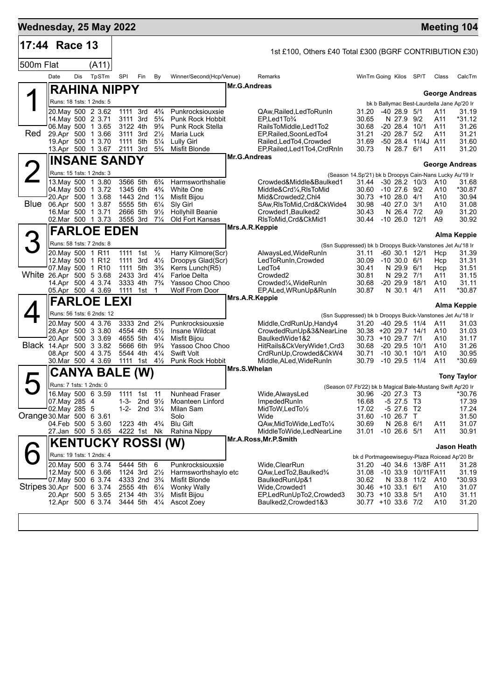| Wednesday, 25 May 2022    |                                              |     |                                                |                      |                                                    |                                  |                                         |                |                                                                                        |                                                         |                                 |                    |            | <b>Meeting 104</b>                         |
|---------------------------|----------------------------------------------|-----|------------------------------------------------|----------------------|----------------------------------------------------|----------------------------------|-----------------------------------------|----------------|----------------------------------------------------------------------------------------|---------------------------------------------------------|---------------------------------|--------------------|------------|--------------------------------------------|
| 17:44 Race 13             |                                              |     |                                                |                      |                                                    |                                  |                                         |                | 1st £100, Others £40 Total £300 (BGRF CONTRIBUTION £30)                                |                                                         |                                 |                    |            |                                            |
| 500m Flat                 |                                              |     | (A11)                                          |                      |                                                    |                                  |                                         |                |                                                                                        |                                                         |                                 |                    |            |                                            |
|                           | Date                                         | Dis | TpSTm                                          | <b>SPI</b>           | Fin                                                | By                               | Winner/Second(Hcp/Venue)                |                | Remarks                                                                                | WinTm Going Kilos SP/T                                  |                                 |                    | Class      | CalcTm                                     |
|                           |                                              |     | <b>RAHINA NIPPY</b>                            |                      |                                                    |                                  |                                         | Mr.G.Andreas   |                                                                                        |                                                         |                                 |                    |            | <b>George Andreas</b>                      |
|                           |                                              |     | Runs: 18 1sts: 1 2nds: 5                       |                      |                                                    |                                  |                                         |                |                                                                                        |                                                         |                                 |                    |            | bk b Ballymac Best-Laurdella Jane Ap'20 Ir |
|                           |                                              |     | 20. May 500 2 3.62<br>14 May 500 2 3.71        | 1111 3rd<br>3111 3rd |                                                    | $4\frac{3}{4}$<br>$5\frac{3}{4}$ | Punkrocksiouxsie<br>Punk Rock Hobbit    |                | QAw, Railed, Led To Run In<br>$EP$ , Led 1 To $\frac{3}{4}$                            | 31.20<br>30.65                                          | $-4028.95/1$<br>N 27.9 9/2      |                    | A11<br>A11 | 31.19<br>*31.12                            |
|                           |                                              |     | 06. May 500 1 3.65                             | 3122 4th             |                                                    | $9\frac{3}{4}$                   | Punk Rock Stella                        |                | RailsToMiddle, Led1To2                                                                 | 30.68                                                   | -20 28.4                        | 10/1               | A11        | 31.26                                      |
| Red                       |                                              |     | 29.Apr 500 1 3.66<br>19.Apr 500 1 3.70         | 1111                 | 3111 3rd<br>5th                                    | $2\frac{1}{2}$<br>$5\frac{1}{4}$ | Maria Luck<br><b>Lully Girl</b>         |                | EP, Railed, SoonLedTo4<br>Railed, Led To4, Crowded                                     | 31.21<br>31.69                                          | $-20$ 28.7 $5/2$<br>-50 28.4    | 11/4J A11          | A11        | 31.21<br>31.60                             |
|                           |                                              |     | 13.Apr 500 1 3.67                              | 2111 3rd             |                                                    | $5\frac{3}{4}$                   | Misfit Blonde                           |                | EP, Railed, Led 1To 4, Crd Rn In                                                       | 30.73                                                   | N 28.7 6/1                      |                    | A11        | 31.20                                      |
|                           |                                              |     | <b>INSANE SANDY</b>                            |                      |                                                    |                                  |                                         | Mr.G.Andreas   |                                                                                        |                                                         |                                 |                    |            | <b>George Andreas</b>                      |
| <b>2</b>                  |                                              |     | Runs: 15 1sts: 1 2nds: 3                       |                      |                                                    |                                  |                                         |                |                                                                                        | (Season 14.Sp'21) bk b Droopys Cain-Nans Lucky Au'19 Ir |                                 |                    |            |                                            |
|                           | 04. May 500 1 3.72                           |     | 13. May 500 1 3.80                             | 3566 5th<br>1345 6th |                                                    | $6\frac{3}{4}$<br>$4\frac{3}{4}$ | Harmsworthshalie<br>White One           |                | Crowded&Middle&Baulked1<br>Middle&Crd1⁄4,RIsToMid                                      | 31.44 -30 28.2 10/3<br>30.60                            | $-10$ 27.6 $9/2$                |                    | A10<br>A10 | 31.68<br>*30.87                            |
|                           | Blue 06.Apr 500 1 3.87                       |     | 20.Apr 500 1 3.68                              |                      | 1443 2nd 11/4                                      |                                  | Misfit Bijou                            |                | Mid&Crowded2,Chl4                                                                      | $30.73 + 1028.04/1$                                     |                                 |                    | A10        | 30.94                                      |
|                           |                                              |     | 16.Mar 500 1 3.71                              | 5555 5th<br>2666 5th |                                                    | $6\frac{1}{4}$<br>$9\frac{1}{2}$ | Sly Girl<br><b>Hollyhill Beanie</b>     |                | SAw, RIsToMid, Crd&CkWide4<br>Crowded1, Baulked2                                       | 30.98<br>30.43                                          | $-40$ 27.0 $3/1$<br>N 26.4 7/2  |                    | A10<br>A9  | 31.08<br>31.20                             |
|                           |                                              |     | 02. Mar 500 1 3.73                             | 3555 3rd             |                                                    | $7\frac{1}{4}$                   | Old Fort Kansas                         | Mrs.A.R.Keppie | RIsToMid, Crd&CkMid1                                                                   | 30.44 -10 26.0 12/1                                     |                                 |                    | A9         | 30.92                                      |
|                           |                                              |     | <b>FARLOE EDEN</b>                             |                      |                                                    |                                  |                                         |                |                                                                                        |                                                         |                                 |                    |            | <b>Alma Keppie</b>                         |
| З                         |                                              |     | Runs: 58 1sts: 7 2nds: 8                       |                      |                                                    |                                  |                                         |                | (Ssn Suppressed) bk b Droopys Buick-Vanstones Jet Au'18 Ir                             |                                                         |                                 |                    |            |                                            |
|                           | 20. May 500 1 R11<br>12. May 500 1 R12       |     |                                                | 1111 1st<br>1111     | 3rd                                                | $\frac{1}{2}$<br>$4\frac{1}{2}$  | Harry Kilmore(Scr)<br>Droopys Glad(Scr) |                | AlwaysLed, WideRunIn<br>LedToRunIn, Crowded                                            | 31.11<br>30.09                                          | -60 30.1 12/1<br>$-10,30.0,6/1$ |                    | Hcp<br>Hcp | 31.39<br>31.31                             |
|                           | 07. May 500 1 R10<br>White 26.Apr 500 5 3.68 |     |                                                | 1111 5th<br>2433 3rd |                                                    | $3\frac{3}{4}$<br>$4\frac{1}{4}$ | Kerrs Lunch(R5)<br>Farloe Delta         |                | LedTo4<br>Crowded <sub>2</sub>                                                         | 30.41<br>30.81                                          | N 29.9 6/1<br>N 29.2 7/1        |                    | Hcp        | 31.51<br>31.15                             |
|                           |                                              |     | 14.Apr 500 4 3.74                              | 3333 4th             |                                                    | $7\frac{3}{4}$                   | Yassoo Choo Choo                        |                | Crowded¼, WideRunIn                                                                    | 30.68                                                   | $-2029.9$                       | 18/1               | A11<br>A10 | 31.11                                      |
|                           |                                              |     | 05.Apr 500 4 3.69                              | 1111                 | 1st                                                | $\mathbf{1}$                     | <b>Wolf From Door</b>                   | Mrs.A.R.Keppie | EP, ALed, WRunUp& RunIn                                                                | 30.87                                                   | N 30.1 4/1                      |                    | A11        | *30.87                                     |
|                           |                                              |     | <b>FARLOE LEXI</b>                             |                      |                                                    |                                  |                                         |                |                                                                                        |                                                         |                                 |                    |            | <b>Alma Keppie</b>                         |
|                           |                                              |     | Runs: 56 1sts: 6 2nds: 12<br>20.May 500 4 3.76 |                      | 3333 2nd 2 <sup>3</sup> / <sub>4</sub>             |                                  | Punkrocksiouxsie                        |                | (Ssn Suppressed) bk b Droopys Buick-Vanstones Jet Au'18 Ir<br>Middle, CrdRunUp, Handy4 | 31.20                                                   | -40 29.5 11/4                   |                    | A11        | 31.03                                      |
|                           |                                              |     | 28.Apr 500 3 3.80                              |                      | 4554 4th                                           | $5\frac{1}{2}$                   | Insane Wildcat                          |                | CrowdedRunUp&3&NearLine                                                                | 30.38 +20 29.7 14/1                                     |                                 |                    | A10        | 31.03                                      |
|                           | Black 14.Apr 500 3 3.82                      |     | 20.Apr 500 3 3.69                              |                      | 4655 5th<br>5666 6th                               | $4\frac{1}{4}$<br>$9\frac{3}{4}$ | Misfit Bijou<br>Yassoo Choo Choo        |                | BaulkedWide1&2<br>HitRails&CkVeryWide1,Crd3                                            | 30.73 +10 29.7 7/1<br>30.68                             | -20 29.5                        | 10/1               | A10<br>A10 | 31.17<br>31.26                             |
|                           |                                              |     | 08.Apr 500 4 3.75                              | 5544 4th             |                                                    | $4\frac{1}{4}$                   | Swift Volt                              |                | CrdRunUp,Crowded&CkW4                                                                  | 30.71                                                   | $-10$ 30.1                      | 10/1               | A10        | 30.95                                      |
|                           |                                              |     | 30.Mar 500 4 3.69                              |                      | 1111 1st                                           | $4\frac{1}{2}$                   | Punk Rock Hobbit                        | Mrs.S.Whelan   | Middle, ALed, WideRunIn                                                                | 30.79                                                   | $-1029.5$                       | 11/4               | A11        | *30.69                                     |
| $\blacktriangleright$     |                                              |     | CANYA BALE                                     |                      | (W)                                                |                                  |                                         |                |                                                                                        |                                                         |                                 |                    |            | <b>Tony Taylor</b>                         |
|                           | Runs: 7 1sts: 1 2nds: 0                      |     | 16. May 500 6 3.59                             |                      | 1111 1st 11                                        |                                  | <b>Nunhead Fraser</b>                   |                | (Season 07.Fb'22) bk b Magical Bale-Mustang Swift Ap'20 Ir<br>Wide, Always Led         | 30.96 -20 27.3 T3                                       |                                 |                    |            | *30.76                                     |
|                           | 07. May 285 4                                |     |                                                | 1-3-                 | 2nd $9\frac{1}{2}$                                 |                                  | Moanteen Linford                        |                | ImpededRunIn                                                                           | 16.68                                                   | $-5$ 27.5 T3                    |                    |            | 17.39                                      |
| Orange 30 Mar 500 6 3.61  | 02.May 285 5                                 |     |                                                | $1 - 2 -$            | 2nd $3\frac{1}{4}$                                 |                                  | Milan Sam<br>Solo                       |                | MidToW, LedTo1/2<br>Wide                                                               | 17.02<br>31.60                                          | -5 27.6 T2<br>$-10$ 26.7 T      |                    |            | 17.24<br>31.50                             |
|                           |                                              |     | 04.Feb 500 5 3.60                              |                      | 1223 4th                                           | $4\frac{3}{4}$                   | <b>Blu Gift</b>                         |                | QAw,MidToWide,LedTo1/4                                                                 | 30.69                                                   | N 26.8 6/1                      |                    | A11        | 31.07                                      |
|                           |                                              |     | 27.Jan 500 5 3.65                              |                      | 4222 1st Nk                                        |                                  | Rahina Nippy                            |                | MiddleToWide,LedNearLine<br>Mr.A.Ross, Mr.P.Smith                                      | 31.01                                                   | $-10$ 26.6 $5/1$                |                    | A11        | 30.91                                      |
|                           |                                              |     | <b>KENTUCKY ROSSI (W)</b>                      |                      |                                                    |                                  |                                         |                |                                                                                        |                                                         |                                 |                    |            | <b>Jason Heath</b>                         |
|                           |                                              |     | Runs: 19 1sts: 1 2nds: 4<br>20. May 500 6 3.74 |                      | 5444 5th                                           | 6                                | Punkrocksiouxsie                        |                | Wide, ClearRun                                                                         | bk d Portmageewiseguy-Plaza Roicead Ap'20 Br<br>31.20   |                                 | -40 34.6 13/8F A11 |            | 31.28                                      |
|                           |                                              |     | 12. May 500 6 3.66                             |                      | 1124 3rd $2\frac{1}{2}$                            |                                  | Harmsworthshaylo etc                    |                | QAw,LedTo2,Baulked3/4                                                                  | 31.08                                                   |                                 | -10 33.9 10/11FA11 |            | 31.19                                      |
| Stripes 30 Apr 500 6 3 74 |                                              |     | 07 May 500 6 3.74                              |                      | 4333 2nd 3 <sup>3</sup> / <sub>4</sub><br>2555 4th | $6\frac{1}{4}$                   | Misfit Blonde<br>Wonky Wally            |                | BaulkedRunUp&1<br>Wide,Crowded1                                                        | 30.62<br>30.46 +10 33.1 6/1                             | N 33.8 11/2                     |                    | A10<br>A10 | *30.93<br>31.07                            |
|                           |                                              |     | 20.Apr 500 5 3.65                              | 2134 4th             |                                                    | $3\frac{1}{2}$                   | Misfit Bijou                            |                | EP,LedRunUpTo2,Crowded3                                                                | 30.73 +10 33.8 5/1                                      |                                 |                    | A10        | 31.11                                      |
|                           |                                              |     | 12.Apr 500 6 3.74                              |                      | 3444 5th                                           | $4\frac{1}{4}$                   | Ascot Zoey                              |                | Baulked2,Crowded1&3                                                                    | 30.77 +10 33.6 7/2                                      |                                 |                    | A10        | 31.20                                      |
|                           |                                              |     |                                                |                      |                                                    |                                  |                                         |                |                                                                                        |                                                         |                                 |                    |            |                                            |
|                           |                                              |     |                                                |                      |                                                    |                                  |                                         |                |                                                                                        |                                                         |                                 |                    |            |                                            |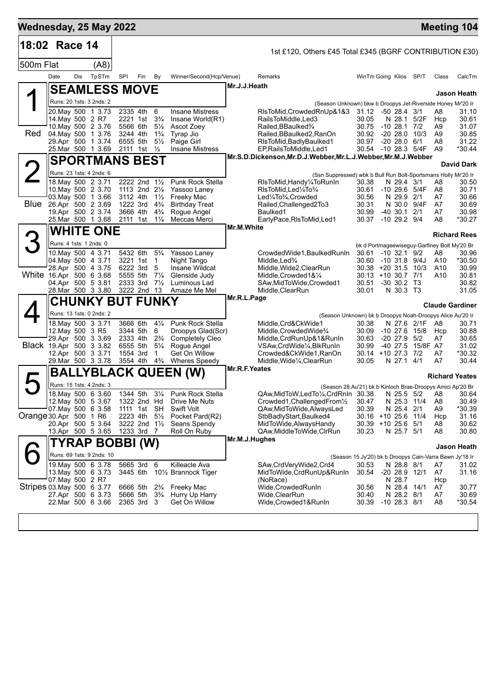| Wednesday, 25 May 2022    |                                              |     |                                          |     |                                                       |                                  |                                               |               |                                                                                                         |                                |              |                              |                      |                 | <b>Meeting 104</b>                                               |
|---------------------------|----------------------------------------------|-----|------------------------------------------|-----|-------------------------------------------------------|----------------------------------|-----------------------------------------------|---------------|---------------------------------------------------------------------------------------------------------|--------------------------------|--------------|------------------------------|----------------------|-----------------|------------------------------------------------------------------|
| 18:02 Race 14             |                                              |     |                                          |     |                                                       |                                  |                                               |               | 1st £120, Others £45 Total £345 (BGRF CONTRIBUTION £30)                                                 |                                |              |                              |                      |                 |                                                                  |
| 500m Flat                 |                                              |     | (A8)                                     |     |                                                       |                                  |                                               |               |                                                                                                         |                                |              |                              |                      |                 |                                                                  |
|                           | Date                                         | Dis | TpSTm                                    | SPI | Fin                                                   | By                               | Winner/Second(Hcp/Venue)                      |               | Remarks                                                                                                 | WinTm Going Kilos SP/T         |              |                              |                      | Class           | CalcTm                                                           |
|                           |                                              |     | <b>SEAMLESS MOVE</b>                     |     |                                                       |                                  |                                               | Mr.J.J.Heath  |                                                                                                         |                                |              |                              |                      |                 | <b>Jason Heath</b>                                               |
|                           |                                              |     | Runs: 20 1sts: 3 2nds: 2                 |     |                                                       |                                  |                                               |               | (Season Unknown) bkw b Droopys Jet-Riverside Honey Mr'20 Ir                                             |                                |              |                              |                      |                 |                                                                  |
|                           |                                              |     | 20. May 500 1 3.73                       |     | 2335 4th                                              | 6                                | <b>Insane Mistress</b>                        |               | RIsToMid, Crowded RnUp & 1&3                                                                            | 31.12 -50 28.4 3/1             |              |                              |                      | A8              | 31.10                                                            |
|                           | 14. May 500 2 R7                             |     |                                          |     | 2221 1st 3 <sup>3</sup> / <sub>4</sub>                |                                  | Insane World(R1)                              |               | RailsToMiddle.Led3                                                                                      | 30.05                          |              |                              | N 28.1 5/2F          | Hcp             | 30.61                                                            |
| Red                       | 04 May 500 1 3.76                            |     | 10. May 500 2 3.76                       |     | 5566 6th<br>3244 4th                                  | $5\frac{1}{2}$<br>$1\frac{3}{4}$ | Ascot Zoey<br>Tyrap Jio                       |               | Railed, BBaulked <sup>3</sup> /4<br>Railed,BBaulked2,RanOn                                              | 30.75<br>30.92                 | $-1028.1$    |                              | 7/2<br>$-2028.010/3$ | A9<br>A9        | 31.07<br>30.85                                                   |
|                           | 29.Apr 500 1 3.74                            |     |                                          |     | 6555 5th                                              | $5\frac{1}{2}$                   | Paige Girl                                    |               | RIsToMid, Badly Baulked1                                                                                | 30.97                          |              | $-2028.06/1$                 |                      | A8              | 31.22                                                            |
|                           | 25. Mar 500 1 3.69                           |     |                                          |     | 2111 1st $\frac{1}{2}$                                |                                  | <b>Insane Mistress</b>                        |               | EP, Rails To Middle, Led1<br>Mr.S.D.Dickenson, Mr.D.J.Webber, Mr.L.J.Webber, Mr.M.J.Webber              | 30.54 -10 28.3 5/4F            |              |                              |                      | A <sub>9</sub>  | $*30.44$                                                         |
|                           | <b>SPORTMANS BEST</b>                        |     |                                          |     |                                                       |                                  |                                               |               |                                                                                                         |                                |              |                              |                      |                 | <b>David Dark</b>                                                |
|                           |                                              |     | Runs: 23 1sts: 4 2nds: 6                 |     |                                                       |                                  |                                               |               | (Ssn Suppressed) wbk b Bull Run Bolt-Sportsmans Holly Mr'20 Ir                                          |                                |              |                              |                      |                 |                                                                  |
|                           | 10. May 500 2 3.70                           |     | 18.May 500 2 3.71                        |     | 2222 2nd 11/2<br>1113 2nd $2\frac{1}{2}$              |                                  | Punk Rock Stella<br>Yassoo Laney              |               | RIsToMid, Handy ¼ To Run In<br>RIsToMid, Led <sup>1</sup> / <sub>4</sub> To <sup>3</sup> / <sub>4</sub> | 30.38<br>30.61                 |              | N 29.4 3/1                   | -10 29.6 5/4F        | A8<br>A8        | 30.50<br>30.71                                                   |
|                           | 03 May 500 1 3.66                            |     |                                          |     | 3112 4th                                              | $1\frac{1}{2}$                   | Freeky Mac                                    |               | Led1/4To3/4, Crowded                                                                                    | 30.56                          |              | N 29.9 2/1                   |                      | A7              | 30.66                                                            |
|                           | Blue 26.Apr 500 2 3.69                       |     |                                          |     | 1222 3rd                                              | $4\frac{3}{4}$                   | <b>Birthday Treat</b>                         |               | Railed, Challenged 2To 3                                                                                | 30.31                          |              | N 30.0                       | 9/4F                 | A7              | 30.69                                                            |
|                           | 19.Apr 500 2 3.74<br>25. Mar 500 1 3.68      |     |                                          |     | 3666 4th<br>2111 1st                                  | $4\frac{3}{4}$<br>$1\frac{1}{4}$ | Rogue Angel<br>Meccas Merci                   |               | Baulked1<br>EarlyPace, RIsToMid, Led1                                                                   | 30.99<br>30.37                 |              | -40 30.1<br>$-10$ 29.2 $9/4$ | 2/1                  | A7<br>A8        | 30.98<br>*30.27                                                  |
|                           |                                              |     |                                          |     |                                                       |                                  |                                               | Mr.M.White    |                                                                                                         |                                |              |                              |                      |                 |                                                                  |
|                           | <b>WHITE ONE</b><br>Runs: 4 1sts: 1 2nds: 0  |     |                                          |     |                                                       |                                  |                                               |               |                                                                                                         |                                |              |                              |                      |                 | <b>Richard Rees</b>                                              |
|                           | 10. May 500 4 3.71                           |     |                                          |     | 5432 6th                                              | $5\frac{3}{4}$                   | Yassoo Laney                                  |               | CrowdedWide1, BaulkedRunIn                                                                              | 30.61                          |              | $-10$ 32.1 $9/2$             |                      | A8              | bk d Portmageewiseguy-Garfiney Bolt My'20 Br<br>30.96            |
|                           | 04 May 500 4 3.71                            |     |                                          |     | 3221 1st                                              | $\overline{1}$                   | Night Tango                                   |               | Middle, Led <sup>3</sup> / <sub>4</sub>                                                                 | 30.60                          |              |                              | $-10$ 31.8 $9/4J$    | A10             | *30.50                                                           |
|                           | 28.Apr 500 4 3.75                            |     |                                          |     | 6222 3rd                                              | -5                               | Insane Wildcat                                |               | Middle, Wide2, ClearRun                                                                                 | $30.38 + 20.31.5$ 10/3         |              |                              |                      | A10             | 30.99                                                            |
| White 16.Apr 500 6 3.68   | 04.Apr 500 5 3.81                            |     |                                          |     | 5555 5th<br>2333 3rd                                  | $7\frac{1}{4}$<br>$7\frac{1}{2}$ | Glenside Judy<br>Luminous Lad                 |               | Middle, Crowded 1&1/4<br>SAw, MidToWide, Crowded1                                                       | $30.13 + 10.30.7$ 7/1<br>30.51 |              | -30 30.2 T3                  |                      | A <sub>10</sub> | 30.81<br>30.82                                                   |
|                           | 28. Mar 500 3 3.80                           |     |                                          |     | 3222 2nd 13                                           |                                  | Amaze Me Mel                                  |               | Middle, ClearRun                                                                                        | 30.01                          |              | N 30.3 T3                    |                      |                 | 31.05                                                            |
|                           |                                              |     | <b>CHUNKY BUT FUNKY</b>                  |     |                                                       |                                  |                                               | Mr.R.L.Page   |                                                                                                         |                                |              |                              |                      |                 | <b>Claude Gardiner</b>                                           |
|                           |                                              |     | Runs: 13 1sts: 0 2nds: 2                 |     |                                                       |                                  |                                               |               | (Season Unknown) bk b Droopys Noah-Droopys Alice Au'20 Ir                                               |                                |              |                              |                      |                 |                                                                  |
|                           |                                              |     | 18. May 500 3 3.71                       |     | 3666 6th                                              | $4\frac{1}{4}$                   | Punk Rock Stella                              |               | Middle,Crd&CkWide1                                                                                      | 30.38                          |              |                              | N 27.6 2/1F          | A8              | 30.71                                                            |
|                           | 12. May 500 3 R5<br>29.Apr 500 3 3.69        |     |                                          |     | 3344 5th<br>2333 4th                                  | 6<br>$2\frac{3}{4}$              | Droopys Glad(Scr)<br><b>Completely Cleo</b>   |               | Middle, Crowded Wide <sup>3</sup> /4<br>Middle, CrdRunUp&1&RunIn                                        | 30.09<br>30.63                 |              | $-20$ 27.9 $5/2$             | $-10$ 27.6 $15/8$    | Hcp<br>A7       | 30.88<br>30.65                                                   |
| Black 19 Apr 500 3 3.82   |                                              |     |                                          |     | 6555 5th                                              | $5\frac{1}{4}$                   | Rogue Angel                                   |               | VSAw, CrdWide <sup>1</sup> / <sub>4</sub> , BlkRunIn                                                    | 30.99                          |              | $-40$ 27.5                   | 15/8F A7             |                 | 31.02                                                            |
|                           | 12.Apr 500 3 3.71                            |     |                                          |     | 1554 3rd                                              | -1                               | Get On Willow                                 |               | Crowded&CkWide1,RanOn                                                                                   | 30.14 +10 27.3 7/2             |              |                              |                      | A7              | *30.32                                                           |
|                           | 29. Mar 500 3 3.78                           |     |                                          |     | 3554 4th                                              | $4\frac{3}{4}$                   | <b>Wheres Speedy</b>                          | Mr.R.F.Yeates | Middle, Wide <sup>1</sup> / <sub>4</sub> , ClearRun                                                     | 30.05                          |              | N 27.1 4/1                   |                      | A7              | 30.44                                                            |
|                           |                                              |     |                                          |     |                                                       |                                  | BALLYBLACK QUEEN (W)                          |               |                                                                                                         |                                |              |                              |                      |                 | <b>Richard Yeates</b>                                            |
|                           |                                              |     | Runs: 15 1sts: 4 2nds: 3                 |     |                                                       |                                  |                                               |               | (Season 28.Au'21) bk b Kinloch Brae-Droopys Amici Ap'20 Br                                              |                                |              |                              |                      |                 |                                                                  |
|                           |                                              |     | 18. May 500 6 3.60<br>12. May 500 5 3.67 |     | 1344 5th<br>1322 2nd Hd                               | $3\frac{1}{4}$                   | Punk Rock Stella<br>Drive Me Nuts             |               | QAw, MidToW, LedTo1/4, CrdRnIn 30.38 N 25.5 5/2 A8 30.64<br>Crowded1, ChallengedFrom1/2                 | 30.47                          |              | N 25.3 11/4                  |                      | A8              | 30.49                                                            |
|                           | $07$ May 500 6 3.58                          |     |                                          |     | 1111 1st SH                                           |                                  | Swift Volt                                    |               | QAw, MidToWide, AlwaysLed                                                                               | 30.39                          |              | N 25.4 2/1                   |                      | A9              | *30.39                                                           |
| Orange 30.Apr 500 1 R6    |                                              |     |                                          |     | 2223 4th                                              | $5\frac{1}{2}$                   | Pocket Pard(R2)                               |               | StbBadlyStart, Baulked4                                                                                 | 30.16 +10 25.6 11/4            |              |                              |                      | Hcp             | 31.16                                                            |
|                           | 20.Apr 500 5 3.64<br>13.Apr 500 5 3.65       |     |                                          |     | 3222 2nd 11/2<br>1233 3rd 7                           |                                  | Seans Spendy<br>Roll On Ruby                  |               | MidToWide, Always Handy<br>QAw, Middle To Wide, CIrRun                                                  | 30.39<br>30.23                 | +10 25.6 5/1 | N 25.7 5/1                   |                      | A8<br>A8        | 30.62<br>30.80                                                   |
|                           |                                              |     |                                          |     |                                                       |                                  |                                               | Mr.M.J.Hughes |                                                                                                         |                                |              |                              |                      |                 |                                                                  |
|                           | TYRAP BOBBI (W)<br>Runs: 69 1sts: 9 2nds: 10 |     |                                          |     |                                                       |                                  |                                               |               |                                                                                                         |                                |              |                              |                      |                 | Jason Heath                                                      |
|                           |                                              |     | 19. May 500 6 3.78                       |     | 5665 3rd 6                                            |                                  | Killeacle Ava                                 |               | SAw, CrdVery Wide 2, Crd4                                                                               | 30.53                          |              | N 28.8 8/1                   |                      | A7              | (Season 15.Jy'20) bk b Droopys Cain-Varra Bawn Jy'18 Ir<br>31.02 |
|                           | 13 May 500 6 3.73                            |     |                                          |     | 3445 6th                                              |                                  | 10 <sup>1</sup> / <sub>2</sub> Brannock Tiger |               | MidToWide, CrdRunUp&RunIn                                                                               | 30.54                          |              |                              | $-20$ 28.9 12/1      | A7              | 31.16                                                            |
| Stripes 03 May 500 6 3.77 | 07. May 500 2 R7                             |     |                                          |     |                                                       |                                  |                                               |               | (NoRace)<br>Wide, Crowded RunIn                                                                         |                                |              | N 28.7                       |                      | Hcp             |                                                                  |
|                           | 27.Apr 500 6 3.73                            |     |                                          |     | 6666 5th 2%<br>5666 5th 3 <sup>3</sup> / <sub>4</sub> |                                  | Freeky Mac<br>Hurry Up Harry                  |               | Wide, Clear Run                                                                                         | 30.56<br>30.40                 |              | N 28.4 14/1<br>N 28.2 8/1    |                      | A7<br>A7        | 30.77<br>30.69                                                   |
|                           |                                              |     | 22.Mar 500 6 3.66                        |     | 2365 3rd 3                                            |                                  | Get On Willow                                 |               | Wide, Crowded 1& RunIn                                                                                  | 30.39                          |              | $-10$ 28.3 $8/1$             |                      | A8              | *30.54                                                           |
|                           |                                              |     |                                          |     |                                                       |                                  |                                               |               |                                                                                                         |                                |              |                              |                      |                 |                                                                  |
|                           |                                              |     |                                          |     |                                                       |                                  |                                               |               |                                                                                                         |                                |              |                              |                      |                 |                                                                  |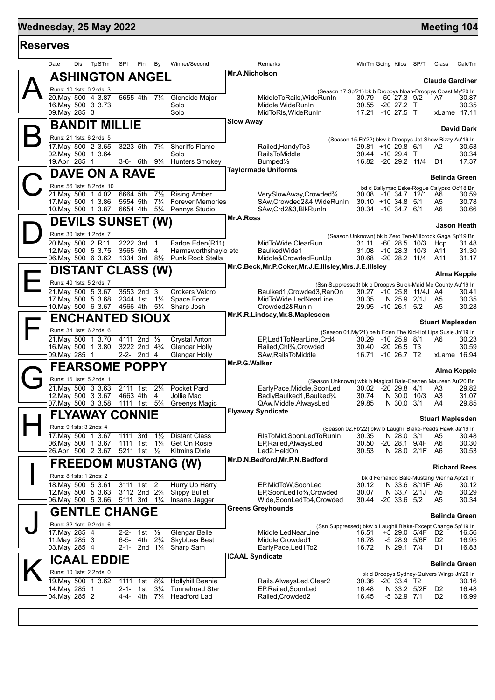### **Wednesday, 25 May 2022 Meeting 104 Reserves** Date Dis TpSTm SPI Fin By Winner/Second Remarks WinTm Going Kilos SP/T Class CalcTm  $\mathsf{A}\Vert$ **ASHINGTON ANGEL** Runs: 10 1sts: 0 2nds: 3 **Mr.A.Nicholson** 20.May 500 4 3.87 -5655 4th -7¼ -Gl<br>16.May 500 3 3.73 - -50 16.May 500 3 3.73 Solo Middle,WideRunIn 30.55 -20 27.2 T 30.35 09.May 285 3

 $\mathsf{B}\Vert$ 

 $\mathbf{C}^{\parallel}_{\mathbb{Z}}$ 

 $\mathsf{D}\|_2^2$ 

 $\mathsf{E}\Vert$ 

 $\mathsf{F}\vert$ 

 $G_{\frac{p}{2}}^{\mathbb{I}}$ 

 $\mathbf{H}$ 

I

J

 $\mathsf{K}\Vert$ 

| TpSTm<br>Date<br>Dis                     | SPI  | Fin                                                | By                               | Winner/Second                                   |                       | Remarks                                                                                   | WinTm Going Kilos SP/T                  |                   |                         | Class                                                   | CalcTm            |
|------------------------------------------|------|----------------------------------------------------|----------------------------------|-------------------------------------------------|-----------------------|-------------------------------------------------------------------------------------------|-----------------------------------------|-------------------|-------------------------|---------------------------------------------------------|-------------------|
| <b>ASHINGTON ANGEL</b>                   |      |                                                    |                                  |                                                 | <b>Mr.A.Nicholson</b> |                                                                                           |                                         |                   |                         | <b>Claude Gardiner</b>                                  |                   |
| Runs: 10 1sts: 0 2nds: 3                 |      |                                                    |                                  |                                                 |                       | (Season 17.Sp'21) bk b Droopys Noah-Droopys Coast My'20 Ir                                |                                         |                   |                         |                                                         |                   |
| 20.Mav 500 4 3.87                        |      | 5655 4th                                           | $7\frac{1}{4}$                   | Glenside Major                                  |                       | MiddleToRails, WideRunIn                                                                  | 30.79 -50 27.3 9/2                      |                   |                         | A7.                                                     | 30.87             |
| 16. May 500 3 3.73<br>09. May 285 3      |      |                                                    |                                  | Solo<br>Solo                                    |                       | Middle.WideRunIn<br>MidToRIs, WideRunIn                                                   | 30.55<br>17.21 -10 27.5 T               | -20 27.2 T        |                         | xLame 17.11                                             | 30.35             |
| <b>BANDIT MILLIE</b>                     |      |                                                    |                                  |                                                 | <b>Slow Away</b>      |                                                                                           |                                         |                   |                         |                                                         | <b>David Dark</b> |
| Runs: 21 1sts: 6 2nds: 5                 |      |                                                    |                                  |                                                 |                       |                                                                                           |                                         |                   |                         | (Season 15.Fb'22) bkw b Droopys Jet-Show Bizzy Au'19 Ir |                   |
| 17. May 500 2 3.65                       |      | 3223 5th                                           | $7\frac{3}{4}$                   | <b>Sheriffs Flame</b>                           |                       | Railed, Handy To 3                                                                        | 29.81 +10 29.8 6/1                      |                   |                         | A2                                                      | 30.53             |
| 02.May 500 1 3.64<br>19.Apr 285 1        |      | $3-6$ - 6th $9\frac{1}{4}$                         |                                  | Solo<br><b>Hunters Smokey</b>                   |                       | <b>RailsToMiddle</b><br>Bumped $\frac{1}{2}$                                              | 30.44 -10 29.4 T<br>16.82 -20 29.2 11/4 |                   |                         | D1                                                      | 30.34<br>17.37    |
| DAVE ON A RAVE                           |      |                                                    |                                  |                                                 |                       | <b>Taylormade Uniforms</b>                                                                |                                         |                   |                         |                                                         |                   |
| Runs: 56 1sts: 8 2nds: 10                |      |                                                    |                                  |                                                 |                       |                                                                                           |                                         |                   |                         | <b>Belinda Green</b>                                    |                   |
| 21.May 500 1 4.02                        |      | 6664 5th                                           | $7\frac{1}{2}$                   | <b>Rising Amber</b>                             |                       | VerySlowAway,Crowded%                                                                     | 30.08                                   | -10 34.7 12/1     |                         | bd d Ballymac Eske-Rogue Calypso Oc'18 Br<br>A6         | 30.59             |
| 17. May 500 1 3.86                       |      | 5554 5th                                           | $7\frac{1}{4}$                   | <b>Forever Memories</b>                         |                       | SAw,Crowded2&4,WideRunIn                                                                  | $30.10 + 1034.85/1$                     |                   |                         | A5                                                      | 30.78             |
| 10. May 500 1 3.87                       |      | 6654 4th                                           | $5\frac{1}{4}$                   | Pennys Studio                                   |                       | SAw, Crd2&3, BlkRunIn                                                                     | 30.34 -10 34.7 6/1                      |                   |                         | A6                                                      | 30.66             |
| <b>DEVILS SUNSET (W)</b>                 |      |                                                    |                                  |                                                 | Mr.A.Ross             |                                                                                           |                                         |                   |                         | Jason Heath                                             |                   |
| Runs: 30 1sts: 1 2nds: 7                 |      |                                                    |                                  |                                                 |                       |                                                                                           |                                         |                   |                         | (Season Unknown) bk b Zero Ten-Millbrook Gaga Sp'19 Br  |                   |
| 20. May 500 2 R11                        |      | 2222 3rd                                           | 1                                | Farloe Eden(R11)                                |                       | MidToWide, ClearRun                                                                       | 31.11                                   |                   | $-60$ 28.5 10/3         | Hcp                                                     | 31.48             |
| 12. May 500 5 3.75<br>06. May 500 6 3.62 |      | 3565 5th<br>1334 3rd                               | 4<br>$8\frac{1}{2}$              | Harmsworthshaylo etc<br><b>Punk Rock Stella</b> |                       | BaulkedWide1<br>Middle&CrowdedRunUp                                                       | 31.08<br>30.68 -20 28.2 11/4            | $-10, 28.3, 10/3$ |                         | A11<br>A11                                              | 31.30<br>31.17    |
|                                          |      |                                                    |                                  |                                                 |                       | Mr.C.Beck, Mr.P.Coker, Mr.J.E.IIIsley, Mrs.J.E.IIIsley                                    |                                         |                   |                         |                                                         |                   |
| <b>DISTANT CLASS (W)</b>                 |      |                                                    |                                  |                                                 |                       |                                                                                           |                                         |                   |                         | Alma Keppie                                             |                   |
| Runs: 40 1sts: 5 2nds: 7                 |      |                                                    |                                  |                                                 |                       | (Ssn Suppressed) bk b Droopys Buick-Maid Me County Au'19 Ir                               |                                         |                   |                         |                                                         |                   |
| 21. May 500 5 3.67                       |      | 3553 2nd                                           | 3                                | <b>Crokers Velcro</b>                           |                       | Baulked1, Crowded3, RanOn                                                                 |                                         |                   | 30.27 -10 25.8 11/4J A4 |                                                         | 30.41             |
| 17 May 500 5 3.68<br>10.May 500 6 3.67   |      | 2344 1st<br>4566 4th 51/4                          | $1\frac{1}{4}$                   | Space Force<br>Sharp Josh                       |                       | MidToWide, LedNearLine<br>Crowded2&RunIn                                                  | 30.35<br>29.95 -10 26.1 5/2             |                   | N 25.9 2/1J             | A5<br>A5                                                | 30.35<br>30.28    |
| <b>ENCHANTED SIOUX</b>                   |      |                                                    |                                  |                                                 |                       | Mr.K.R.Lindsay, Mr.S.Maplesden                                                            |                                         |                   |                         |                                                         |                   |
|                                          |      |                                                    |                                  |                                                 |                       |                                                                                           |                                         |                   |                         | <b>Stuart Maplesden</b>                                 |                   |
| Runs: 34 1sts: 6 2nds: 6                 |      |                                                    |                                  |                                                 |                       | (Season 01.My'21) be b Eden The Kid-Hot Lips Susie Jn'19 Ir                               |                                         |                   |                         |                                                         |                   |
| 21.May 500 1 3.70<br>16. May 500 1 3.80  |      | 4111 2nd 1/2<br>3222 2nd $4\frac{3}{4}$            |                                  | <b>Crystal Anton</b><br>Glengar Holly           |                       | EP.Led1ToNearLine.Crd4<br>Railed, Chl <sup>3</sup> / <sub>4</sub> , Crowded               | 30.29 -10 25.9 8/1<br>30.40             | $-20, 26.5, 13$   |                         | A6                                                      | 30.23<br>30.59    |
| 09. May 285 1                            |      | 2-2- 2nd 4                                         |                                  | Glengar Holly                                   |                       | SAw, Rails To Middle                                                                      | 16.71 -10 26.7 T2                       |                   |                         | xLame 16.94                                             |                   |
| <b>FEARSOME POPPY</b>                    |      |                                                    |                                  |                                                 | Mr.P.G.Walker         |                                                                                           |                                         |                   |                         |                                                         |                   |
| Runs: 16 1sts: 5 2nds: 1                 |      |                                                    |                                  |                                                 |                       |                                                                                           |                                         |                   |                         | <b>Alma Keppie</b>                                      |                   |
| 21. May 500 3 3.63                       |      | 2111 1st                                           | $2\frac{1}{4}$                   | Pocket Pard                                     |                       | (Season Unknown) wbk b Magical Bale-Cashen Maureen Au'20 Br<br>EarlyPace, Middle, SoonLed | 30.02 -20 29.8 4/1                      |                   |                         | A3                                                      | 29.82             |
| 12. May 500 3 3.67                       |      | 4663 4th                                           | 4                                | Jollie Mac                                      |                       | BadlyBaulked1,Baulked <sup>3</sup> /4                                                     | 30.74                                   | N 30.0 10/3       |                         | A3                                                      | 31.07             |
| 07 May 500 3 3.58                        |      | 1111 1st 5 <sup>3</sup> / <sub>4</sub>             |                                  | Greenys Magic                                   |                       | QAw, Middle, Always Led                                                                   | 29.85                                   | N 30.0 3/1        |                         | A4                                                      | 29.85             |
| <b>FLYAWAY CONNIE</b>                    |      |                                                    |                                  |                                                 |                       | <b>Flyaway Syndicate</b>                                                                  |                                         |                   |                         | <b>Stuart Maplesden</b>                                 |                   |
| Runs: 9 1sts: 3 2nds: 4                  |      |                                                    |                                  |                                                 |                       | (Season 02.Fb'22) bkw b Laughil Blake-Peads Hawk Ja'19 Ir                                 |                                         |                   |                         |                                                         |                   |
| 17. May 500 1 3.67                       | 1111 | 3rd                                                | $1\frac{1}{2}$                   | Distant Class                                   |                       | RIsToMid, SoonLedToRunIn                                                                  | 30.35                                   | N 28.0 3/1        |                         | A5                                                      | 30.48             |
| 06. May 500 1 3.67<br>26.Apr 500 2 3.67  |      | 1111 1st<br>5211 1st                               | $1\frac{1}{4}$<br>$\frac{1}{2}$  | Get On Rosie<br><b>Kitmins Dixie</b>            |                       | EP, Railed, Always Led                                                                    | 30.50<br>30.53                          |                   | -20 28.1 9/4F           | A6<br>A6                                                | 30.30             |
|                                          |      |                                                    |                                  |                                                 |                       | Led2,HeldOn<br>Mr.D.N.Bedford, Mr.P.N.Bedford                                             |                                         |                   | N 28.0 2/1F             |                                                         | 30.53             |
| <b>FREEDOM MUSTANG (W)</b>               |      |                                                    |                                  |                                                 |                       |                                                                                           |                                         |                   |                         | <b>Richard Rees</b>                                     |                   |
| Runs: 8 1sts: 1 2nds: 2                  |      |                                                    |                                  |                                                 |                       |                                                                                           |                                         |                   |                         | bk d Fernando Bale-Mustang Vienna Ap'20 Ir              |                   |
| 18. May 500 5 3.61<br>12. May 500 5 3.63 |      | 3111 1st<br>3112 2nd 2 <sup>3</sup> / <sub>4</sub> | 2                                | Hurry Up Harry<br><b>Slippy Bullet</b>          |                       | EP, MidToW, SoonLed<br>EP,SoonLedTo3⁄4,Crowded                                            | 30.12<br>30.07                          | N 33.7 2/1J       | N 33.6 8/11F A6         | A5                                                      | 30.12<br>30.29    |
| 06. May 500 5 3.66                       |      | 5111 3rd                                           | $1\frac{1}{4}$                   | Insane Jagger                                   |                       | Wide,SoonLedTo4,Crowded                                                                   | 30.44                                   | $-20, 33.6, 5/2$  |                         | A5                                                      | 30.34             |
| <b>GENTLE CHANGE</b>                     |      |                                                    |                                  |                                                 |                       | <b>Greens Greyhounds</b>                                                                  |                                         |                   |                         | <b>Belinda Green</b>                                    |                   |
| Runs: 32 1sts: 9 2nds: 6                 |      |                                                    |                                  |                                                 |                       | (Ssn Suppressed) bkw b Laughil Blake-Except Change Sp'19 Ir                               |                                         |                   |                         |                                                         |                   |
| 17. May 285 4                            | 2-2- | 1st                                                | $\frac{1}{2}$                    | Glengar Belle                                   |                       | Middle,LedNearLine                                                                        | 16.51                                   |                   | +5 29.0 5/4F            | D <sub>2</sub>                                          | 16.56             |
| 11.May 285 3                             | 6-5- | 4th                                                | $2\frac{3}{4}$                   | Skyblues Best                                   |                       | Middle, Crowded 1                                                                         | 16.78                                   |                   | -5 28.9 5/6F            | D <sub>2</sub>                                          | 16.95             |
| 03.May 285 4                             | 2-1- |                                                    | 2nd $1\frac{1}{4}$               | Sharp Sam                                       |                       | EarlyPace, Led1To2<br>ICAAL Syndicate                                                     | 16.72                                   | N 29.1 7/4        |                         | D1                                                      | 16.83             |
| <b>ICAAL EDDIE</b>                       |      |                                                    |                                  |                                                 |                       |                                                                                           |                                         |                   |                         | Belinda Green                                           |                   |
| Runs: 10 1sts: 2 2nds: 0                 |      |                                                    |                                  |                                                 |                       |                                                                                           |                                         |                   |                         | bk d Droopys Sydney-Quivers Wings Jn'20 Ir              |                   |
| 19. May 500 1 3.62<br>14.May 285 1       | 1111 | 1st<br>2-1- 1st                                    | $8\frac{3}{4}$<br>$3\frac{1}{4}$ | <b>Hollyhill Beanie</b><br>Tunnelroad Star      |                       | Rails, Always Led, Clear 2<br>EP, Railed, SoonLed                                         | 30.36 -20 33.4 T2<br>16.48              |                   | N 33.2 5/2F             | D <sub>2</sub>                                          | 30.16<br>16.48    |
| 04. May 285 2                            |      | 4-4- 4th 71/4                                      |                                  | Headford Lad                                    |                       | Railed, Crowded2                                                                          | 16.45                                   | $-5$ 32.9 $7/1$   |                         | D <sub>2</sub>                                          | 16.99             |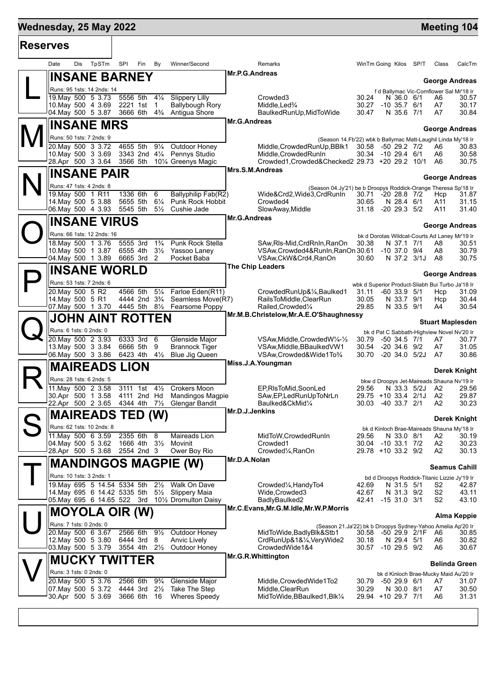## **Mednesday, 25 May 2022 Manual Control of the United States of the United States of the Meeting 104**

| TpSTm<br>Dis<br>SPI<br>Fin<br>Winner/Second<br>Date<br>By<br>Remarks<br>WinTm Going Kilos SP/T Class<br><b>Mr.P.G.Andreas</b><br><b>INSANE BARNEY</b><br><b>George Andreas</b><br>Runs: 95 1sts: 14 2nds: 14<br>f d Ballymac Vic-Cornflower Sal Mr'18 Ir<br>19. May 500 5 3.73<br>5556 5th<br>$4\frac{1}{4}$<br><b>Slippery Lilly</b><br>Crowded <sub>3</sub><br>30.24<br>N 36.0 6/1<br>A6<br>10. May 500 4 3.69<br>2221 1st<br>1<br><b>Ballybough Rory</b><br>Middle, Led <sup>3</sup> / <sub>4</sub><br>30.27<br>$-10$ 35.7 $6/1$<br>A7<br>30.17<br>3666 6th<br>$4\frac{3}{4}$<br>Antigua Shore<br>04. May 500 5 3.87<br>BaulkedRunUp, MidToWide<br>N 35.6 7/1<br>A7<br>30.47<br>Mr.G.Andreas<br><b>INSANE MRS</b><br><b>George Andreas</b><br>Runs: 50 1sts: 7 2nds: 9<br>(Season 14.Fb'22) wbk b Ballymac Matt-Laughil Linda My'18 Ir<br>$9\frac{1}{4}$<br>20. May 500 3 3.72<br>4655 5th<br>Outdoor Honey<br>Middle, Crowded Run Up, BBlk1<br>30.58 -50 29.2 7/2<br>A6<br>3343 2nd 41/4 Pennys Studio<br>10. May 500 3 3.69<br>Middle, Crowded RunIn<br>30.34 -10 29.4 6/1<br>30.58<br>A6<br>28.Apr 500 3 3.64<br>3566 5th<br>Crowded1, Crowded& Checked2 29.73 +20 29.2 10/1<br>10 <sup>1</sup> / <sub>4</sub> Greenys Magic<br>A6<br>Mrs.S.M.Andreas<br><b>INSANE PAIR</b><br>George Andreas<br>Runs: 47 1sts: 4 2nds: 8<br>(Season 04.Jy'21) be b Droopys Roddick-Orange Theresa Sp'18 Ir<br>19. May 500 1 R11<br>1336 6th<br>6<br>Ballyphilip Fab(R2)<br>Wide&Crd2, Wide3, CrdRunIn<br>30.71<br>$-2028.87/2$<br>Hcp<br>14. May 500 5 3.88<br>5655 5th<br>$6\frac{1}{4}$<br>Punk Rock Hobbit<br>Crowded4<br>30.65<br>N 28.4 6/1<br>A11<br>06. May 500 4 3.93<br>5545 5th<br>$5\frac{1}{2}$<br>Cushie Jade<br>SlowAway, Middle<br>31.18<br>$-20$ 29.3 $5/2$<br>A11<br>31.40<br><b>Mr.G.Andreas</b><br><b>INSANE VIRUS</b><br><b>George Andreas</b><br>Runs: 66 1sts: 12 2nds: 16<br>bk d Dorotas Wildcat-Courts Ad Laney Mr'19 Ir<br>18. May 500 1 3.76<br>5555 3rd<br>$1\frac{3}{4}$<br>Punk Rock Stella<br>SAw, Ris-Mid, Crd RnIn, RanOn<br>30.38<br>N 37.1 7/1<br>A8<br>30.51<br>10. May 500 1 3.87<br>6555 4th<br>$3\frac{1}{2}$<br>VSAw, Crowded 4& RunIn, RanOn 30.61<br>$-10$ 37.0 $9/4$<br>A8<br>Yassoo Laney<br>04. May 500 1 3.89<br>6665 3rd 2<br>Pocket Baba<br>VSAw, CkW&Crd4, RanOn<br>30.60<br>N 37.2 3/1J<br>A8<br>30.75<br><b>The Chip Leaders</b><br><b>INSANE WORLD</b><br><b>George Andreas</b><br>Runs: 53 1sts: 7 2nds: 6<br>wbk d Superior Product-Sliabh Bui Turbo Ja'18 Ir<br>20. May 500 5 R2<br>$5\frac{1}{4}$<br>4566 5th<br>Farloe Eden(R11)<br>CrowdedRunUp&1/4,Baulked1<br>$-60$ 33.9 $5/1$<br>31.09<br>31.11<br>Hcp<br>4444 2nd 3 <sup>3</sup> / <sub>4</sub><br>14. May 500 5 R1<br>Seamless Move(R7)<br>RailsToMiddle, ClearRun<br>30.05<br>N 33.7 9/1<br>Hcp<br>07. May 500 1 3.70<br>4445 5th 81/2 Fearsome Poppy<br>Railed, Crowded <sup>1/4</sup><br>29.85<br>N 33.5 9/1<br>A4<br>Mr.M.B.Christelow, Mr.A.E.O'Shaughnessy<br>JOHN AINT ROTTEN<br><b>Stuart Maplesden</b><br>Runs: 6 1sts: 0 2nds: 0<br>bk d Pat C Sabbath-Highview Novel Nv'20 Ir<br>20. May 500 2 3.93<br>6333 3rd 6<br>Glenside Major<br>VSAw, Middle, Crowded W <sup>1</sup> / <sub>4</sub> - <sup>1</sup> / <sub>2</sub><br>30.79<br>$-50$ 34.5 $7/1$<br>A7<br>30.77<br>13. May 500 3 3.84<br>6666 5th<br>9<br><b>Brannock Tiger</b><br>VSAw, Middle, BBaulked VW1<br>30.54<br>$-20, 34.6, 9/2$<br>A7<br>31.05<br>06. May 500 3 3.86<br>$4\frac{1}{2}$<br>6423 4th<br><b>Blue Jig Queen</b><br>VSAw, Crowded & Wide 1 To 3/4<br>30.70<br>$-20, 34.0, 5/2J$<br>A7<br>Miss.J.A.Youngman<br><b>MAIREADS LION</b><br><b>Derek Knight</b><br>Runs: 28 1sts: 6 2nds: 5<br>bkw d Droopys Jet-Maireads Shauna Nv'19 Ir<br>11. May 500 2 3.58<br>3111 1st<br>$4\frac{1}{2}$<br><b>Crokers Moon</b><br>EP,RIsToMid,SoonLed<br>N 33.3 5/2J<br>A2<br>29.56<br>30.Apr 500 1 3.58<br>4111 2nd Hd<br><b>Mandingos Magpie</b><br>SAw, EP, Led Run Up To NrLn<br>29.75 +10 33.4 2/1J<br>A2<br>29.87<br>22.Apr 500 2 3.65<br>4344 4th<br>$7\frac{1}{2}$<br>Glengar Bandit<br>Baulked&CkMid1/4<br>30.03<br>$-40$ 33.7 $2/1$<br>A2<br>Mr.D.J.Jenkins<br><b>MAIREADS TED (W)</b><br>Derek Knight<br>Runs: 62 1sts: 10 2nds: 8<br>bk d Kinloch Brae-Maireads Shauna My'18 Ir<br>11. May 500 6 3.59<br>2355 6th<br>Maireads Lion<br>8<br>MidToW, Crowded RunIn<br>29.56<br>N 33.0 8/1<br>A2<br>1666 4th 31/ <sub>2</sub><br>04. May 500 5 3.62<br>Movinit<br>Crowded1<br>30.04<br>$-10$ 33.1 $7/2$<br>A2<br>30.23<br>28.Apr 500 5 3.68<br>2554 2nd 3<br>Ower Boy Rio<br>Crowded <sup>1</sup> / <sub>4</sub> , RanOn<br>29.78 +10 33.2 9/2<br>A2<br>30.13<br>Mr.D.A.Nolan<br><b>MANDINGOS MAGPIE (W)</b><br><b>Seamus Cahill</b><br>Runs: 10 1sts: 3 2nds: 1<br>bd d Droopys Roddick-Titanic Lizzie Jy'19 Ir<br>19. May 695 5 14.54 5334 5th<br>$2\frac{1}{2}$<br>Walk On Dave<br>Crowded <sup>1</sup> / <sub>4</sub> , Handy <sup>To4</sup><br>42.69<br>N 31.5 5/1<br>S2<br>S <sub>2</sub><br>14. May 695 6 14.42 5335 5th 51/2 Slippery Maia<br>Wide, Crowded 3<br>N 31.3 9/2<br>42.67<br>05. May 695 6 14.65 522 3rd<br>101/ <sub>2</sub> Dromulton Daisy<br>BadlyBaulked2<br>-15 31.0 3/1<br>S2<br>42.41<br>43.10<br>Mr.C.Evans, Mr.G.M.Idle, Mr.W.P.Morris<br><b>MOYOLA OIR (W)</b><br>Alma Keppie<br>Runs: 7 1sts: 0 2nds: 0<br>(Season 21.Ja'22) bk b Droopys Sydney-Yahoo Amelia Ap'20 Ir<br>$9\frac{1}{2}$<br>20. May 500 6 3.67<br>2566 6th<br>Outdoor Honey<br>MidToWide, Badly Blk&Stb1<br>30.58 -50 29.9 2/1F<br>A6<br>12. May 500 5 3.80<br>6444 3rd 8<br><b>Anvic Lively</b><br>CrdRunUp&1&1⁄4, VeryWide2<br>N 29.4 5/1<br>30.18<br>A6<br>3554 4th 21/2<br>03. May 500 5 3.79<br>Outdoor Honey<br>CrowdedWide1&4<br>30.57 -10 29.5 9/2<br>A6<br>30.67<br>Mr.G.R.Whittington<br><b>MUCKY TWITTER</b><br><b>Belinda Green</b><br>Runs: 3 1sts: 0 2nds: 0<br>bk d Kinloch Brae-Mucky Maid Au'20 Ir<br>20. May 500 5 3.76<br>2566 6th<br>$9\frac{3}{4}$<br>Glenside Major<br>Middle, Crowded Wide1To2<br>-50 29.9 6/1<br>30.79<br>A7<br>31.07<br>4444 3rd<br>$2\frac{1}{2}$<br>07. May 500 5 3.72<br>Take The Step<br>Middle, ClearRun<br>30.29<br>N 30.0 8/1<br>A7<br>30.Apr 500 5 3.69<br>3666 6th 16<br><b>Wheres Speedy</b><br>MidToWide, BBaulked1, Blk1/4<br>29.94 +10 29.7 7/1<br>A6 | <b>Reserves</b> |  |  |  |  |  |  |  |        |
|-------------------------------------------------------------------------------------------------------------------------------------------------------------------------------------------------------------------------------------------------------------------------------------------------------------------------------------------------------------------------------------------------------------------------------------------------------------------------------------------------------------------------------------------------------------------------------------------------------------------------------------------------------------------------------------------------------------------------------------------------------------------------------------------------------------------------------------------------------------------------------------------------------------------------------------------------------------------------------------------------------------------------------------------------------------------------------------------------------------------------------------------------------------------------------------------------------------------------------------------------------------------------------------------------------------------------------------------------------------------------------------------------------------------------------------------------------------------------------------------------------------------------------------------------------------------------------------------------------------------------------------------------------------------------------------------------------------------------------------------------------------------------------------------------------------------------------------------------------------------------------------------------------------------------------------------------------------------------------------------------------------------------------------------------------------------------------------------------------------------------------------------------------------------------------------------------------------------------------------------------------------------------------------------------------------------------------------------------------------------------------------------------------------------------------------------------------------------------------------------------------------------------------------------------------------------------------------------------------------------------------------------------------------------------------------------------------------------------------------------------------------------------------------------------------------------------------------------------------------------------------------------------------------------------------------------------------------------------------------------------------------------------------------------------------------------------------------------------------------------------------------------------------------------------------------------------------------------------------------------------------------------------------------------------------------------------------------------------------------------------------------------------------------------------------------------------------------------------------------------------------------------------------------------------------------------------------------------------------------------------------------------------------------------------------------------------------------------------------------------------------------------------------------------------------------------------------------------------------------------------------------------------------------------------------------------------------------------------------------------------------------------------------------------------------------------------------------------------------------------------------------------------------------------------------------------------------------------------------------------------------------------------------------------------------------------------------------------------------------------------------------------------------------------------------------------------------------------------------------------------------------------------------------------------------------------------------------------------------------------------------------------------------------------------------------------------------------------------------------------------------------------------------------------------------------------------------------------------------------------------------------------------------------------------------------------------------------------------------------------------------------------------------------------------------------------------------------------------------------------------------------------------------------------------------------------------------------------------------------------------------------------------------------------------------------------------------------------------------------------------------------------------------------------------------------------------------------------------------------------------------------------------------------------------------------------------------------------------------------------------------------------------------------------------------------------------------------------------------------------------------------------------------------------------------------------------------------------------------------------------------------------------------------------------------------------------------------------------------------------------------------------------------------------------------------------------------------------------------------------------------------------------------------------------------------------------------------------------------------------------------------------------------------------------|-----------------|--|--|--|--|--|--|--|--------|
|                                                                                                                                                                                                                                                                                                                                                                                                                                                                                                                                                                                                                                                                                                                                                                                                                                                                                                                                                                                                                                                                                                                                                                                                                                                                                                                                                                                                                                                                                                                                                                                                                                                                                                                                                                                                                                                                                                                                                                                                                                                                                                                                                                                                                                                                                                                                                                                                                                                                                                                                                                                                                                                                                                                                                                                                                                                                                                                                                                                                                                                                                                                                                                                                                                                                                                                                                                                                                                                                                                                                                                                                                                                                                                                                                                                                                                                                                                                                                                                                                                                                                                                                                                                                                                                                                                                                                                                                                                                                                                                                                                                                                                                                                                                                                                                                                                                                                                                                                                                                                                                                                                                                                                                                                                                                                                                                                                                                                                                                                                                                                                                                                                                                                                                                                                                                                                                                                                                                                                                                                                                                                                                                                                                                                                                                                                 |                 |  |  |  |  |  |  |  | CalcTm |
|                                                                                                                                                                                                                                                                                                                                                                                                                                                                                                                                                                                                                                                                                                                                                                                                                                                                                                                                                                                                                                                                                                                                                                                                                                                                                                                                                                                                                                                                                                                                                                                                                                                                                                                                                                                                                                                                                                                                                                                                                                                                                                                                                                                                                                                                                                                                                                                                                                                                                                                                                                                                                                                                                                                                                                                                                                                                                                                                                                                                                                                                                                                                                                                                                                                                                                                                                                                                                                                                                                                                                                                                                                                                                                                                                                                                                                                                                                                                                                                                                                                                                                                                                                                                                                                                                                                                                                                                                                                                                                                                                                                                                                                                                                                                                                                                                                                                                                                                                                                                                                                                                                                                                                                                                                                                                                                                                                                                                                                                                                                                                                                                                                                                                                                                                                                                                                                                                                                                                                                                                                                                                                                                                                                                                                                                                                 |                 |  |  |  |  |  |  |  |        |
|                                                                                                                                                                                                                                                                                                                                                                                                                                                                                                                                                                                                                                                                                                                                                                                                                                                                                                                                                                                                                                                                                                                                                                                                                                                                                                                                                                                                                                                                                                                                                                                                                                                                                                                                                                                                                                                                                                                                                                                                                                                                                                                                                                                                                                                                                                                                                                                                                                                                                                                                                                                                                                                                                                                                                                                                                                                                                                                                                                                                                                                                                                                                                                                                                                                                                                                                                                                                                                                                                                                                                                                                                                                                                                                                                                                                                                                                                                                                                                                                                                                                                                                                                                                                                                                                                                                                                                                                                                                                                                                                                                                                                                                                                                                                                                                                                                                                                                                                                                                                                                                                                                                                                                                                                                                                                                                                                                                                                                                                                                                                                                                                                                                                                                                                                                                                                                                                                                                                                                                                                                                                                                                                                                                                                                                                                                 |                 |  |  |  |  |  |  |  |        |
|                                                                                                                                                                                                                                                                                                                                                                                                                                                                                                                                                                                                                                                                                                                                                                                                                                                                                                                                                                                                                                                                                                                                                                                                                                                                                                                                                                                                                                                                                                                                                                                                                                                                                                                                                                                                                                                                                                                                                                                                                                                                                                                                                                                                                                                                                                                                                                                                                                                                                                                                                                                                                                                                                                                                                                                                                                                                                                                                                                                                                                                                                                                                                                                                                                                                                                                                                                                                                                                                                                                                                                                                                                                                                                                                                                                                                                                                                                                                                                                                                                                                                                                                                                                                                                                                                                                                                                                                                                                                                                                                                                                                                                                                                                                                                                                                                                                                                                                                                                                                                                                                                                                                                                                                                                                                                                                                                                                                                                                                                                                                                                                                                                                                                                                                                                                                                                                                                                                                                                                                                                                                                                                                                                                                                                                                                                 |                 |  |  |  |  |  |  |  | 30.57  |
|                                                                                                                                                                                                                                                                                                                                                                                                                                                                                                                                                                                                                                                                                                                                                                                                                                                                                                                                                                                                                                                                                                                                                                                                                                                                                                                                                                                                                                                                                                                                                                                                                                                                                                                                                                                                                                                                                                                                                                                                                                                                                                                                                                                                                                                                                                                                                                                                                                                                                                                                                                                                                                                                                                                                                                                                                                                                                                                                                                                                                                                                                                                                                                                                                                                                                                                                                                                                                                                                                                                                                                                                                                                                                                                                                                                                                                                                                                                                                                                                                                                                                                                                                                                                                                                                                                                                                                                                                                                                                                                                                                                                                                                                                                                                                                                                                                                                                                                                                                                                                                                                                                                                                                                                                                                                                                                                                                                                                                                                                                                                                                                                                                                                                                                                                                                                                                                                                                                                                                                                                                                                                                                                                                                                                                                                                                 |                 |  |  |  |  |  |  |  | 30.84  |
|                                                                                                                                                                                                                                                                                                                                                                                                                                                                                                                                                                                                                                                                                                                                                                                                                                                                                                                                                                                                                                                                                                                                                                                                                                                                                                                                                                                                                                                                                                                                                                                                                                                                                                                                                                                                                                                                                                                                                                                                                                                                                                                                                                                                                                                                                                                                                                                                                                                                                                                                                                                                                                                                                                                                                                                                                                                                                                                                                                                                                                                                                                                                                                                                                                                                                                                                                                                                                                                                                                                                                                                                                                                                                                                                                                                                                                                                                                                                                                                                                                                                                                                                                                                                                                                                                                                                                                                                                                                                                                                                                                                                                                                                                                                                                                                                                                                                                                                                                                                                                                                                                                                                                                                                                                                                                                                                                                                                                                                                                                                                                                                                                                                                                                                                                                                                                                                                                                                                                                                                                                                                                                                                                                                                                                                                                                 |                 |  |  |  |  |  |  |  |        |
|                                                                                                                                                                                                                                                                                                                                                                                                                                                                                                                                                                                                                                                                                                                                                                                                                                                                                                                                                                                                                                                                                                                                                                                                                                                                                                                                                                                                                                                                                                                                                                                                                                                                                                                                                                                                                                                                                                                                                                                                                                                                                                                                                                                                                                                                                                                                                                                                                                                                                                                                                                                                                                                                                                                                                                                                                                                                                                                                                                                                                                                                                                                                                                                                                                                                                                                                                                                                                                                                                                                                                                                                                                                                                                                                                                                                                                                                                                                                                                                                                                                                                                                                                                                                                                                                                                                                                                                                                                                                                                                                                                                                                                                                                                                                                                                                                                                                                                                                                                                                                                                                                                                                                                                                                                                                                                                                                                                                                                                                                                                                                                                                                                                                                                                                                                                                                                                                                                                                                                                                                                                                                                                                                                                                                                                                                                 |                 |  |  |  |  |  |  |  |        |
|                                                                                                                                                                                                                                                                                                                                                                                                                                                                                                                                                                                                                                                                                                                                                                                                                                                                                                                                                                                                                                                                                                                                                                                                                                                                                                                                                                                                                                                                                                                                                                                                                                                                                                                                                                                                                                                                                                                                                                                                                                                                                                                                                                                                                                                                                                                                                                                                                                                                                                                                                                                                                                                                                                                                                                                                                                                                                                                                                                                                                                                                                                                                                                                                                                                                                                                                                                                                                                                                                                                                                                                                                                                                                                                                                                                                                                                                                                                                                                                                                                                                                                                                                                                                                                                                                                                                                                                                                                                                                                                                                                                                                                                                                                                                                                                                                                                                                                                                                                                                                                                                                                                                                                                                                                                                                                                                                                                                                                                                                                                                                                                                                                                                                                                                                                                                                                                                                                                                                                                                                                                                                                                                                                                                                                                                                                 |                 |  |  |  |  |  |  |  | 30.83  |
|                                                                                                                                                                                                                                                                                                                                                                                                                                                                                                                                                                                                                                                                                                                                                                                                                                                                                                                                                                                                                                                                                                                                                                                                                                                                                                                                                                                                                                                                                                                                                                                                                                                                                                                                                                                                                                                                                                                                                                                                                                                                                                                                                                                                                                                                                                                                                                                                                                                                                                                                                                                                                                                                                                                                                                                                                                                                                                                                                                                                                                                                                                                                                                                                                                                                                                                                                                                                                                                                                                                                                                                                                                                                                                                                                                                                                                                                                                                                                                                                                                                                                                                                                                                                                                                                                                                                                                                                                                                                                                                                                                                                                                                                                                                                                                                                                                                                                                                                                                                                                                                                                                                                                                                                                                                                                                                                                                                                                                                                                                                                                                                                                                                                                                                                                                                                                                                                                                                                                                                                                                                                                                                                                                                                                                                                                                 |                 |  |  |  |  |  |  |  | 30.75  |
|                                                                                                                                                                                                                                                                                                                                                                                                                                                                                                                                                                                                                                                                                                                                                                                                                                                                                                                                                                                                                                                                                                                                                                                                                                                                                                                                                                                                                                                                                                                                                                                                                                                                                                                                                                                                                                                                                                                                                                                                                                                                                                                                                                                                                                                                                                                                                                                                                                                                                                                                                                                                                                                                                                                                                                                                                                                                                                                                                                                                                                                                                                                                                                                                                                                                                                                                                                                                                                                                                                                                                                                                                                                                                                                                                                                                                                                                                                                                                                                                                                                                                                                                                                                                                                                                                                                                                                                                                                                                                                                                                                                                                                                                                                                                                                                                                                                                                                                                                                                                                                                                                                                                                                                                                                                                                                                                                                                                                                                                                                                                                                                                                                                                                                                                                                                                                                                                                                                                                                                                                                                                                                                                                                                                                                                                                                 |                 |  |  |  |  |  |  |  |        |
|                                                                                                                                                                                                                                                                                                                                                                                                                                                                                                                                                                                                                                                                                                                                                                                                                                                                                                                                                                                                                                                                                                                                                                                                                                                                                                                                                                                                                                                                                                                                                                                                                                                                                                                                                                                                                                                                                                                                                                                                                                                                                                                                                                                                                                                                                                                                                                                                                                                                                                                                                                                                                                                                                                                                                                                                                                                                                                                                                                                                                                                                                                                                                                                                                                                                                                                                                                                                                                                                                                                                                                                                                                                                                                                                                                                                                                                                                                                                                                                                                                                                                                                                                                                                                                                                                                                                                                                                                                                                                                                                                                                                                                                                                                                                                                                                                                                                                                                                                                                                                                                                                                                                                                                                                                                                                                                                                                                                                                                                                                                                                                                                                                                                                                                                                                                                                                                                                                                                                                                                                                                                                                                                                                                                                                                                                                 |                 |  |  |  |  |  |  |  |        |
|                                                                                                                                                                                                                                                                                                                                                                                                                                                                                                                                                                                                                                                                                                                                                                                                                                                                                                                                                                                                                                                                                                                                                                                                                                                                                                                                                                                                                                                                                                                                                                                                                                                                                                                                                                                                                                                                                                                                                                                                                                                                                                                                                                                                                                                                                                                                                                                                                                                                                                                                                                                                                                                                                                                                                                                                                                                                                                                                                                                                                                                                                                                                                                                                                                                                                                                                                                                                                                                                                                                                                                                                                                                                                                                                                                                                                                                                                                                                                                                                                                                                                                                                                                                                                                                                                                                                                                                                                                                                                                                                                                                                                                                                                                                                                                                                                                                                                                                                                                                                                                                                                                                                                                                                                                                                                                                                                                                                                                                                                                                                                                                                                                                                                                                                                                                                                                                                                                                                                                                                                                                                                                                                                                                                                                                                                                 |                 |  |  |  |  |  |  |  | 31.87  |
|                                                                                                                                                                                                                                                                                                                                                                                                                                                                                                                                                                                                                                                                                                                                                                                                                                                                                                                                                                                                                                                                                                                                                                                                                                                                                                                                                                                                                                                                                                                                                                                                                                                                                                                                                                                                                                                                                                                                                                                                                                                                                                                                                                                                                                                                                                                                                                                                                                                                                                                                                                                                                                                                                                                                                                                                                                                                                                                                                                                                                                                                                                                                                                                                                                                                                                                                                                                                                                                                                                                                                                                                                                                                                                                                                                                                                                                                                                                                                                                                                                                                                                                                                                                                                                                                                                                                                                                                                                                                                                                                                                                                                                                                                                                                                                                                                                                                                                                                                                                                                                                                                                                                                                                                                                                                                                                                                                                                                                                                                                                                                                                                                                                                                                                                                                                                                                                                                                                                                                                                                                                                                                                                                                                                                                                                                                 |                 |  |  |  |  |  |  |  | 31.15  |
|                                                                                                                                                                                                                                                                                                                                                                                                                                                                                                                                                                                                                                                                                                                                                                                                                                                                                                                                                                                                                                                                                                                                                                                                                                                                                                                                                                                                                                                                                                                                                                                                                                                                                                                                                                                                                                                                                                                                                                                                                                                                                                                                                                                                                                                                                                                                                                                                                                                                                                                                                                                                                                                                                                                                                                                                                                                                                                                                                                                                                                                                                                                                                                                                                                                                                                                                                                                                                                                                                                                                                                                                                                                                                                                                                                                                                                                                                                                                                                                                                                                                                                                                                                                                                                                                                                                                                                                                                                                                                                                                                                                                                                                                                                                                                                                                                                                                                                                                                                                                                                                                                                                                                                                                                                                                                                                                                                                                                                                                                                                                                                                                                                                                                                                                                                                                                                                                                                                                                                                                                                                                                                                                                                                                                                                                                                 |                 |  |  |  |  |  |  |  |        |
|                                                                                                                                                                                                                                                                                                                                                                                                                                                                                                                                                                                                                                                                                                                                                                                                                                                                                                                                                                                                                                                                                                                                                                                                                                                                                                                                                                                                                                                                                                                                                                                                                                                                                                                                                                                                                                                                                                                                                                                                                                                                                                                                                                                                                                                                                                                                                                                                                                                                                                                                                                                                                                                                                                                                                                                                                                                                                                                                                                                                                                                                                                                                                                                                                                                                                                                                                                                                                                                                                                                                                                                                                                                                                                                                                                                                                                                                                                                                                                                                                                                                                                                                                                                                                                                                                                                                                                                                                                                                                                                                                                                                                                                                                                                                                                                                                                                                                                                                                                                                                                                                                                                                                                                                                                                                                                                                                                                                                                                                                                                                                                                                                                                                                                                                                                                                                                                                                                                                                                                                                                                                                                                                                                                                                                                                                                 |                 |  |  |  |  |  |  |  |        |
|                                                                                                                                                                                                                                                                                                                                                                                                                                                                                                                                                                                                                                                                                                                                                                                                                                                                                                                                                                                                                                                                                                                                                                                                                                                                                                                                                                                                                                                                                                                                                                                                                                                                                                                                                                                                                                                                                                                                                                                                                                                                                                                                                                                                                                                                                                                                                                                                                                                                                                                                                                                                                                                                                                                                                                                                                                                                                                                                                                                                                                                                                                                                                                                                                                                                                                                                                                                                                                                                                                                                                                                                                                                                                                                                                                                                                                                                                                                                                                                                                                                                                                                                                                                                                                                                                                                                                                                                                                                                                                                                                                                                                                                                                                                                                                                                                                                                                                                                                                                                                                                                                                                                                                                                                                                                                                                                                                                                                                                                                                                                                                                                                                                                                                                                                                                                                                                                                                                                                                                                                                                                                                                                                                                                                                                                                                 |                 |  |  |  |  |  |  |  |        |
|                                                                                                                                                                                                                                                                                                                                                                                                                                                                                                                                                                                                                                                                                                                                                                                                                                                                                                                                                                                                                                                                                                                                                                                                                                                                                                                                                                                                                                                                                                                                                                                                                                                                                                                                                                                                                                                                                                                                                                                                                                                                                                                                                                                                                                                                                                                                                                                                                                                                                                                                                                                                                                                                                                                                                                                                                                                                                                                                                                                                                                                                                                                                                                                                                                                                                                                                                                                                                                                                                                                                                                                                                                                                                                                                                                                                                                                                                                                                                                                                                                                                                                                                                                                                                                                                                                                                                                                                                                                                                                                                                                                                                                                                                                                                                                                                                                                                                                                                                                                                                                                                                                                                                                                                                                                                                                                                                                                                                                                                                                                                                                                                                                                                                                                                                                                                                                                                                                                                                                                                                                                                                                                                                                                                                                                                                                 |                 |  |  |  |  |  |  |  | 30.79  |
|                                                                                                                                                                                                                                                                                                                                                                                                                                                                                                                                                                                                                                                                                                                                                                                                                                                                                                                                                                                                                                                                                                                                                                                                                                                                                                                                                                                                                                                                                                                                                                                                                                                                                                                                                                                                                                                                                                                                                                                                                                                                                                                                                                                                                                                                                                                                                                                                                                                                                                                                                                                                                                                                                                                                                                                                                                                                                                                                                                                                                                                                                                                                                                                                                                                                                                                                                                                                                                                                                                                                                                                                                                                                                                                                                                                                                                                                                                                                                                                                                                                                                                                                                                                                                                                                                                                                                                                                                                                                                                                                                                                                                                                                                                                                                                                                                                                                                                                                                                                                                                                                                                                                                                                                                                                                                                                                                                                                                                                                                                                                                                                                                                                                                                                                                                                                                                                                                                                                                                                                                                                                                                                                                                                                                                                                                                 |                 |  |  |  |  |  |  |  |        |
|                                                                                                                                                                                                                                                                                                                                                                                                                                                                                                                                                                                                                                                                                                                                                                                                                                                                                                                                                                                                                                                                                                                                                                                                                                                                                                                                                                                                                                                                                                                                                                                                                                                                                                                                                                                                                                                                                                                                                                                                                                                                                                                                                                                                                                                                                                                                                                                                                                                                                                                                                                                                                                                                                                                                                                                                                                                                                                                                                                                                                                                                                                                                                                                                                                                                                                                                                                                                                                                                                                                                                                                                                                                                                                                                                                                                                                                                                                                                                                                                                                                                                                                                                                                                                                                                                                                                                                                                                                                                                                                                                                                                                                                                                                                                                                                                                                                                                                                                                                                                                                                                                                                                                                                                                                                                                                                                                                                                                                                                                                                                                                                                                                                                                                                                                                                                                                                                                                                                                                                                                                                                                                                                                                                                                                                                                                 |                 |  |  |  |  |  |  |  |        |
|                                                                                                                                                                                                                                                                                                                                                                                                                                                                                                                                                                                                                                                                                                                                                                                                                                                                                                                                                                                                                                                                                                                                                                                                                                                                                                                                                                                                                                                                                                                                                                                                                                                                                                                                                                                                                                                                                                                                                                                                                                                                                                                                                                                                                                                                                                                                                                                                                                                                                                                                                                                                                                                                                                                                                                                                                                                                                                                                                                                                                                                                                                                                                                                                                                                                                                                                                                                                                                                                                                                                                                                                                                                                                                                                                                                                                                                                                                                                                                                                                                                                                                                                                                                                                                                                                                                                                                                                                                                                                                                                                                                                                                                                                                                                                                                                                                                                                                                                                                                                                                                                                                                                                                                                                                                                                                                                                                                                                                                                                                                                                                                                                                                                                                                                                                                                                                                                                                                                                                                                                                                                                                                                                                                                                                                                                                 |                 |  |  |  |  |  |  |  |        |
|                                                                                                                                                                                                                                                                                                                                                                                                                                                                                                                                                                                                                                                                                                                                                                                                                                                                                                                                                                                                                                                                                                                                                                                                                                                                                                                                                                                                                                                                                                                                                                                                                                                                                                                                                                                                                                                                                                                                                                                                                                                                                                                                                                                                                                                                                                                                                                                                                                                                                                                                                                                                                                                                                                                                                                                                                                                                                                                                                                                                                                                                                                                                                                                                                                                                                                                                                                                                                                                                                                                                                                                                                                                                                                                                                                                                                                                                                                                                                                                                                                                                                                                                                                                                                                                                                                                                                                                                                                                                                                                                                                                                                                                                                                                                                                                                                                                                                                                                                                                                                                                                                                                                                                                                                                                                                                                                                                                                                                                                                                                                                                                                                                                                                                                                                                                                                                                                                                                                                                                                                                                                                                                                                                                                                                                                                                 |                 |  |  |  |  |  |  |  | 30.44  |
|                                                                                                                                                                                                                                                                                                                                                                                                                                                                                                                                                                                                                                                                                                                                                                                                                                                                                                                                                                                                                                                                                                                                                                                                                                                                                                                                                                                                                                                                                                                                                                                                                                                                                                                                                                                                                                                                                                                                                                                                                                                                                                                                                                                                                                                                                                                                                                                                                                                                                                                                                                                                                                                                                                                                                                                                                                                                                                                                                                                                                                                                                                                                                                                                                                                                                                                                                                                                                                                                                                                                                                                                                                                                                                                                                                                                                                                                                                                                                                                                                                                                                                                                                                                                                                                                                                                                                                                                                                                                                                                                                                                                                                                                                                                                                                                                                                                                                                                                                                                                                                                                                                                                                                                                                                                                                                                                                                                                                                                                                                                                                                                                                                                                                                                                                                                                                                                                                                                                                                                                                                                                                                                                                                                                                                                                                                 |                 |  |  |  |  |  |  |  | 30.54  |
|                                                                                                                                                                                                                                                                                                                                                                                                                                                                                                                                                                                                                                                                                                                                                                                                                                                                                                                                                                                                                                                                                                                                                                                                                                                                                                                                                                                                                                                                                                                                                                                                                                                                                                                                                                                                                                                                                                                                                                                                                                                                                                                                                                                                                                                                                                                                                                                                                                                                                                                                                                                                                                                                                                                                                                                                                                                                                                                                                                                                                                                                                                                                                                                                                                                                                                                                                                                                                                                                                                                                                                                                                                                                                                                                                                                                                                                                                                                                                                                                                                                                                                                                                                                                                                                                                                                                                                                                                                                                                                                                                                                                                                                                                                                                                                                                                                                                                                                                                                                                                                                                                                                                                                                                                                                                                                                                                                                                                                                                                                                                                                                                                                                                                                                                                                                                                                                                                                                                                                                                                                                                                                                                                                                                                                                                                                 |                 |  |  |  |  |  |  |  |        |
|                                                                                                                                                                                                                                                                                                                                                                                                                                                                                                                                                                                                                                                                                                                                                                                                                                                                                                                                                                                                                                                                                                                                                                                                                                                                                                                                                                                                                                                                                                                                                                                                                                                                                                                                                                                                                                                                                                                                                                                                                                                                                                                                                                                                                                                                                                                                                                                                                                                                                                                                                                                                                                                                                                                                                                                                                                                                                                                                                                                                                                                                                                                                                                                                                                                                                                                                                                                                                                                                                                                                                                                                                                                                                                                                                                                                                                                                                                                                                                                                                                                                                                                                                                                                                                                                                                                                                                                                                                                                                                                                                                                                                                                                                                                                                                                                                                                                                                                                                                                                                                                                                                                                                                                                                                                                                                                                                                                                                                                                                                                                                                                                                                                                                                                                                                                                                                                                                                                                                                                                                                                                                                                                                                                                                                                                                                 |                 |  |  |  |  |  |  |  |        |
|                                                                                                                                                                                                                                                                                                                                                                                                                                                                                                                                                                                                                                                                                                                                                                                                                                                                                                                                                                                                                                                                                                                                                                                                                                                                                                                                                                                                                                                                                                                                                                                                                                                                                                                                                                                                                                                                                                                                                                                                                                                                                                                                                                                                                                                                                                                                                                                                                                                                                                                                                                                                                                                                                                                                                                                                                                                                                                                                                                                                                                                                                                                                                                                                                                                                                                                                                                                                                                                                                                                                                                                                                                                                                                                                                                                                                                                                                                                                                                                                                                                                                                                                                                                                                                                                                                                                                                                                                                                                                                                                                                                                                                                                                                                                                                                                                                                                                                                                                                                                                                                                                                                                                                                                                                                                                                                                                                                                                                                                                                                                                                                                                                                                                                                                                                                                                                                                                                                                                                                                                                                                                                                                                                                                                                                                                                 |                 |  |  |  |  |  |  |  |        |
|                                                                                                                                                                                                                                                                                                                                                                                                                                                                                                                                                                                                                                                                                                                                                                                                                                                                                                                                                                                                                                                                                                                                                                                                                                                                                                                                                                                                                                                                                                                                                                                                                                                                                                                                                                                                                                                                                                                                                                                                                                                                                                                                                                                                                                                                                                                                                                                                                                                                                                                                                                                                                                                                                                                                                                                                                                                                                                                                                                                                                                                                                                                                                                                                                                                                                                                                                                                                                                                                                                                                                                                                                                                                                                                                                                                                                                                                                                                                                                                                                                                                                                                                                                                                                                                                                                                                                                                                                                                                                                                                                                                                                                                                                                                                                                                                                                                                                                                                                                                                                                                                                                                                                                                                                                                                                                                                                                                                                                                                                                                                                                                                                                                                                                                                                                                                                                                                                                                                                                                                                                                                                                                                                                                                                                                                                                 |                 |  |  |  |  |  |  |  | 30.86  |
|                                                                                                                                                                                                                                                                                                                                                                                                                                                                                                                                                                                                                                                                                                                                                                                                                                                                                                                                                                                                                                                                                                                                                                                                                                                                                                                                                                                                                                                                                                                                                                                                                                                                                                                                                                                                                                                                                                                                                                                                                                                                                                                                                                                                                                                                                                                                                                                                                                                                                                                                                                                                                                                                                                                                                                                                                                                                                                                                                                                                                                                                                                                                                                                                                                                                                                                                                                                                                                                                                                                                                                                                                                                                                                                                                                                                                                                                                                                                                                                                                                                                                                                                                                                                                                                                                                                                                                                                                                                                                                                                                                                                                                                                                                                                                                                                                                                                                                                                                                                                                                                                                                                                                                                                                                                                                                                                                                                                                                                                                                                                                                                                                                                                                                                                                                                                                                                                                                                                                                                                                                                                                                                                                                                                                                                                                                 |                 |  |  |  |  |  |  |  |        |
|                                                                                                                                                                                                                                                                                                                                                                                                                                                                                                                                                                                                                                                                                                                                                                                                                                                                                                                                                                                                                                                                                                                                                                                                                                                                                                                                                                                                                                                                                                                                                                                                                                                                                                                                                                                                                                                                                                                                                                                                                                                                                                                                                                                                                                                                                                                                                                                                                                                                                                                                                                                                                                                                                                                                                                                                                                                                                                                                                                                                                                                                                                                                                                                                                                                                                                                                                                                                                                                                                                                                                                                                                                                                                                                                                                                                                                                                                                                                                                                                                                                                                                                                                                                                                                                                                                                                                                                                                                                                                                                                                                                                                                                                                                                                                                                                                                                                                                                                                                                                                                                                                                                                                                                                                                                                                                                                                                                                                                                                                                                                                                                                                                                                                                                                                                                                                                                                                                                                                                                                                                                                                                                                                                                                                                                                                                 |                 |  |  |  |  |  |  |  |        |
|                                                                                                                                                                                                                                                                                                                                                                                                                                                                                                                                                                                                                                                                                                                                                                                                                                                                                                                                                                                                                                                                                                                                                                                                                                                                                                                                                                                                                                                                                                                                                                                                                                                                                                                                                                                                                                                                                                                                                                                                                                                                                                                                                                                                                                                                                                                                                                                                                                                                                                                                                                                                                                                                                                                                                                                                                                                                                                                                                                                                                                                                                                                                                                                                                                                                                                                                                                                                                                                                                                                                                                                                                                                                                                                                                                                                                                                                                                                                                                                                                                                                                                                                                                                                                                                                                                                                                                                                                                                                                                                                                                                                                                                                                                                                                                                                                                                                                                                                                                                                                                                                                                                                                                                                                                                                                                                                                                                                                                                                                                                                                                                                                                                                                                                                                                                                                                                                                                                                                                                                                                                                                                                                                                                                                                                                                                 |                 |  |  |  |  |  |  |  | 29.56  |
|                                                                                                                                                                                                                                                                                                                                                                                                                                                                                                                                                                                                                                                                                                                                                                                                                                                                                                                                                                                                                                                                                                                                                                                                                                                                                                                                                                                                                                                                                                                                                                                                                                                                                                                                                                                                                                                                                                                                                                                                                                                                                                                                                                                                                                                                                                                                                                                                                                                                                                                                                                                                                                                                                                                                                                                                                                                                                                                                                                                                                                                                                                                                                                                                                                                                                                                                                                                                                                                                                                                                                                                                                                                                                                                                                                                                                                                                                                                                                                                                                                                                                                                                                                                                                                                                                                                                                                                                                                                                                                                                                                                                                                                                                                                                                                                                                                                                                                                                                                                                                                                                                                                                                                                                                                                                                                                                                                                                                                                                                                                                                                                                                                                                                                                                                                                                                                                                                                                                                                                                                                                                                                                                                                                                                                                                                                 |                 |  |  |  |  |  |  |  | 30.23  |
|                                                                                                                                                                                                                                                                                                                                                                                                                                                                                                                                                                                                                                                                                                                                                                                                                                                                                                                                                                                                                                                                                                                                                                                                                                                                                                                                                                                                                                                                                                                                                                                                                                                                                                                                                                                                                                                                                                                                                                                                                                                                                                                                                                                                                                                                                                                                                                                                                                                                                                                                                                                                                                                                                                                                                                                                                                                                                                                                                                                                                                                                                                                                                                                                                                                                                                                                                                                                                                                                                                                                                                                                                                                                                                                                                                                                                                                                                                                                                                                                                                                                                                                                                                                                                                                                                                                                                                                                                                                                                                                                                                                                                                                                                                                                                                                                                                                                                                                                                                                                                                                                                                                                                                                                                                                                                                                                                                                                                                                                                                                                                                                                                                                                                                                                                                                                                                                                                                                                                                                                                                                                                                                                                                                                                                                                                                 |                 |  |  |  |  |  |  |  |        |
|                                                                                                                                                                                                                                                                                                                                                                                                                                                                                                                                                                                                                                                                                                                                                                                                                                                                                                                                                                                                                                                                                                                                                                                                                                                                                                                                                                                                                                                                                                                                                                                                                                                                                                                                                                                                                                                                                                                                                                                                                                                                                                                                                                                                                                                                                                                                                                                                                                                                                                                                                                                                                                                                                                                                                                                                                                                                                                                                                                                                                                                                                                                                                                                                                                                                                                                                                                                                                                                                                                                                                                                                                                                                                                                                                                                                                                                                                                                                                                                                                                                                                                                                                                                                                                                                                                                                                                                                                                                                                                                                                                                                                                                                                                                                                                                                                                                                                                                                                                                                                                                                                                                                                                                                                                                                                                                                                                                                                                                                                                                                                                                                                                                                                                                                                                                                                                                                                                                                                                                                                                                                                                                                                                                                                                                                                                 |                 |  |  |  |  |  |  |  |        |
|                                                                                                                                                                                                                                                                                                                                                                                                                                                                                                                                                                                                                                                                                                                                                                                                                                                                                                                                                                                                                                                                                                                                                                                                                                                                                                                                                                                                                                                                                                                                                                                                                                                                                                                                                                                                                                                                                                                                                                                                                                                                                                                                                                                                                                                                                                                                                                                                                                                                                                                                                                                                                                                                                                                                                                                                                                                                                                                                                                                                                                                                                                                                                                                                                                                                                                                                                                                                                                                                                                                                                                                                                                                                                                                                                                                                                                                                                                                                                                                                                                                                                                                                                                                                                                                                                                                                                                                                                                                                                                                                                                                                                                                                                                                                                                                                                                                                                                                                                                                                                                                                                                                                                                                                                                                                                                                                                                                                                                                                                                                                                                                                                                                                                                                                                                                                                                                                                                                                                                                                                                                                                                                                                                                                                                                                                                 |                 |  |  |  |  |  |  |  | 30.19  |
|                                                                                                                                                                                                                                                                                                                                                                                                                                                                                                                                                                                                                                                                                                                                                                                                                                                                                                                                                                                                                                                                                                                                                                                                                                                                                                                                                                                                                                                                                                                                                                                                                                                                                                                                                                                                                                                                                                                                                                                                                                                                                                                                                                                                                                                                                                                                                                                                                                                                                                                                                                                                                                                                                                                                                                                                                                                                                                                                                                                                                                                                                                                                                                                                                                                                                                                                                                                                                                                                                                                                                                                                                                                                                                                                                                                                                                                                                                                                                                                                                                                                                                                                                                                                                                                                                                                                                                                                                                                                                                                                                                                                                                                                                                                                                                                                                                                                                                                                                                                                                                                                                                                                                                                                                                                                                                                                                                                                                                                                                                                                                                                                                                                                                                                                                                                                                                                                                                                                                                                                                                                                                                                                                                                                                                                                                                 |                 |  |  |  |  |  |  |  |        |
|                                                                                                                                                                                                                                                                                                                                                                                                                                                                                                                                                                                                                                                                                                                                                                                                                                                                                                                                                                                                                                                                                                                                                                                                                                                                                                                                                                                                                                                                                                                                                                                                                                                                                                                                                                                                                                                                                                                                                                                                                                                                                                                                                                                                                                                                                                                                                                                                                                                                                                                                                                                                                                                                                                                                                                                                                                                                                                                                                                                                                                                                                                                                                                                                                                                                                                                                                                                                                                                                                                                                                                                                                                                                                                                                                                                                                                                                                                                                                                                                                                                                                                                                                                                                                                                                                                                                                                                                                                                                                                                                                                                                                                                                                                                                                                                                                                                                                                                                                                                                                                                                                                                                                                                                                                                                                                                                                                                                                                                                                                                                                                                                                                                                                                                                                                                                                                                                                                                                                                                                                                                                                                                                                                                                                                                                                                 |                 |  |  |  |  |  |  |  |        |
|                                                                                                                                                                                                                                                                                                                                                                                                                                                                                                                                                                                                                                                                                                                                                                                                                                                                                                                                                                                                                                                                                                                                                                                                                                                                                                                                                                                                                                                                                                                                                                                                                                                                                                                                                                                                                                                                                                                                                                                                                                                                                                                                                                                                                                                                                                                                                                                                                                                                                                                                                                                                                                                                                                                                                                                                                                                                                                                                                                                                                                                                                                                                                                                                                                                                                                                                                                                                                                                                                                                                                                                                                                                                                                                                                                                                                                                                                                                                                                                                                                                                                                                                                                                                                                                                                                                                                                                                                                                                                                                                                                                                                                                                                                                                                                                                                                                                                                                                                                                                                                                                                                                                                                                                                                                                                                                                                                                                                                                                                                                                                                                                                                                                                                                                                                                                                                                                                                                                                                                                                                                                                                                                                                                                                                                                                                 |                 |  |  |  |  |  |  |  |        |
|                                                                                                                                                                                                                                                                                                                                                                                                                                                                                                                                                                                                                                                                                                                                                                                                                                                                                                                                                                                                                                                                                                                                                                                                                                                                                                                                                                                                                                                                                                                                                                                                                                                                                                                                                                                                                                                                                                                                                                                                                                                                                                                                                                                                                                                                                                                                                                                                                                                                                                                                                                                                                                                                                                                                                                                                                                                                                                                                                                                                                                                                                                                                                                                                                                                                                                                                                                                                                                                                                                                                                                                                                                                                                                                                                                                                                                                                                                                                                                                                                                                                                                                                                                                                                                                                                                                                                                                                                                                                                                                                                                                                                                                                                                                                                                                                                                                                                                                                                                                                                                                                                                                                                                                                                                                                                                                                                                                                                                                                                                                                                                                                                                                                                                                                                                                                                                                                                                                                                                                                                                                                                                                                                                                                                                                                                                 |                 |  |  |  |  |  |  |  | 42.87  |
|                                                                                                                                                                                                                                                                                                                                                                                                                                                                                                                                                                                                                                                                                                                                                                                                                                                                                                                                                                                                                                                                                                                                                                                                                                                                                                                                                                                                                                                                                                                                                                                                                                                                                                                                                                                                                                                                                                                                                                                                                                                                                                                                                                                                                                                                                                                                                                                                                                                                                                                                                                                                                                                                                                                                                                                                                                                                                                                                                                                                                                                                                                                                                                                                                                                                                                                                                                                                                                                                                                                                                                                                                                                                                                                                                                                                                                                                                                                                                                                                                                                                                                                                                                                                                                                                                                                                                                                                                                                                                                                                                                                                                                                                                                                                                                                                                                                                                                                                                                                                                                                                                                                                                                                                                                                                                                                                                                                                                                                                                                                                                                                                                                                                                                                                                                                                                                                                                                                                                                                                                                                                                                                                                                                                                                                                                                 |                 |  |  |  |  |  |  |  | 43.11  |
|                                                                                                                                                                                                                                                                                                                                                                                                                                                                                                                                                                                                                                                                                                                                                                                                                                                                                                                                                                                                                                                                                                                                                                                                                                                                                                                                                                                                                                                                                                                                                                                                                                                                                                                                                                                                                                                                                                                                                                                                                                                                                                                                                                                                                                                                                                                                                                                                                                                                                                                                                                                                                                                                                                                                                                                                                                                                                                                                                                                                                                                                                                                                                                                                                                                                                                                                                                                                                                                                                                                                                                                                                                                                                                                                                                                                                                                                                                                                                                                                                                                                                                                                                                                                                                                                                                                                                                                                                                                                                                                                                                                                                                                                                                                                                                                                                                                                                                                                                                                                                                                                                                                                                                                                                                                                                                                                                                                                                                                                                                                                                                                                                                                                                                                                                                                                                                                                                                                                                                                                                                                                                                                                                                                                                                                                                                 |                 |  |  |  |  |  |  |  |        |
|                                                                                                                                                                                                                                                                                                                                                                                                                                                                                                                                                                                                                                                                                                                                                                                                                                                                                                                                                                                                                                                                                                                                                                                                                                                                                                                                                                                                                                                                                                                                                                                                                                                                                                                                                                                                                                                                                                                                                                                                                                                                                                                                                                                                                                                                                                                                                                                                                                                                                                                                                                                                                                                                                                                                                                                                                                                                                                                                                                                                                                                                                                                                                                                                                                                                                                                                                                                                                                                                                                                                                                                                                                                                                                                                                                                                                                                                                                                                                                                                                                                                                                                                                                                                                                                                                                                                                                                                                                                                                                                                                                                                                                                                                                                                                                                                                                                                                                                                                                                                                                                                                                                                                                                                                                                                                                                                                                                                                                                                                                                                                                                                                                                                                                                                                                                                                                                                                                                                                                                                                                                                                                                                                                                                                                                                                                 |                 |  |  |  |  |  |  |  |        |
|                                                                                                                                                                                                                                                                                                                                                                                                                                                                                                                                                                                                                                                                                                                                                                                                                                                                                                                                                                                                                                                                                                                                                                                                                                                                                                                                                                                                                                                                                                                                                                                                                                                                                                                                                                                                                                                                                                                                                                                                                                                                                                                                                                                                                                                                                                                                                                                                                                                                                                                                                                                                                                                                                                                                                                                                                                                                                                                                                                                                                                                                                                                                                                                                                                                                                                                                                                                                                                                                                                                                                                                                                                                                                                                                                                                                                                                                                                                                                                                                                                                                                                                                                                                                                                                                                                                                                                                                                                                                                                                                                                                                                                                                                                                                                                                                                                                                                                                                                                                                                                                                                                                                                                                                                                                                                                                                                                                                                                                                                                                                                                                                                                                                                                                                                                                                                                                                                                                                                                                                                                                                                                                                                                                                                                                                                                 |                 |  |  |  |  |  |  |  | 30.85  |
|                                                                                                                                                                                                                                                                                                                                                                                                                                                                                                                                                                                                                                                                                                                                                                                                                                                                                                                                                                                                                                                                                                                                                                                                                                                                                                                                                                                                                                                                                                                                                                                                                                                                                                                                                                                                                                                                                                                                                                                                                                                                                                                                                                                                                                                                                                                                                                                                                                                                                                                                                                                                                                                                                                                                                                                                                                                                                                                                                                                                                                                                                                                                                                                                                                                                                                                                                                                                                                                                                                                                                                                                                                                                                                                                                                                                                                                                                                                                                                                                                                                                                                                                                                                                                                                                                                                                                                                                                                                                                                                                                                                                                                                                                                                                                                                                                                                                                                                                                                                                                                                                                                                                                                                                                                                                                                                                                                                                                                                                                                                                                                                                                                                                                                                                                                                                                                                                                                                                                                                                                                                                                                                                                                                                                                                                                                 |                 |  |  |  |  |  |  |  | 30.82  |
|                                                                                                                                                                                                                                                                                                                                                                                                                                                                                                                                                                                                                                                                                                                                                                                                                                                                                                                                                                                                                                                                                                                                                                                                                                                                                                                                                                                                                                                                                                                                                                                                                                                                                                                                                                                                                                                                                                                                                                                                                                                                                                                                                                                                                                                                                                                                                                                                                                                                                                                                                                                                                                                                                                                                                                                                                                                                                                                                                                                                                                                                                                                                                                                                                                                                                                                                                                                                                                                                                                                                                                                                                                                                                                                                                                                                                                                                                                                                                                                                                                                                                                                                                                                                                                                                                                                                                                                                                                                                                                                                                                                                                                                                                                                                                                                                                                                                                                                                                                                                                                                                                                                                                                                                                                                                                                                                                                                                                                                                                                                                                                                                                                                                                                                                                                                                                                                                                                                                                                                                                                                                                                                                                                                                                                                                                                 |                 |  |  |  |  |  |  |  |        |
|                                                                                                                                                                                                                                                                                                                                                                                                                                                                                                                                                                                                                                                                                                                                                                                                                                                                                                                                                                                                                                                                                                                                                                                                                                                                                                                                                                                                                                                                                                                                                                                                                                                                                                                                                                                                                                                                                                                                                                                                                                                                                                                                                                                                                                                                                                                                                                                                                                                                                                                                                                                                                                                                                                                                                                                                                                                                                                                                                                                                                                                                                                                                                                                                                                                                                                                                                                                                                                                                                                                                                                                                                                                                                                                                                                                                                                                                                                                                                                                                                                                                                                                                                                                                                                                                                                                                                                                                                                                                                                                                                                                                                                                                                                                                                                                                                                                                                                                                                                                                                                                                                                                                                                                                                                                                                                                                                                                                                                                                                                                                                                                                                                                                                                                                                                                                                                                                                                                                                                                                                                                                                                                                                                                                                                                                                                 |                 |  |  |  |  |  |  |  |        |
|                                                                                                                                                                                                                                                                                                                                                                                                                                                                                                                                                                                                                                                                                                                                                                                                                                                                                                                                                                                                                                                                                                                                                                                                                                                                                                                                                                                                                                                                                                                                                                                                                                                                                                                                                                                                                                                                                                                                                                                                                                                                                                                                                                                                                                                                                                                                                                                                                                                                                                                                                                                                                                                                                                                                                                                                                                                                                                                                                                                                                                                                                                                                                                                                                                                                                                                                                                                                                                                                                                                                                                                                                                                                                                                                                                                                                                                                                                                                                                                                                                                                                                                                                                                                                                                                                                                                                                                                                                                                                                                                                                                                                                                                                                                                                                                                                                                                                                                                                                                                                                                                                                                                                                                                                                                                                                                                                                                                                                                                                                                                                                                                                                                                                                                                                                                                                                                                                                                                                                                                                                                                                                                                                                                                                                                                                                 |                 |  |  |  |  |  |  |  |        |
|                                                                                                                                                                                                                                                                                                                                                                                                                                                                                                                                                                                                                                                                                                                                                                                                                                                                                                                                                                                                                                                                                                                                                                                                                                                                                                                                                                                                                                                                                                                                                                                                                                                                                                                                                                                                                                                                                                                                                                                                                                                                                                                                                                                                                                                                                                                                                                                                                                                                                                                                                                                                                                                                                                                                                                                                                                                                                                                                                                                                                                                                                                                                                                                                                                                                                                                                                                                                                                                                                                                                                                                                                                                                                                                                                                                                                                                                                                                                                                                                                                                                                                                                                                                                                                                                                                                                                                                                                                                                                                                                                                                                                                                                                                                                                                                                                                                                                                                                                                                                                                                                                                                                                                                                                                                                                                                                                                                                                                                                                                                                                                                                                                                                                                                                                                                                                                                                                                                                                                                                                                                                                                                                                                                                                                                                                                 |                 |  |  |  |  |  |  |  | 30.50  |
|                                                                                                                                                                                                                                                                                                                                                                                                                                                                                                                                                                                                                                                                                                                                                                                                                                                                                                                                                                                                                                                                                                                                                                                                                                                                                                                                                                                                                                                                                                                                                                                                                                                                                                                                                                                                                                                                                                                                                                                                                                                                                                                                                                                                                                                                                                                                                                                                                                                                                                                                                                                                                                                                                                                                                                                                                                                                                                                                                                                                                                                                                                                                                                                                                                                                                                                                                                                                                                                                                                                                                                                                                                                                                                                                                                                                                                                                                                                                                                                                                                                                                                                                                                                                                                                                                                                                                                                                                                                                                                                                                                                                                                                                                                                                                                                                                                                                                                                                                                                                                                                                                                                                                                                                                                                                                                                                                                                                                                                                                                                                                                                                                                                                                                                                                                                                                                                                                                                                                                                                                                                                                                                                                                                                                                                                                                 |                 |  |  |  |  |  |  |  | 31.31  |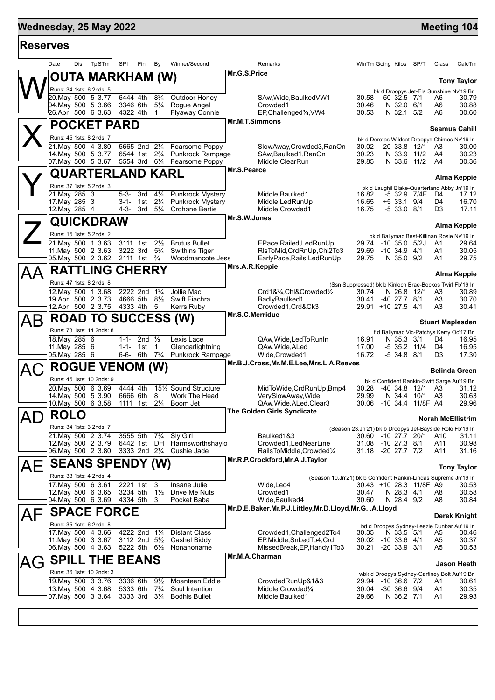## **Mednesday, 25 May 2022 Manual Control of the United States of the United States of the Meeting 104**

 $\top$ 

г

| <b>Reserves</b> |                                          |                                                                     |                                                         |                                                          |                                                                 |                      |                          |
|-----------------|------------------------------------------|---------------------------------------------------------------------|---------------------------------------------------------|----------------------------------------------------------|-----------------------------------------------------------------|----------------------|--------------------------|
|                 | TpSTm<br>Date<br>Dis                     | SPI<br>Fin<br>By                                                    | Winner/Second                                           | Remarks                                                  | WinTm Going Kilos SP/T                                          | Class                | CalcTm                   |
|                 | OUTA MARKHAM (W)                         |                                                                     |                                                         | Mr.G.S.Price                                             |                                                                 |                      | <b>Tony Taylor</b>       |
|                 | Runs: 34 1sts: 6 2nds: 5                 |                                                                     |                                                         |                                                          | bk d Droopys Jet-Ela Sunshine Nv'19 Br                          |                      |                          |
|                 | 20. May 500 5 3.77                       | 6444 4th<br>$8\frac{3}{4}$                                          | Outdoor Honey                                           | SAw, Wide, Baulked VW1                                   | 30.58<br>$-50$ 32.5 $7/1$                                       | A6                   | 30.79                    |
|                 | 04. May 500 5 3.66<br>26.Apr 500 6 3.63  | 3346 6th<br>$5\frac{1}{4}$<br>4322 4th<br>1                         | Rogue Angel<br><b>Flyaway Connie</b>                    | Crowded1<br>EP, Challenged%, VW4                         | 30.46<br>N 32.0 6/1<br>N 32.1 5/2<br>30.53                      | A6<br>A6             | 30.88<br>30.60           |
|                 |                                          |                                                                     |                                                         | <b>Mr.M.T.Simmons</b>                                    |                                                                 |                      |                          |
|                 | <b>POCKET PARD</b>                       |                                                                     |                                                         |                                                          |                                                                 |                      | <b>Seamus Cahill</b>     |
|                 | Runs: 45 1sts: 8 2nds: 7                 |                                                                     |                                                         |                                                          | bk d Dorotas Wildcat-Droopys Chimes Nv'19 Ir                    |                      |                          |
|                 | 21. May 500 4 3.80                       |                                                                     | 5665 2nd 21/4 Fearsome Poppy                            | SlowAway,Crowded3,RanOn                                  | 30.02                                                           | -20 33.8 12/1 A3     | 30.00                    |
|                 | 14. May 500 5 3.77                       |                                                                     | 6544 1st 2 <sup>3</sup> / <sub>4</sub> Punkrock Rampage | SAw, Baulked 1, RanOn                                    | 30.23<br>N 33.9 11/2                                            | A4                   | 30.23                    |
|                 | 07. May 500 5 3.67                       |                                                                     | 5554 3rd 61/4 Fearsome Poppy                            | Middle, ClearRun<br>Mr.S.Pearce                          | 29.85<br>N 33.6 11/2                                            | A4                   | 30.36                    |
|                 | QUARTERLAND KARL                         |                                                                     |                                                         |                                                          |                                                                 |                      | Alma Keppie              |
|                 | Runs: 37 1sts: 5 2nds: 3                 |                                                                     |                                                         |                                                          | bk d Laughil Blake-Quarterland Abby Jn'19 Ir                    |                      |                          |
|                 | 21. May 285 3                            | $4\frac{1}{4}$<br>5-3-<br>3rd                                       | <b>Punkrock Mystery</b>                                 | Middle, Baulked1                                         | -5 32.9 7/4F<br>16.82                                           | D4                   | 17.12                    |
|                 | 17. May 285 3<br>12. May 285 4           | 1st $2\frac{1}{4}$<br>3-1-<br>$4 - 3 -$<br>$3rd \quad 5\frac{1}{4}$ | <b>Punkrock Mystery</b><br><b>Crohane Bertie</b>        | Middle, LedRunUp<br>Middle, Crowded1                     | 16.65<br>$+5$ 33.1 9/4<br>16.75<br>$-533.08/1$                  | D4<br>D3             | 16.70<br>17.11           |
|                 |                                          |                                                                     |                                                         | Mr.S.W.Jones                                             |                                                                 |                      |                          |
|                 | QUICKDRAW                                |                                                                     |                                                         |                                                          |                                                                 |                      | <b>Alma Keppie</b>       |
|                 | Runs: 15 1sts: 5 2nds: 2                 |                                                                     |                                                         |                                                          | bk d Ballymac Best-Killinan Rosie Nv'19 Ir                      |                      |                          |
|                 | 21. May 500 1 3.63                       | $2\frac{1}{2}$<br>3111 1st                                          | <b>Brutus Bullet</b>                                    | EPace, Railed, Led RunUp                                 | 29.74<br>$-10,35.0,5/2J$                                        | A1                   | 29.64                    |
|                 | 11. May 500 2 3.63                       | 3222 3rd<br>$5\frac{3}{4}$                                          | <b>Swithins Tiger</b>                                   | RIsToMid, CrdRnUp, Chl2To3                               | 29.69<br>$-10, 34.9, 4/1$                                       | A1                   | 30.05                    |
|                 | 05. May 500 2 3.62                       | 2111 1st $\frac{3}{4}$                                              | Woodmancote Jess                                        | EarlyPace, Rails, Led RunUp<br>Mrs.A.R.Keppie            | 29.75<br>N 35.0 9/2                                             | A1                   | 29.75                    |
|                 | <b>RATTLING CHERRY</b>                   |                                                                     |                                                         |                                                          |                                                                 |                      | <b>Alma Keppie</b>       |
|                 | Runs: 47 1sts: 8 2nds: 8                 |                                                                     |                                                         |                                                          | (Ssn Suppressed) bk b Kinloch Brae-Bockos Twirl Fb'19 Ir        |                      |                          |
|                 | 12. May 500 1 3.68                       | 2222 2nd 1 <sup>3</sup> / <sub>4</sub>                              | Jollie Mac                                              | Crd1&3/4,Chl&Crowded1/2                                  | 30.74<br>N 26.8 12/1                                            | A3                   | 30.89                    |
|                 | 19.Apr 500 2 3.73                        | 4666 5th 81/2 Swift Fiachra                                         |                                                         | BadlyBaulked1                                            | 30.41<br>-40 27.7 8/1                                           | A3                   | 30.70                    |
|                 | 12.Apr 500 2 3.75 4333 4th 5             |                                                                     | Kerrs Ruby                                              | Crowded1, Crd&Ck3<br>Mr.S.C.Merridue                     | 29.91 +10 27.5 4/1                                              | A <sub>3</sub>       | 30.41                    |
| AВ              | <b>ROAD TO SUCCESS (W)</b>               |                                                                     |                                                         |                                                          |                                                                 |                      | <b>Stuart Maplesden</b>  |
|                 | Runs: 73 1sts: 14 2nds: 8                |                                                                     |                                                         |                                                          | f d Ballymac Vic-Patchys Kerry Oc'17 Br                         |                      |                          |
|                 | 18. May 285 6                            | $1 - 1 -$<br>2nd $\frac{1}{2}$                                      | Lexis Lace                                              | QAw, Wide, Led To Run In                                 | 16.91<br>N 35.3 3/1                                             | D4                   | 16.95                    |
|                 | 11.May 285 6<br>05. May 285 6            | $1 - 1 -$<br>1st 1<br>6-6- 6th 7 <sup>3</sup> / <sub>4</sub>        | Glengarlightning<br><b>Punkrock Rampage</b>             | QAw, Wide, ALed<br>Wide, Crowded1                        | 17.00<br>$-535.211/4$<br>16.72<br>$-5$ 34.8 8/1                 | D4<br>D <sub>3</sub> | 16.95<br>17.30           |
|                 |                                          |                                                                     |                                                         | Mr.B.J.Cross, Mr.M.E.Lee, Mrs.L.A. Reeves                |                                                                 |                      |                          |
|                 | <b>ROGUE</b>                             | <b>VENOM (W)</b>                                                    |                                                         |                                                          |                                                                 |                      | <b>Belinda Green</b>     |
|                 | Runs: 45 1sts: 10 2nds: 9                |                                                                     |                                                         |                                                          | bk d Confident Rankin-Swift Sarge Au'19 Br                      |                      |                          |
|                 | 20. May 500 6 3.69                       | 4444 4th                                                            | 151/2 Sound Structure                                   | MidToWide, CrdRunUp, Bmp4                                | 30.28                                                           | -40 34.8 12/1 A3     | 31.12                    |
|                 | 14. May 500 5 3.90<br>10. May 500 6 3.58 | 6666 6th<br>8<br>1111 1st 21/4                                      | Work The Head<br>Boom Jet                               | VerySlowAway, Wide<br>QAw, Wide, ALed, Clear 3           | 29.99<br>-10 34.4 11/8F A4<br>30.06                             | N 34.4 10/1 A3       | 30.63<br>29.96           |
| $\blacksquare$  |                                          |                                                                     |                                                         | The Golden Girls Syndicate                               |                                                                 |                      |                          |
| AL              | <b>ROLO</b>                              |                                                                     |                                                         |                                                          |                                                                 |                      | <b>Norah McEllistrim</b> |
|                 | Runs: 34 1sts: 3 2nds: 7                 |                                                                     |                                                         |                                                          | (Season 23.Jn'21) bk b Droopys Jet-Bayside Rolo Fb'19 Ir        |                      |                          |
|                 | 21. May 500 2 3.74<br>12. May 500 2 3.79 | 3555 5th<br>$7\frac{3}{4}$<br>6442 1st DH                           | Sly Girl<br>Harmsworthshaylo                            | Baulked1&3<br>Crowded1, LedNearLine                      | 30.60 -10 27.7 20/1<br>31.08 -10 27.3 8/1                       | A10<br>A11           | 31.11<br>30.98           |
|                 | 06. May 500 2 3.80                       | 3333 2nd 21/4                                                       | Cushie Jade                                             | RailsToMiddle, Crowded1/4                                | 31.18 -20 27.7 7/2                                              | A11                  | 31.16                    |
|                 |                                          |                                                                     |                                                         | Mr.R.P.Crockford, Mr.A.J.Taylor                          |                                                                 |                      |                          |
| AЕ              | <b>SEANS SPENDY (W)</b>                  |                                                                     |                                                         |                                                          |                                                                 |                      | <b>Tony Taylor</b>       |
|                 | Runs: 33 1sts: 4 2nds: 4                 |                                                                     |                                                         |                                                          | (Season 10.Jn'21) bk b Confident Rankin-Lindas Supreme Jn'19 Ir |                      |                          |
|                 | 17 May 500 6 3.61                        | 2221 1st<br>-3<br>3234 5th<br>$1\frac{1}{2}$                        | Insane Julie<br>Drive Me Nuts                           | Wide, Led4<br>Crowded1                                   | 30.43 +10 28.3 11/8F A9<br>N 28.3 4/1                           |                      | 30.53<br>30.58           |
|                 | 12. May 500 6 3.65<br>04. May 500 6 3.69 | 4334 5th 3                                                          | Pocket Baba                                             | Wide, Baulked4                                           | 30.47<br>30.60<br>N 28.4 9/2                                    | A8<br>A8             | 30.84                    |
|                 |                                          |                                                                     |                                                         | Mr.D.E.Baker, Mr.P.J.Littley, Mr.D.Lloyd, Mr.G. .A.Lloyd |                                                                 |                      |                          |
| AF              | <b>SPACE FORCE</b>                       |                                                                     |                                                         |                                                          |                                                                 |                      | <b>Derek Knight</b>      |
|                 | Runs: 35 1sts: 6 2nds: 8                 |                                                                     |                                                         |                                                          | bd d Droopys Sydney-Leezie Dunbar Au'19 Ir                      |                      |                          |
|                 | 17 May 500 4 3.66                        | 4222 2nd<br>$1\frac{1}{4}$<br>3112 2nd 51/2                         | <b>Distant Class</b><br>Cashel Biddy                    | Crowded1, Challenged2To4<br>EP, Middle, SnLedTo4, Crd    | N 33.5 5/1<br>30.35                                             | A5                   | 30.46                    |
|                 | 11. May 500 3 3.67<br>06. May 500 4 3.63 | 5222 5th 61/2                                                       | Nonanoname                                              | MissedBreak, EP, Handy1To3                               | 30.02<br>$-10$ 33.6 $4/1$<br>30.21<br>$-20, 33.9, 3/1$          | A5<br>A5             | 30.37<br>30.53           |
|                 |                                          | <b>BEANS</b>                                                        |                                                         | Mr.M.A.Charman                                           |                                                                 |                      |                          |
|                 |                                          |                                                                     |                                                         |                                                          |                                                                 |                      | Jason Heath              |
|                 | <b>SPILL</b><br>THE.                     |                                                                     |                                                         |                                                          |                                                                 |                      |                          |
|                 | Runs: 36 1sts: 10 2nds: 3                |                                                                     |                                                         |                                                          | wbk d Droopys Sydney-Garfiney Bolt Au'19 Br                     |                      |                          |
|                 | 19 May 500 3 3.76                        | $9\frac{1}{2}$<br>3336 6th                                          | Moanteen Eddie                                          | CrowdedRunUp&1&3                                         | 29.94 -10 36.6 7/2                                              | A1                   | 30.61                    |
|                 | 13 May 500 4 3.68<br>07 May 500 3 3.64   | 5333 6th<br>$7\frac{3}{4}$<br>3333 3rd 31/4                         | Soul Intention<br><b>Bodhis Bullet</b>                  | Middle, Crowded <sup>1/4</sup><br>Middle, Baulked 1      | $-30$ 36.6 $9/4$<br>30.04<br>29.66<br>N 36.2 7/1                | A1<br>A1             | 30.35<br>29.93           |